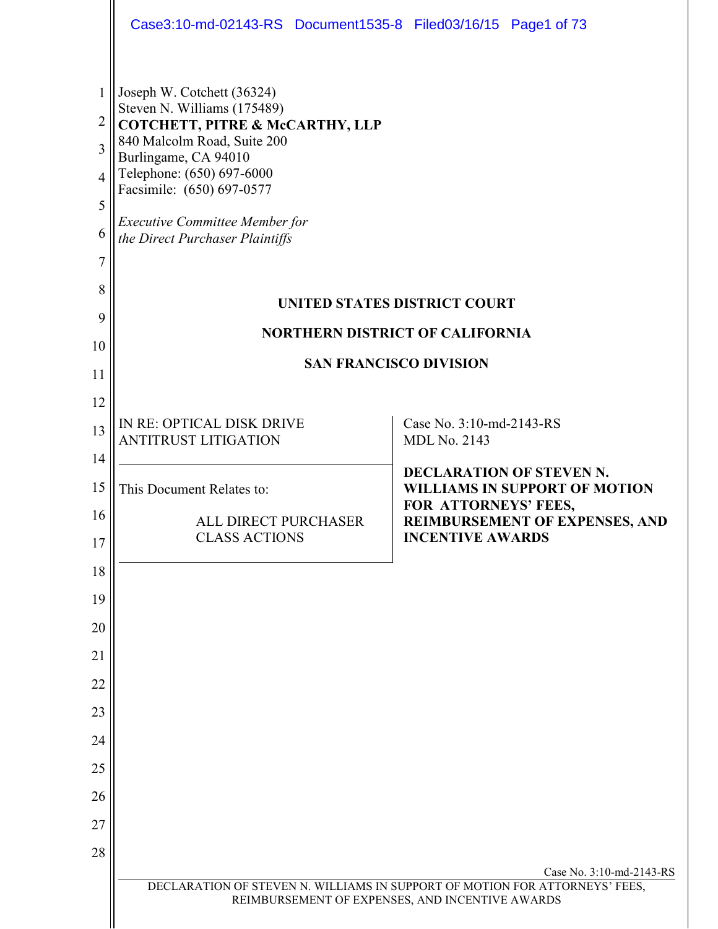|                                           | Case3:10-md-02143-RS Document1535-8 Filed03/16/15 Page1 of 73                                                                                                                                                                                                                                                                                                       |                                                                                                 |
|-------------------------------------------|---------------------------------------------------------------------------------------------------------------------------------------------------------------------------------------------------------------------------------------------------------------------------------------------------------------------------------------------------------------------|-------------------------------------------------------------------------------------------------|
| 1<br>2<br>3<br>4<br>5<br>6<br>7<br>8<br>9 | Joseph W. Cotchett (36324)<br>Steven N. Williams (175489)<br>COTCHETT, PITRE & McCARTHY, LLP<br>840 Malcolm Road, Suite 200<br>Burlingame, CA 94010<br>Telephone: (650) 697-6000<br>Facsimile: (650) 697-0577<br><b>Executive Committee Member for</b><br>the Direct Purchaser Plaintiffs<br>UNITED STATES DISTRICT COURT<br><b>NORTHERN DISTRICT OF CALIFORNIA</b> |                                                                                                 |
| 10<br>11                                  | <b>SAN FRANCISCO DIVISION</b>                                                                                                                                                                                                                                                                                                                                       |                                                                                                 |
| 12                                        |                                                                                                                                                                                                                                                                                                                                                                     |                                                                                                 |
| 13                                        | IN RE: OPTICAL DISK DRIVE<br><b>ANTITRUST LITIGATION</b>                                                                                                                                                                                                                                                                                                            | Case No. 3:10-md-2143-RS<br><b>MDL No. 2143</b>                                                 |
| 14<br>15                                  | This Document Relates to:                                                                                                                                                                                                                                                                                                                                           | <b>DECLARATION OF STEVEN N.</b><br><b>WILLIAMS IN SUPPORT OF MOTION</b><br>FOR ATTORNEYS' FEES, |
| 16<br>17                                  | ALL DIRECT PURCHASER<br><b>CLASS ACTIONS</b>                                                                                                                                                                                                                                                                                                                        | REIMBURSEMENT OF EXPENSES, AND<br><b>INCENTIVE AWARDS</b>                                       |
| 18                                        |                                                                                                                                                                                                                                                                                                                                                                     |                                                                                                 |
| 19                                        |                                                                                                                                                                                                                                                                                                                                                                     |                                                                                                 |
| 20                                        |                                                                                                                                                                                                                                                                                                                                                                     |                                                                                                 |
| 21<br>22                                  |                                                                                                                                                                                                                                                                                                                                                                     |                                                                                                 |
| 23                                        |                                                                                                                                                                                                                                                                                                                                                                     |                                                                                                 |
| 24                                        |                                                                                                                                                                                                                                                                                                                                                                     |                                                                                                 |
| 25                                        |                                                                                                                                                                                                                                                                                                                                                                     |                                                                                                 |
| 26                                        |                                                                                                                                                                                                                                                                                                                                                                     |                                                                                                 |
| 27                                        |                                                                                                                                                                                                                                                                                                                                                                     |                                                                                                 |
| 28                                        |                                                                                                                                                                                                                                                                                                                                                                     | Case No. 3:10-md-2143-RS                                                                        |
|                                           | DECLARATION OF STEVEN N. WILLIAMS IN SUPPORT OF MOTION FOR ATTORNEYS' FEES,<br>REIMBURSEMENT OF EXPENSES, AND INCENTIVE AWARDS                                                                                                                                                                                                                                      |                                                                                                 |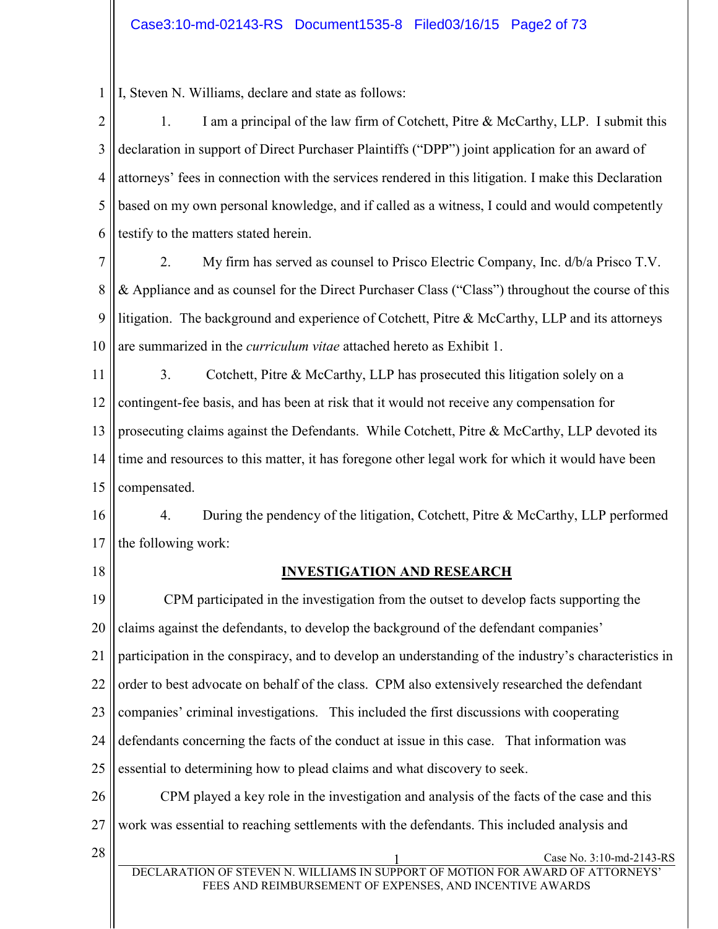1 I, Steven N. Williams, declare and state as follows:

2 3 4 5 6 1. I am a principal of the law firm of Cotchett, Pitre & McCarthy, LLP. I submit this declaration in support of Direct Purchaser Plaintiffs ("DPP") joint application for an award of attorneys' fees in connection with the services rendered in this litigation. I make this Declaration based on my own personal knowledge, and if called as a witness, I could and would competently testify to the matters stated herein.

7 8 9 10 2. My firm has served as counsel to Prisco Electric Company, Inc. d/b/a Prisco T.V. & Appliance and as counsel for the Direct Purchaser Class ("Class") throughout the course of this litigation. The background and experience of Cotchett, Pitre  $\&$  McCarthy, LLP and its attorneys are summarized in the *curriculum vitae* attached hereto as Exhibit 1.

11 12 13 14 15 3. Cotchett, Pitre & McCarthy, LLP has prosecuted this litigation solely on a contingent-fee basis, and has been at risk that it would not receive any compensation for prosecuting claims against the Defendants. While Cotchett, Pitre & McCarthy, LLP devoted its time and resources to this matter, it has foregone other legal work for which it would have been compensated.

16 17 4. During the pendency of the litigation, Cotchett, Pitre & McCarthy, LLP performed the following work:

18

## **INVESTIGATION AND RESEARCH**

19 20 21 22 23 24 25 26 CPM participated in the investigation from the outset to develop facts supporting the claims against the defendants, to develop the background of the defendant companies' participation in the conspiracy, and to develop an understanding of the industry's characteristics in order to best advocate on behalf of the class. CPM also extensively researched the defendant companies' criminal investigations. This included the first discussions with cooperating defendants concerning the facts of the conduct at issue in this case. That information was essential to determining how to plead claims and what discovery to seek. CPM played a key role in the investigation and analysis of the facts of the case and this

27 work was essential to reaching settlements with the defendants. This included analysis and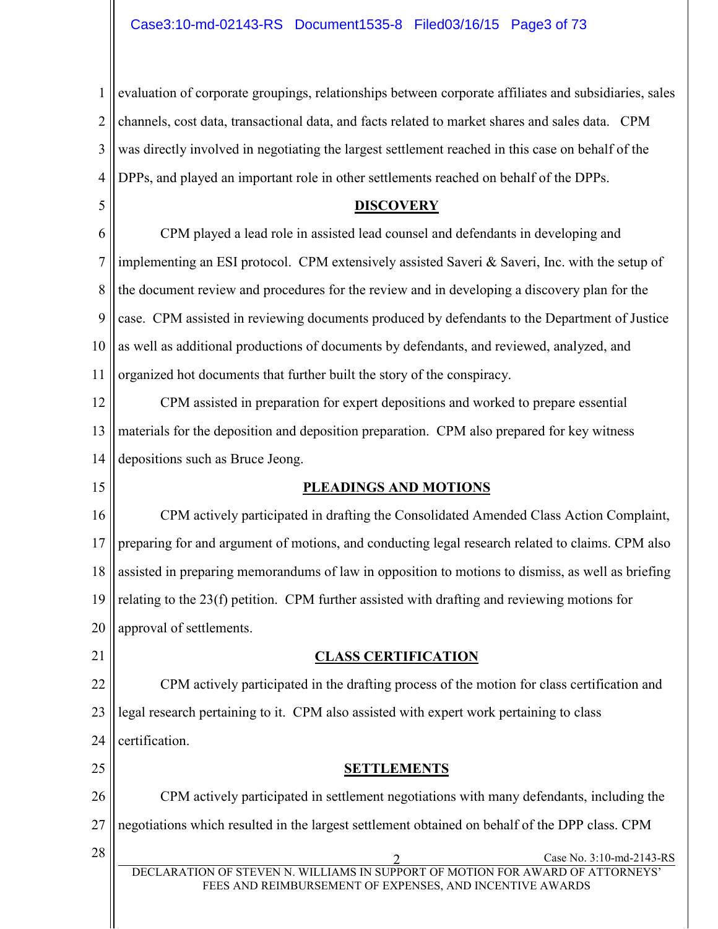1 2 3 4 evaluation of corporate groupings, relationships between corporate affiliates and subsidiaries, sales channels, cost data, transactional data, and facts related to market shares and sales data. CPM was directly involved in negotiating the largest settlement reached in this case on behalf of the DPPs, and played an important role in other settlements reached on behalf of the DPPs.

#### **DISCOVERY**

6 7 8 9 10 11 CPM played a lead role in assisted lead counsel and defendants in developing and implementing an ESI protocol. CPM extensively assisted Saveri & Saveri, Inc. with the setup of the document review and procedures for the review and in developing a discovery plan for the case. CPM assisted in reviewing documents produced by defendants to the Department of Justice as well as additional productions of documents by defendants, and reviewed, analyzed, and organized hot documents that further built the story of the conspiracy.

12 13 14 CPM assisted in preparation for expert depositions and worked to prepare essential materials for the deposition and deposition preparation. CPM also prepared for key witness depositions such as Bruce Jeong.

15

5

#### **PLEADINGS AND MOTIONS**

16 17 18 19 20 CPM actively participated in drafting the Consolidated Amended Class Action Complaint, preparing for and argument of motions, and conducting legal research related to claims. CPM also assisted in preparing memorandums of law in opposition to motions to dismiss, as well as briefing relating to the 23(f) petition. CPM further assisted with drafting and reviewing motions for approval of settlements.

21

#### **CLASS CERTIFICATION**

22 23 24 CPM actively participated in the drafting process of the motion for class certification and legal research pertaining to it. CPM also assisted with expert work pertaining to class certification.

**SETTLEMENTS**

26 27 CPM actively participated in settlement negotiations with many defendants, including the negotiations which resulted in the largest settlement obtained on behalf of the DPP class. CPM

25

DECLARATION OF STEVEN N. WILLIAMS IN SUPPORT OF MOTION FOR AWARD OF ATTORNEYS' FEES AND REIMBURSEMENT OF EXPENSES, AND INCENTIVE AWARDS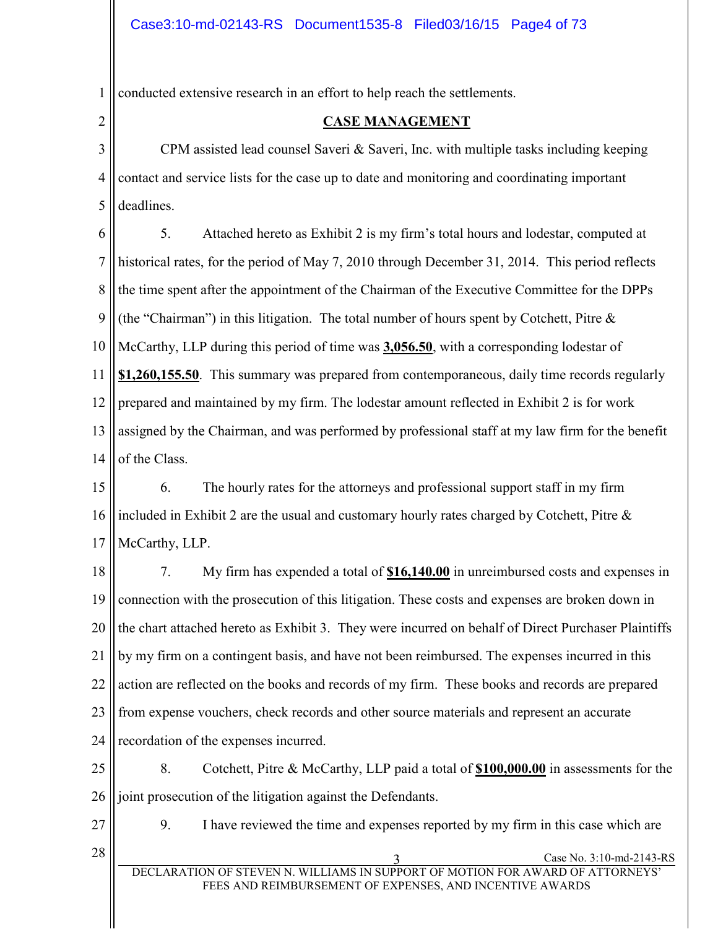1 conducted extensive research in an effort to help reach the settlements.

2

#### **CASE MANAGEMENT**

3 4 5 CPM assisted lead counsel Saveri  $\&$  Saveri, Inc. with multiple tasks including keeping contact and service lists for the case up to date and monitoring and coordinating important deadlines.

6 7 8 9 10 11 12 13 14 5. Attached hereto as Exhibit 2 is my firm's total hours and lodestar, computed at historical rates, for the period of May 7, 2010 through December 31, 2014. This period reflects the time spent after the appointment of the Chairman of the Executive Committee for the DPPs (the "Chairman") in this litigation. The total number of hours spent by Cotchett, Pitre  $\&$ McCarthy, LLP during this period of time was **3,056.50**, with a corresponding lodestar of **\$1,260,155.50**. This summary was prepared from contemporaneous, daily time records regularly prepared and maintained by my firm. The lodestar amount reflected in Exhibit 2 is for work assigned by the Chairman, and was performed by professional staff at my law firm for the benefit of the Class.

15 16 17 6. The hourly rates for the attorneys and professional support staff in my firm included in Exhibit 2 are the usual and customary hourly rates charged by Cotchett, Pitre & McCarthy, LLP.

18 19 20 21 22 23 24 7. My firm has expended a total of **\$16,140.00** in unreimbursed costs and expenses in connection with the prosecution of this litigation. These costs and expenses are broken down in the chart attached hereto as Exhibit 3. They were incurred on behalf of Direct Purchaser Plaintiffs by my firm on a contingent basis, and have not been reimbursed. The expenses incurred in this action are reflected on the books and records of my firm. These books and records are prepared from expense vouchers, check records and other source materials and represent an accurate recordation of the expenses incurred.

25 26 8. Cotchett, Pitre & McCarthy, LLP paid a total of **\$100,000.00** in assessments for the joint prosecution of the litigation against the Defendants.

27

9. I have reviewed the time and expenses reported by my firm in this case which are

 $28 \parallel$  Case No. 3:10-md-2143-RS

DECLARATION OF STEVEN N. WILLIAMS IN SUPPORT OF MOTION FOR AWARD OF ATTORNEYS' FEES AND REIMBURSEMENT OF EXPENSES, AND INCENTIVE AWARDS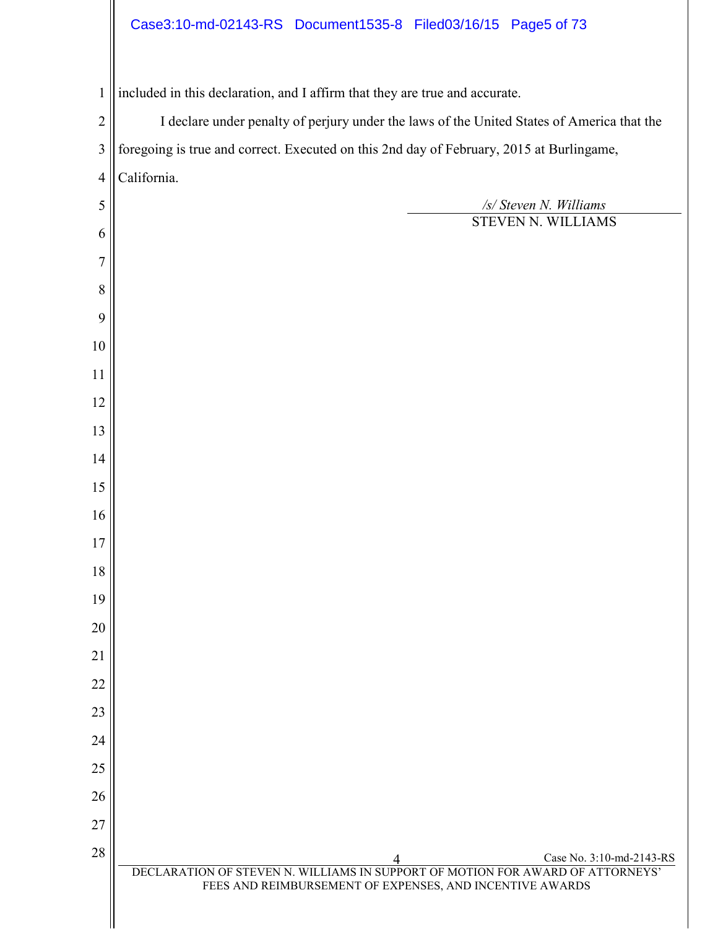# Case3:10-md-02143-RS Document1535-8 Filed03/16/15 Page5 of 73

| $\mathbf{1}$            | included in this declaration, and I affirm that they are true and accurate.                                                                |  |
|-------------------------|--------------------------------------------------------------------------------------------------------------------------------------------|--|
| $\overline{2}$          | I declare under penalty of perjury under the laws of the United States of America that the                                                 |  |
| $\overline{\mathbf{3}}$ | foregoing is true and correct. Executed on this 2nd day of February, 2015 at Burlingame,                                                   |  |
| $\overline{4}$          | California.                                                                                                                                |  |
| 5                       | /s/ Steven N. Williams                                                                                                                     |  |
| 6                       | STEVEN N. WILLIAMS                                                                                                                         |  |
| 7                       |                                                                                                                                            |  |
| 8                       |                                                                                                                                            |  |
| 9                       |                                                                                                                                            |  |
| 10                      |                                                                                                                                            |  |
| 11                      |                                                                                                                                            |  |
| 12                      |                                                                                                                                            |  |
| 13                      |                                                                                                                                            |  |
| 14                      |                                                                                                                                            |  |
| 15                      |                                                                                                                                            |  |
| 16                      |                                                                                                                                            |  |
| 17                      |                                                                                                                                            |  |
| 18                      |                                                                                                                                            |  |
| 19                      |                                                                                                                                            |  |
| 20                      |                                                                                                                                            |  |
| 21                      |                                                                                                                                            |  |
| 22                      |                                                                                                                                            |  |
| 23                      |                                                                                                                                            |  |
| 24                      |                                                                                                                                            |  |
| 25                      |                                                                                                                                            |  |
| 26                      |                                                                                                                                            |  |
| 27                      |                                                                                                                                            |  |
| 28                      | Case No. 3:10-md-2143-RS                                                                                                                   |  |
|                         | DECLARATION OF STEVEN N. WILLIAMS IN SUPPORT OF MOTION FOR AWARD OF ATTORNEYS'<br>FEES AND REIMBURSEMENT OF EXPENSES, AND INCENTIVE AWARDS |  |
|                         |                                                                                                                                            |  |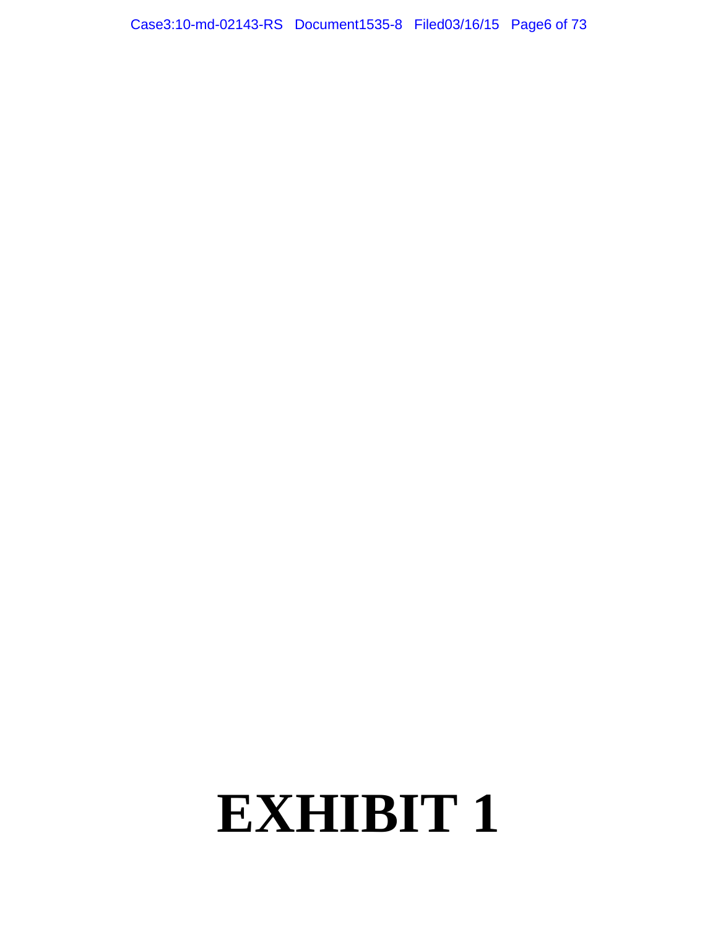# **EXHIBIT 1**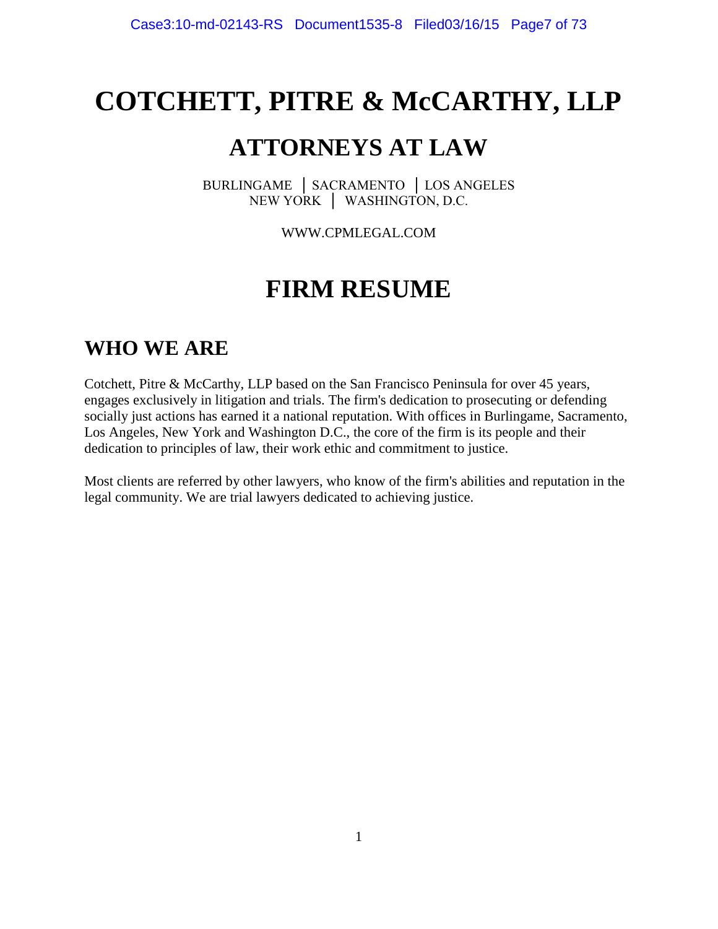# **COTCHETT, PITRE & McCARTHY, LLP**

# **ATTORNEYS AT LAW**

BURLINGAME │ SACRAMENTO │ LOS ANGELES NEW YORK │ WASHINGTON, D.C.

WWW.CPMLEGAL.COM

# **FIRM RESUME**

# **WHO WE ARE**

Cotchett, Pitre & McCarthy, LLP based on the San Francisco Peninsula for over 45 years, engages exclusively in litigation and trials. The firm's dedication to prosecuting or defending socially just actions has earned it a national reputation. With offices in Burlingame, Sacramento, Los Angeles, New York and Washington D.C., the core of the firm is its people and their dedication to principles of law, their work ethic and commitment to justice.

Most clients are referred by other lawyers, who know of the firm's abilities and reputation in the legal community. We are trial lawyers dedicated to achieving justice.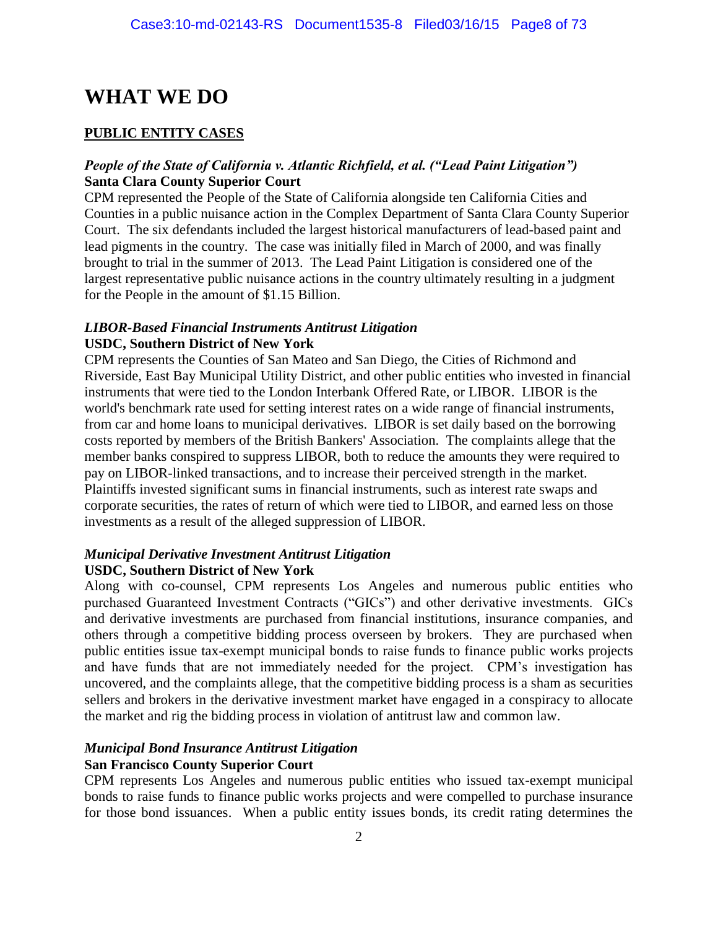# **WHAT WE DO**

#### **PUBLIC ENTITY CASES**

#### *People of the State of California v. Atlantic Richfield, et al. ("Lead Paint Litigation")* **Santa Clara County Superior Court**

CPM represented the People of the State of California alongside ten California Cities and Counties in a public nuisance action in the Complex Department of Santa Clara County Superior Court. The six defendants included the largest historical manufacturers of lead-based paint and lead pigments in the country. The case was initially filed in March of 2000, and was finally brought to trial in the summer of 2013. The Lead Paint Litigation is considered one of the largest representative public nuisance actions in the country ultimately resulting in a judgment for the People in the amount of \$1.15 Billion.

#### *LIBOR-Based Financial Instruments Antitrust Litigation* **USDC, Southern District of New York**

CPM represents the Counties of San Mateo and San Diego, the Cities of Richmond and Riverside, East Bay Municipal Utility District, and other public entities who invested in financial instruments that were tied to the London Interbank Offered Rate, or LIBOR. LIBOR is the world's benchmark rate used for setting interest rates on a wide range of financial instruments, from car and home loans to municipal derivatives. LIBOR is set daily based on the borrowing costs reported by members of the British Bankers' Association. The complaints allege that the member banks conspired to suppress LIBOR, both to reduce the amounts they were required to pay on LIBOR-linked transactions, and to increase their perceived strength in the market. Plaintiffs invested significant sums in financial instruments, such as interest rate swaps and corporate securities, the rates of return of which were tied to LIBOR, and earned less on those investments as a result of the alleged suppression of LIBOR.

#### *Municipal Derivative Investment Antitrust Litigation* **USDC, Southern District of New York**

Along with co-counsel, CPM represents Los Angeles and numerous public entities who purchased Guaranteed Investment Contracts ("GICs") and other derivative investments. GICs and derivative investments are purchased from financial institutions, insurance companies, and others through a competitive bidding process overseen by brokers. They are purchased when public entities issue tax-exempt municipal bonds to raise funds to finance public works projects and have funds that are not immediately needed for the project. CPM's investigation has uncovered, and the complaints allege, that the competitive bidding process is a sham as securities sellers and brokers in the derivative investment market have engaged in a conspiracy to allocate the market and rig the bidding process in violation of antitrust law and common law.

#### *Municipal Bond Insurance Antitrust Litigation* **San Francisco County Superior Court**

CPM represents Los Angeles and numerous public entities who issued tax-exempt municipal bonds to raise funds to finance public works projects and were compelled to purchase insurance for those bond issuances. When a public entity issues bonds, its credit rating determines the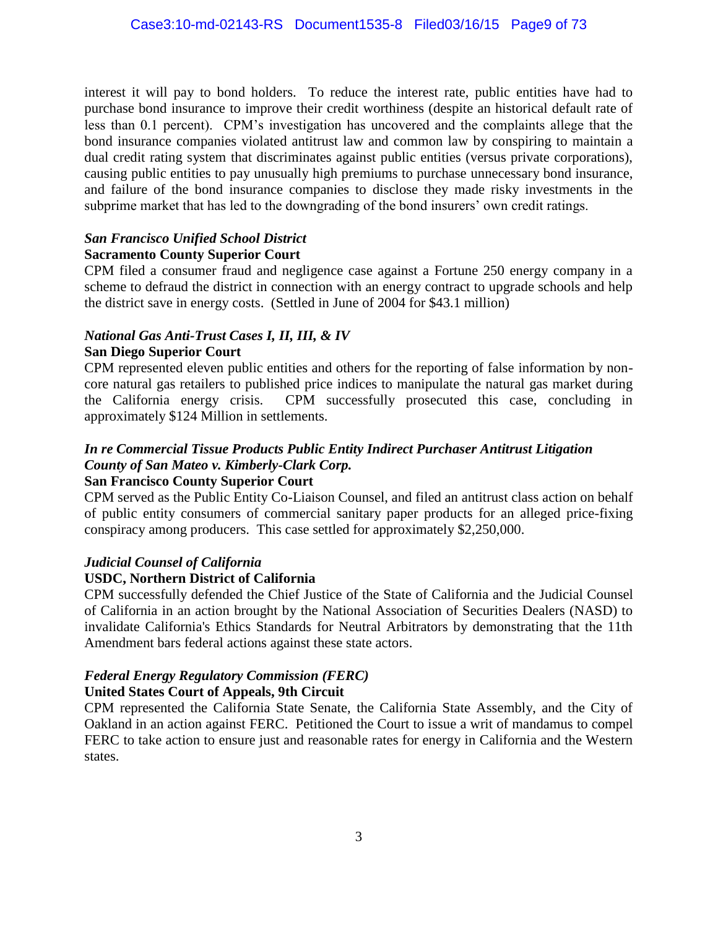interest it will pay to bond holders. To reduce the interest rate, public entities have had to purchase bond insurance to improve their credit worthiness (despite an historical default rate of less than 0.1 percent). CPM's investigation has uncovered and the complaints allege that the bond insurance companies violated antitrust law and common law by conspiring to maintain a dual credit rating system that discriminates against public entities (versus private corporations), causing public entities to pay unusually high premiums to purchase unnecessary bond insurance, and failure of the bond insurance companies to disclose they made risky investments in the subprime market that has led to the downgrading of the bond insurers' own credit ratings.

#### *San Francisco Unified School District* **Sacramento County Superior Court**

CPM filed a consumer fraud and negligence case against a Fortune 250 energy company in a scheme to defraud the district in connection with an energy contract to upgrade schools and help the district save in energy costs. (Settled in June of 2004 for \$43.1 million)

#### *National Gas Anti-Trust Cases I, II, III, & IV* **San Diego Superior Court**

CPM represented eleven public entities and others for the reporting of false information by noncore natural gas retailers to published price indices to manipulate the natural gas market during the California energy crisis. CPM successfully prosecuted this case, concluding in approximately \$124 Million in settlements.

## *In re Commercial Tissue Products Public Entity Indirect Purchaser Antitrust Litigation County of San Mateo v. Kimberly-Clark Corp.*

#### **San Francisco County Superior Court**

CPM served as the Public Entity Co-Liaison Counsel, and filed an antitrust class action on behalf of public entity consumers of commercial sanitary paper products for an alleged price-fixing conspiracy among producers. This case settled for approximately \$2,250,000.

#### *Judicial Counsel of California*

#### **USDC, Northern District of California**

CPM successfully defended the Chief Justice of the State of California and the Judicial Counsel of California in an action brought by the National Association of Securities Dealers (NASD) to invalidate California's Ethics Standards for Neutral Arbitrators by demonstrating that the 11th Amendment bars federal actions against these state actors.

#### *Federal Energy Regulatory Commission (FERC)*

#### **United States Court of Appeals, 9th Circuit**

CPM represented the California State Senate, the California State Assembly, and the City of Oakland in an action against FERC. Petitioned the Court to issue a writ of mandamus to compel FERC to take action to ensure just and reasonable rates for energy in California and the Western states.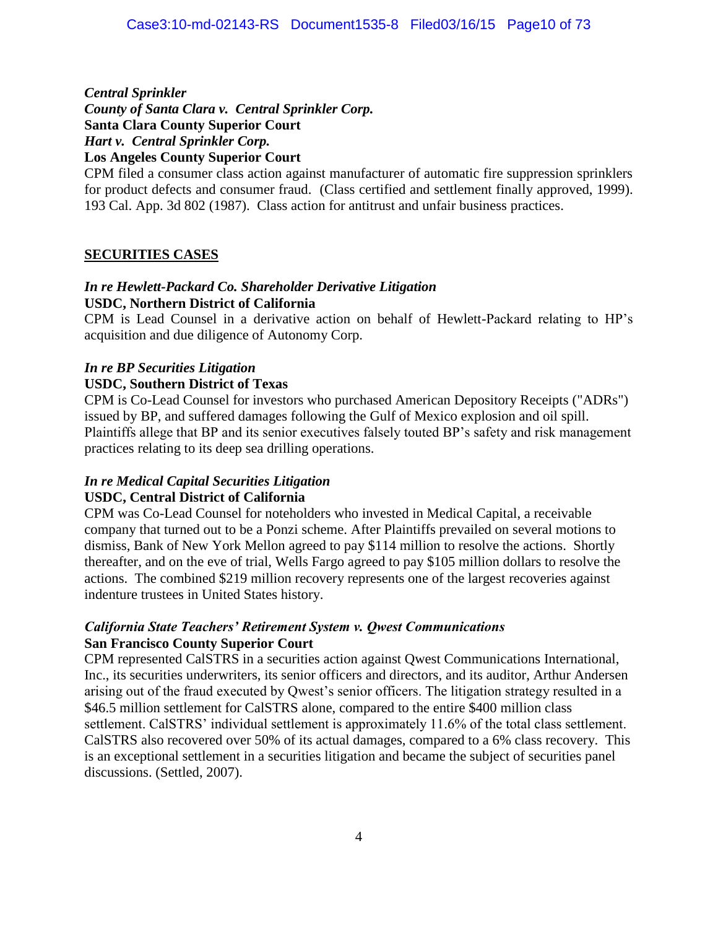*Central Sprinkler County of Santa Clara v. Central Sprinkler Corp.* **Santa Clara County Superior Court** *Hart v. Central Sprinkler Corp.* **Los Angeles County Superior Court**

CPM filed a consumer class action against manufacturer of automatic fire suppression sprinklers for product defects and consumer fraud. (Class certified and settlement finally approved, 1999). 193 Cal. App. 3d 802 (1987). Class action for antitrust and unfair business practices.

#### **SECURITIES CASES**

#### *In re Hewlett-Packard Co. Shareholder Derivative Litigation* **USDC, Northern District of California**

CPM is Lead Counsel in a derivative action on behalf of Hewlett-Packard relating to HP's acquisition and due diligence of Autonomy Corp.

#### *In re BP Securities Litigation*

#### **USDC, Southern District of Texas**

CPM is Co-Lead Counsel for investors who purchased American Depository Receipts ("ADRs") issued by BP, and suffered damages following the Gulf of Mexico explosion and oil spill. Plaintiffs allege that BP and its senior executives falsely touted BP's safety and risk management practices relating to its deep sea drilling operations.

# *In re Medical Capital Securities Litigation*

## **USDC, Central District of California**

CPM was Co-Lead Counsel for noteholders who invested in Medical Capital, a receivable company that turned out to be a Ponzi scheme. After Plaintiffs prevailed on several motions to dismiss, Bank of New York Mellon agreed to pay \$114 million to resolve the actions. Shortly thereafter, and on the eve of trial, Wells Fargo agreed to pay \$105 million dollars to resolve the actions. The combined \$219 million recovery represents one of the largest recoveries against indenture trustees in United States history.

#### *California State Teachers' Retirement System v. Qwest Communications* **San Francisco County Superior Court**

CPM represented CalSTRS in a securities action against Qwest Communications International, Inc., its securities underwriters, its senior officers and directors, and its auditor, Arthur Andersen arising out of the fraud executed by Qwest's senior officers. The litigation strategy resulted in a \$46.5 million settlement for CalSTRS alone, compared to the entire \$400 million class settlement. CalSTRS' individual settlement is approximately 11.6% of the total class settlement. CalSTRS also recovered over 50% of its actual damages, compared to a 6% class recovery. This is an exceptional settlement in a securities litigation and became the subject of securities panel discussions. (Settled, 2007).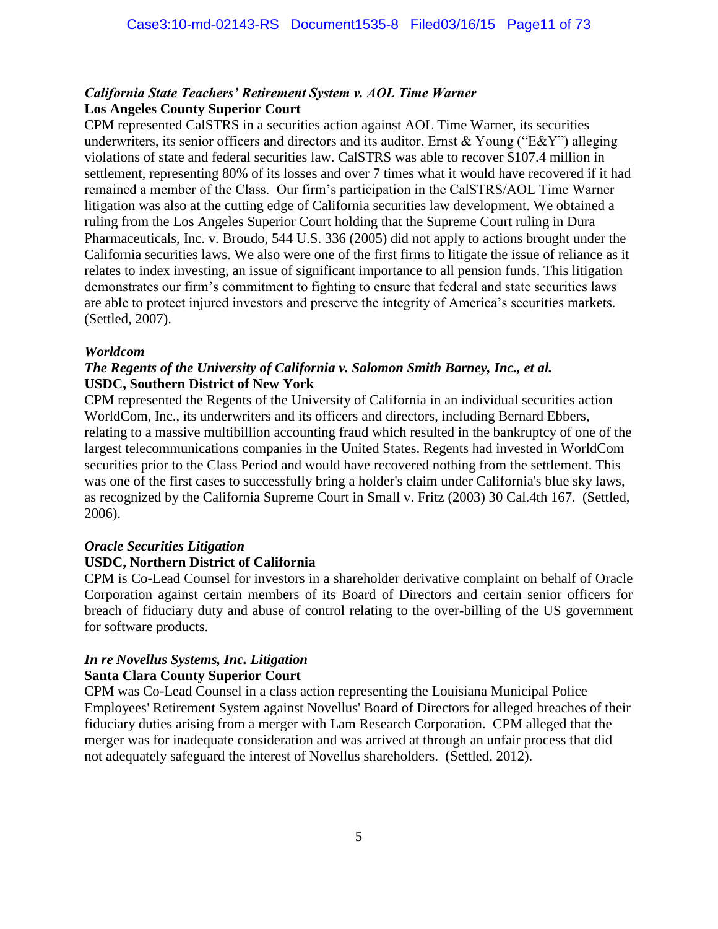#### *California State Teachers' Retirement System v. AOL Time Warner* **Los Angeles County Superior Court**

CPM represented CalSTRS in a securities action against AOL Time Warner, its securities underwriters, its senior officers and directors and its auditor, Ernst & Young ("E&Y") alleging violations of state and federal securities law. CalSTRS was able to recover \$107.4 million in settlement, representing 80% of its losses and over 7 times what it would have recovered if it had remained a member of the Class. Our firm's participation in the CalSTRS/AOL Time Warner litigation was also at the cutting edge of California securities law development. We obtained a ruling from the Los Angeles Superior Court holding that the Supreme Court ruling in Dura Pharmaceuticals, Inc. v. Broudo, 544 U.S. 336 (2005) did not apply to actions brought under the California securities laws. We also were one of the first firms to litigate the issue of reliance as it relates to index investing, an issue of significant importance to all pension funds. This litigation demonstrates our firm's commitment to fighting to ensure that federal and state securities laws are able to protect injured investors and preserve the integrity of America's securities markets. (Settled, 2007).

#### *Worldcom*

#### *The Regents of the University of California v. Salomon Smith Barney, Inc., et al.* **USDC, Southern District of New York**

CPM represented the Regents of the University of California in an individual securities action WorldCom, Inc., its underwriters and its officers and directors, including Bernard Ebbers, relating to a massive multibillion accounting fraud which resulted in the bankruptcy of one of the largest telecommunications companies in the United States. Regents had invested in WorldCom securities prior to the Class Period and would have recovered nothing from the settlement. This was one of the first cases to successfully bring a holder's claim under California's blue sky laws, as recognized by the California Supreme Court in Small v. Fritz (2003) 30 Cal.4th 167. (Settled, 2006).

#### *Oracle Securities Litigation*

#### **USDC, Northern District of California**

CPM is Co-Lead Counsel for investors in a shareholder derivative complaint on behalf of Oracle Corporation against certain members of its Board of Directors and certain senior officers for breach of fiduciary duty and abuse of control relating to the over-billing of the US government for software products.

#### *In re Novellus Systems, Inc. Litigation* **Santa Clara County Superior Court**

CPM was Co-Lead Counsel in a class action representing the Louisiana Municipal Police Employees' Retirement System against Novellus' Board of Directors for alleged breaches of their fiduciary duties arising from a merger with Lam Research Corporation. CPM alleged that the merger was for inadequate consideration and was arrived at through an unfair process that did not adequately safeguard the interest of Novellus shareholders. (Settled, 2012).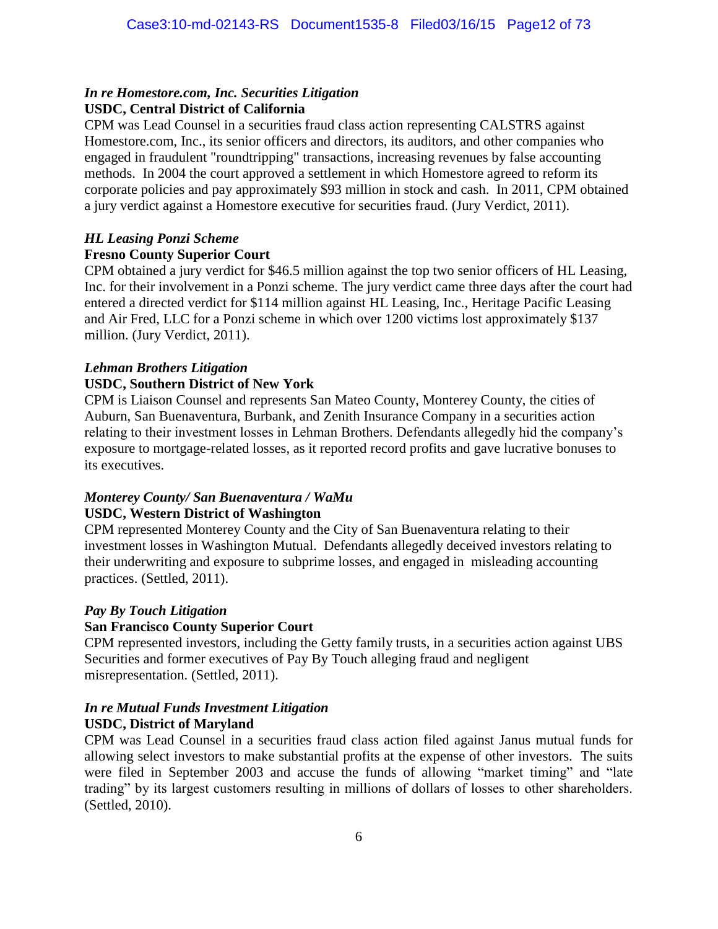#### *In re Homestore.com, Inc. Securities Litigation* **USDC, Central District of California**

CPM was Lead Counsel in a securities fraud class action representing CALSTRS against Homestore.com, Inc., its senior officers and directors, its auditors, and other companies who engaged in fraudulent "roundtripping" transactions, increasing revenues by false accounting methods. In 2004 the court approved a settlement in which Homestore agreed to reform its corporate policies and pay approximately \$93 million in stock and cash. In 2011, CPM obtained a jury verdict against a Homestore executive for securities fraud. (Jury Verdict, 2011).

#### *HL Leasing Ponzi Scheme*

#### **Fresno County Superior Court**

CPM obtained a jury verdict for \$46.5 million against the top two senior officers of HL Leasing, Inc. for their involvement in a Ponzi scheme. The jury verdict came three days after the court had entered a directed verdict for \$114 million against HL Leasing, Inc., Heritage Pacific Leasing and Air Fred, LLC for a Ponzi scheme in which over 1200 victims lost approximately \$137 million. (Jury Verdict, 2011).

#### *Lehman Brothers Litigation*

#### **USDC, Southern District of New York**

CPM is Liaison Counsel and represents San Mateo County, Monterey County, the cities of Auburn, San Buenaventura, Burbank, and Zenith Insurance Company in a securities action relating to their investment losses in Lehman Brothers. Defendants allegedly hid the company's exposure to mortgage-related losses, as it reported record profits and gave lucrative bonuses to its executives.

#### *Monterey County/ San Buenaventura / WaMu* **USDC, Western District of Washington**

CPM represented Monterey County and the City of San Buenaventura relating to their investment losses in Washington Mutual. Defendants allegedly deceived investors relating to their underwriting and exposure to subprime losses, and engaged in misleading accounting practices. (Settled, 2011).

#### *Pay By Touch Litigation*

#### **San Francisco County Superior Court**

CPM represented investors, including the Getty family trusts, in a securities action against UBS Securities and former executives of Pay By Touch alleging fraud and negligent misrepresentation. (Settled, 2011).

#### *In re Mutual Funds Investment Litigation* **USDC, District of Maryland**

CPM was Lead Counsel in a securities fraud class action filed against Janus mutual funds for allowing select investors to make substantial profits at the expense of other investors. The suits were filed in September 2003 and accuse the funds of allowing "market timing" and "late trading" by its largest customers resulting in millions of dollars of losses to other shareholders. (Settled, 2010).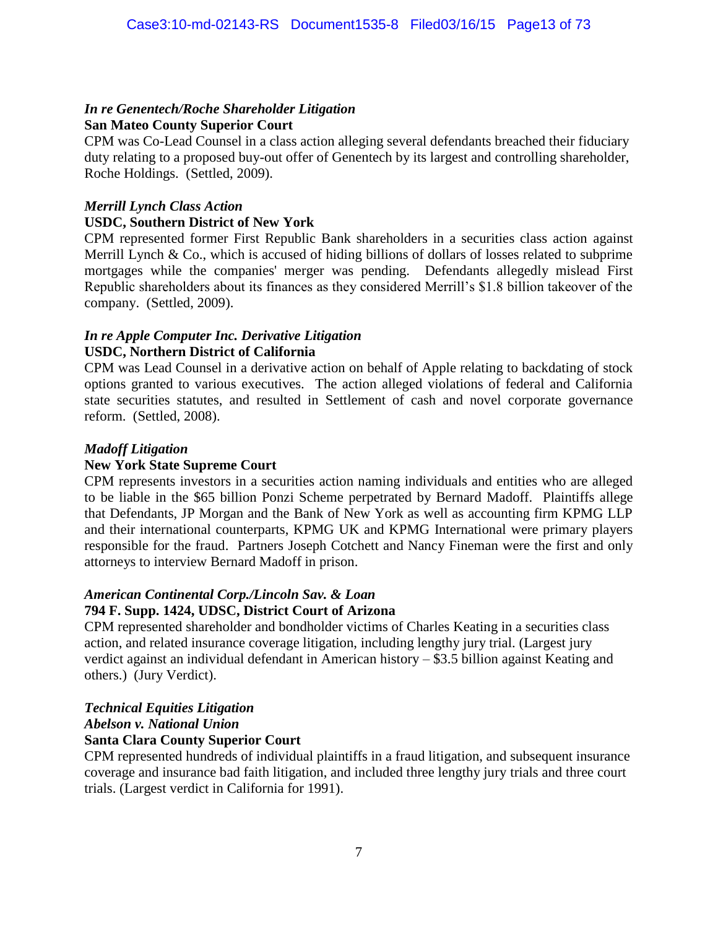# *In re Genentech/Roche Shareholder Litigation*

# **San Mateo County Superior Court**

CPM was Co-Lead Counsel in a class action alleging several defendants breached their fiduciary duty relating to a proposed buy-out offer of Genentech by its largest and controlling shareholder, Roche Holdings. (Settled, 2009).

#### *Merrill Lynch Class Action*

#### **USDC, Southern District of New York**

CPM represented former First Republic Bank shareholders in a securities class action against Merrill Lynch & Co., which is accused of hiding billions of dollars of losses related to subprime mortgages while the companies' merger was pending. Defendants allegedly mislead First Republic shareholders about its finances as they considered Merrill's \$1.8 billion takeover of the company. (Settled, 2009).

#### *In re Apple Computer Inc. Derivative Litigation*  **USDC, Northern District of California**

CPM was Lead Counsel in a derivative action on behalf of Apple relating to backdating of stock options granted to various executives. The action alleged violations of federal and California state securities statutes, and resulted in Settlement of cash and novel corporate governance reform. (Settled, 2008).

#### *Madoff Litigation*

#### **New York State Supreme Court**

CPM represents investors in a securities action naming individuals and entities who are alleged to be liable in the \$65 billion Ponzi Scheme perpetrated by Bernard Madoff. Plaintiffs allege that Defendants, JP Morgan and the Bank of New York as well as accounting firm KPMG LLP and their international counterparts, KPMG UK and KPMG International were primary players responsible for the fraud. Partners Joseph Cotchett and Nancy Fineman were the first and only attorneys to interview Bernard Madoff in prison.

#### *American Continental Corp./Lincoln Sav. & Loan*

#### **794 F. Supp. 1424, UDSC, District Court of Arizona**

CPM represented shareholder and bondholder victims of Charles Keating in a securities class action, and related insurance coverage litigation, including lengthy jury trial. (Largest jury verdict against an individual defendant in American history – \$3.5 billion against Keating and others.) (Jury Verdict).

#### *Technical Equities Litigation*

#### *Abelson v. National Union*

#### **Santa Clara County Superior Court**

CPM represented hundreds of individual plaintiffs in a fraud litigation, and subsequent insurance coverage and insurance bad faith litigation, and included three lengthy jury trials and three court trials. (Largest verdict in California for 1991).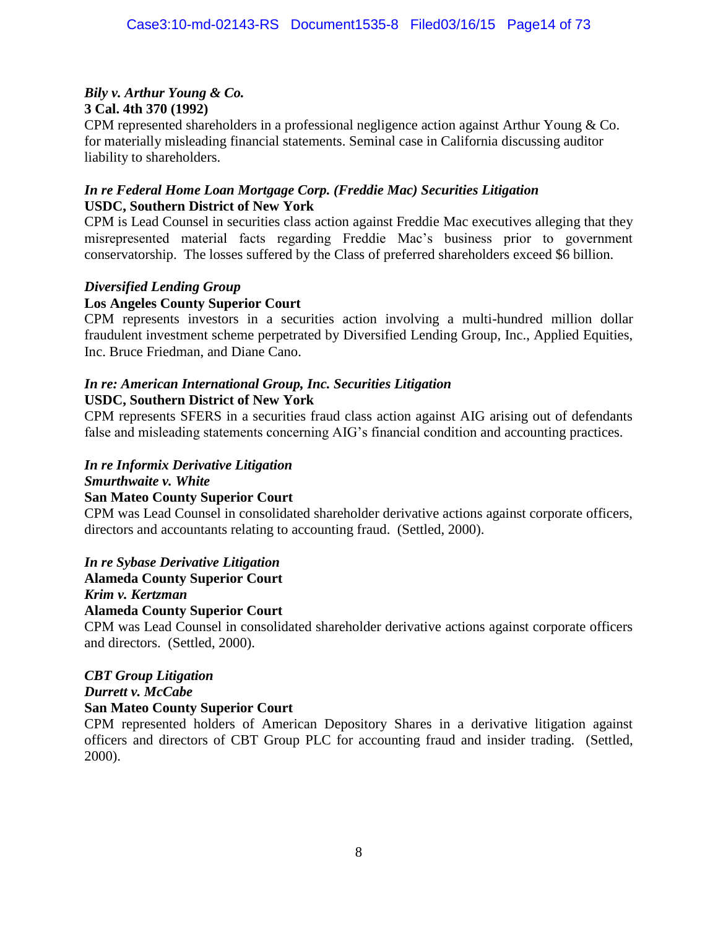#### *Bily v. Arthur Young & Co.* **3 Cal. 4th 370 (1992)**

CPM represented shareholders in a professional negligence action against Arthur Young & Co. for materially misleading financial statements. Seminal case in California discussing auditor liability to shareholders.

#### *In re Federal Home Loan Mortgage Corp. (Freddie Mac) Securities Litigation* **USDC, Southern District of New York**

CPM is Lead Counsel in securities class action against Freddie Mac executives alleging that they misrepresented material facts regarding Freddie Mac's business prior to government conservatorship. The losses suffered by the Class of preferred shareholders exceed \$6 billion.

#### *Diversified Lending Group*

#### **Los Angeles County Superior Court**

CPM represents investors in a securities action involving a multi-hundred million dollar fraudulent investment scheme perpetrated by Diversified Lending Group, Inc., Applied Equities, Inc. Bruce Friedman, and Diane Cano.

#### *In re: American International Group, Inc. Securities Litigation* **USDC, Southern District of New York**

CPM represents SFERS in a securities fraud class action against AIG arising out of defendants false and misleading statements concerning AIG's financial condition and accounting practices.

## *In re Informix Derivative Litigation*

*Smurthwaite v. White* 

#### **San Mateo County Superior Court**

CPM was Lead Counsel in consolidated shareholder derivative actions against corporate officers, directors and accountants relating to accounting fraud. (Settled, 2000).

#### *In re Sybase Derivative Litigation*

**Alameda County Superior Court** 

#### *Krim v. Kertzman*

#### **Alameda County Superior Court**

CPM was Lead Counsel in consolidated shareholder derivative actions against corporate officers and directors. (Settled, 2000).

#### *CBT Group Litigation*

*Durrett v. McCabe*

#### **San Mateo County Superior Court**

CPM represented holders of American Depository Shares in a derivative litigation against officers and directors of CBT Group PLC for accounting fraud and insider trading. (Settled, 2000).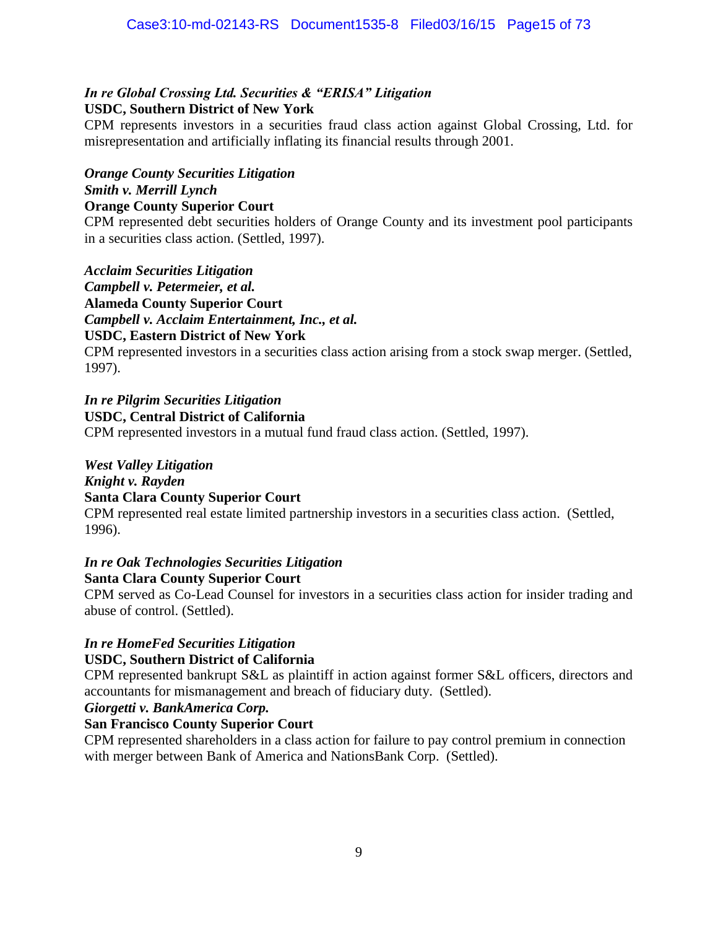#### *In re Global Crossing Ltd. Securities & "ERISA" Litigation* **USDC, Southern District of New York**

CPM represents investors in a securities fraud class action against Global Crossing, Ltd. for misrepresentation and artificially inflating its financial results through 2001.

*Orange County Securities Litigation Smith v. Merrill Lynch* **Orange County Superior Court**

CPM represented debt securities holders of Orange County and its investment pool participants in a securities class action. (Settled, 1997).

*Acclaim Securities Litigation Campbell v. Petermeier, et al.* **Alameda County Superior Court** *Campbell v. Acclaim Entertainment, Inc., et al.* **USDC, Eastern District of New York**

CPM represented investors in a securities class action arising from a stock swap merger. (Settled, 1997).

*In re Pilgrim Securities Litigation* **USDC, Central District of California**

CPM represented investors in a mutual fund fraud class action. (Settled, 1997).

#### *West Valley Litigation*

*Knight v. Rayden*

#### **Santa Clara County Superior Court**

CPM represented real estate limited partnership investors in a securities class action. (Settled, 1996).

# *In re Oak Technologies Securities Litigation*

**Santa Clara County Superior Court**

CPM served as Co-Lead Counsel for investors in a securities class action for insider trading and abuse of control. (Settled).

# *In re HomeFed Securities Litigation*

#### **USDC, Southern District of California**

CPM represented bankrupt S&L as plaintiff in action against former S&L officers, directors and accountants for mismanagement and breach of fiduciary duty. (Settled).

*Giorgetti v. BankAmerica Corp.*

#### **San Francisco County Superior Court**

CPM represented shareholders in a class action for failure to pay control premium in connection with merger between Bank of America and NationsBank Corp. (Settled).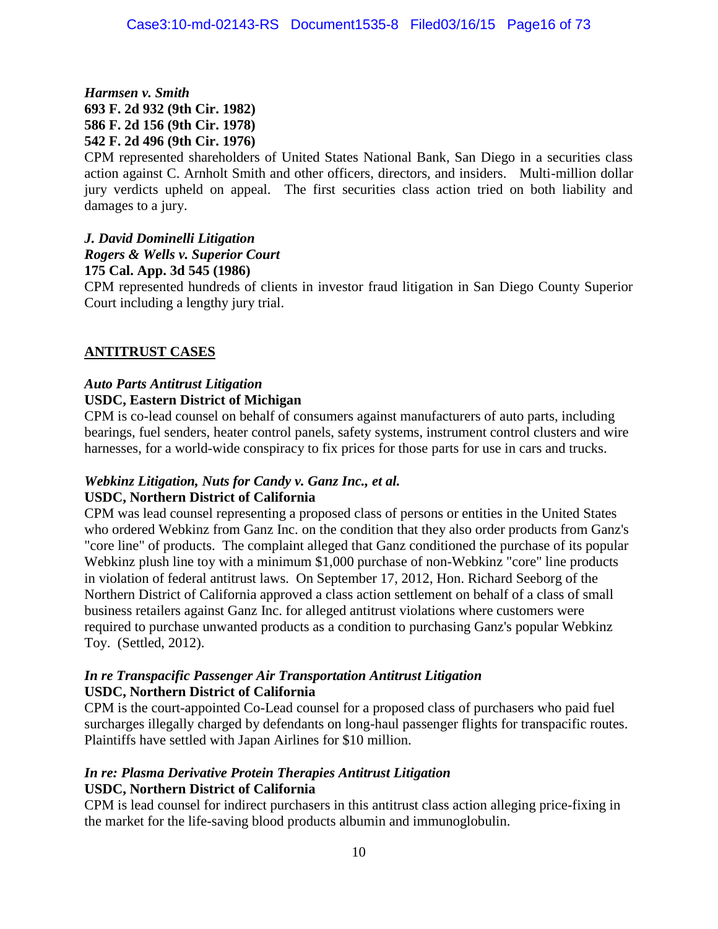*Harmsen v. Smith* **693 F. 2d 932 (9th Cir. 1982) 586 F. 2d 156 (9th Cir. 1978) 542 F. 2d 496 (9th Cir. 1976)**

CPM represented shareholders of United States National Bank, San Diego in a securities class action against C. Arnholt Smith and other officers, directors, and insiders. Multi-million dollar jury verdicts upheld on appeal. The first securities class action tried on both liability and damages to a jury.

#### *J. David Dominelli Litigation*

*Rogers & Wells v. Superior Court*

#### **175 Cal. App. 3d 545 (1986)**

CPM represented hundreds of clients in investor fraud litigation in San Diego County Superior Court including a lengthy jury trial.

#### **ANTITRUST CASES**

#### *Auto Parts Antitrust Litigation* **USDC, Eastern District of Michigan**

CPM is co-lead counsel on behalf of consumers against manufacturers of auto parts, including bearings, fuel senders, heater control panels, safety systems, instrument control clusters and wire harnesses, for a world-wide conspiracy to fix prices for those parts for use in cars and trucks.

# *Webkinz Litigation, Nuts for Candy v. Ganz Inc., et al.*

#### **USDC, Northern District of California**

CPM was lead counsel representing a proposed class of persons or entities in the United States who ordered Webkinz from Ganz Inc. on the condition that they also order products from Ganz's "core line" of products. The complaint alleged that Ganz conditioned the purchase of its popular Webkinz plush line toy with a minimum \$1,000 purchase of non-Webkinz "core" line products in violation of federal antitrust laws. On September 17, 2012, Hon. Richard Seeborg of the Northern District of California approved a class action settlement on behalf of a class of small business retailers against Ganz Inc. for alleged antitrust violations where customers were required to purchase unwanted products as a condition to purchasing Ganz's popular Webkinz Toy. (Settled, 2012).

#### *In re Transpacific Passenger Air Transportation Antitrust Litigation* **USDC, Northern District of California**

CPM is the court-appointed Co-Lead counsel for a proposed class of purchasers who paid fuel surcharges illegally charged by defendants on long-haul passenger flights for transpacific routes. Plaintiffs have settled with Japan Airlines for \$10 million.

#### *In re: Plasma Derivative Protein Therapies Antitrust Litigation* **USDC, Northern District of California**

CPM is lead counsel for indirect purchasers in this antitrust class action alleging price-fixing in the market for the life-saving blood products albumin and immunoglobulin.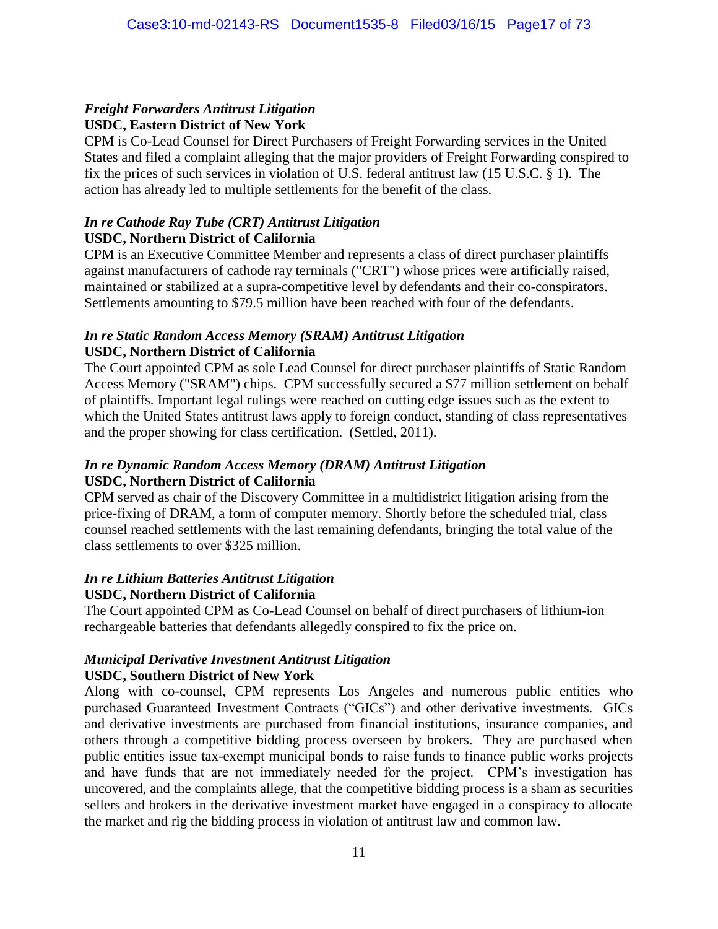#### *Freight Forwarders Antitrust Litigation*

#### **USDC, Eastern District of New York**

CPM is Co-Lead Counsel for Direct Purchasers of Freight Forwarding services in the United States and filed a complaint alleging that the major providers of Freight Forwarding conspired to fix the prices of such services in violation of U.S. federal antitrust law (15 U.S.C. § 1). The action has already led to multiple settlements for the benefit of the class.

#### *In re Cathode Ray Tube (CRT) Antitrust Litigation* **USDC, Northern District of California**

CPM is an Executive Committee Member and represents a class of direct purchaser plaintiffs against manufacturers of cathode ray terminals ("CRT") whose prices were artificially raised, maintained or stabilized at a supra-competitive level by defendants and their co-conspirators. Settlements amounting to \$79.5 million have been reached with four of the defendants.

#### *In re Static Random Access Memory (SRAM) Antitrust Litigation* **USDC, Northern District of California**

The Court appointed CPM as sole Lead Counsel for direct purchaser plaintiffs of Static Random Access Memory ("SRAM") chips. CPM successfully secured a \$77 million settlement on behalf of plaintiffs. Important legal rulings were reached on cutting edge issues such as the extent to which the United States antitrust laws apply to foreign conduct, standing of class representatives and the proper showing for class certification. (Settled, 2011).

#### *In re Dynamic Random Access Memory (DRAM) Antitrust Litigation* **USDC, Northern District of California**

CPM served as chair of the Discovery Committee in a multidistrict litigation arising from the price-fixing of DRAM, a form of computer memory. Shortly before the scheduled trial, class counsel reached settlements with the last remaining defendants, bringing the total value of the class settlements to over \$325 million.

#### *In re Lithium Batteries Antitrust Litigation* **USDC, Northern District of California**

The Court appointed CPM as Co-Lead Counsel on behalf of direct purchasers of lithium-ion rechargeable batteries that defendants allegedly conspired to fix the price on.

#### *Municipal Derivative Investment Antitrust Litigation* **USDC, Southern District of New York**

Along with co-counsel, CPM represents Los Angeles and numerous public entities who purchased Guaranteed Investment Contracts ("GICs") and other derivative investments. GICs and derivative investments are purchased from financial institutions, insurance companies, and others through a competitive bidding process overseen by brokers. They are purchased when public entities issue tax-exempt municipal bonds to raise funds to finance public works projects and have funds that are not immediately needed for the project. CPM's investigation has uncovered, and the complaints allege, that the competitive bidding process is a sham as securities sellers and brokers in the derivative investment market have engaged in a conspiracy to allocate the market and rig the bidding process in violation of antitrust law and common law.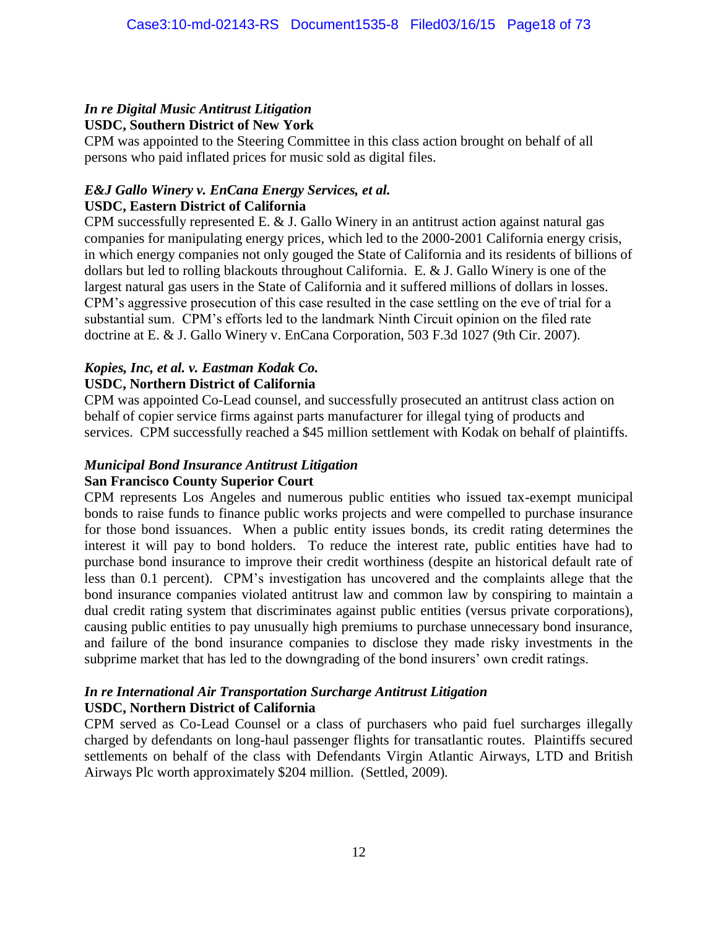#### *In re Digital Music Antitrust Litigation* **USDC, Southern District of New York**

CPM was appointed to the Steering Committee in this class action brought on behalf of all persons who paid inflated prices for music sold as digital files.

#### *E&J Gallo Winery v. EnCana Energy Services, et al.* **USDC, Eastern District of California**

CPM successfully represented E. & J. Gallo Winery in an antitrust action against natural gas companies for manipulating energy prices, which led to the 2000-2001 California energy crisis, in which energy companies not only gouged the State of California and its residents of billions of dollars but led to rolling blackouts throughout California. E. & J. Gallo Winery is one of the largest natural gas users in the State of California and it suffered millions of dollars in losses. CPM's aggressive prosecution of this case resulted in the case settling on the eve of trial for a substantial sum. CPM's efforts led to the landmark Ninth Circuit opinion on the filed rate doctrine at E. & J. Gallo Winery v. EnCana Corporation, 503 F.3d 1027 (9th Cir. 2007).

## *Kopies, Inc, et al. v. Eastman Kodak Co.*

#### **USDC, Northern District of California**

CPM was appointed Co-Lead counsel, and successfully prosecuted an antitrust class action on behalf of copier service firms against parts manufacturer for illegal tying of products and services. CPM successfully reached a \$45 million settlement with Kodak on behalf of plaintiffs.

#### *Municipal Bond Insurance Antitrust Litigation* **San Francisco County Superior Court**

CPM represents Los Angeles and numerous public entities who issued tax-exempt municipal bonds to raise funds to finance public works projects and were compelled to purchase insurance for those bond issuances. When a public entity issues bonds, its credit rating determines the interest it will pay to bond holders. To reduce the interest rate, public entities have had to purchase bond insurance to improve their credit worthiness (despite an historical default rate of less than 0.1 percent). CPM's investigation has uncovered and the complaints allege that the bond insurance companies violated antitrust law and common law by conspiring to maintain a dual credit rating system that discriminates against public entities (versus private corporations), causing public entities to pay unusually high premiums to purchase unnecessary bond insurance, and failure of the bond insurance companies to disclose they made risky investments in the subprime market that has led to the downgrading of the bond insurers' own credit ratings.

#### *In re International Air Transportation Surcharge Antitrust Litigation* **USDC, Northern District of California**

CPM served as Co-Lead Counsel or a class of purchasers who paid fuel surcharges illegally charged by defendants on long-haul passenger flights for transatlantic routes. Plaintiffs secured settlements on behalf of the class with Defendants Virgin Atlantic Airways, LTD and British Airways Plc worth approximately \$204 million. (Settled, 2009).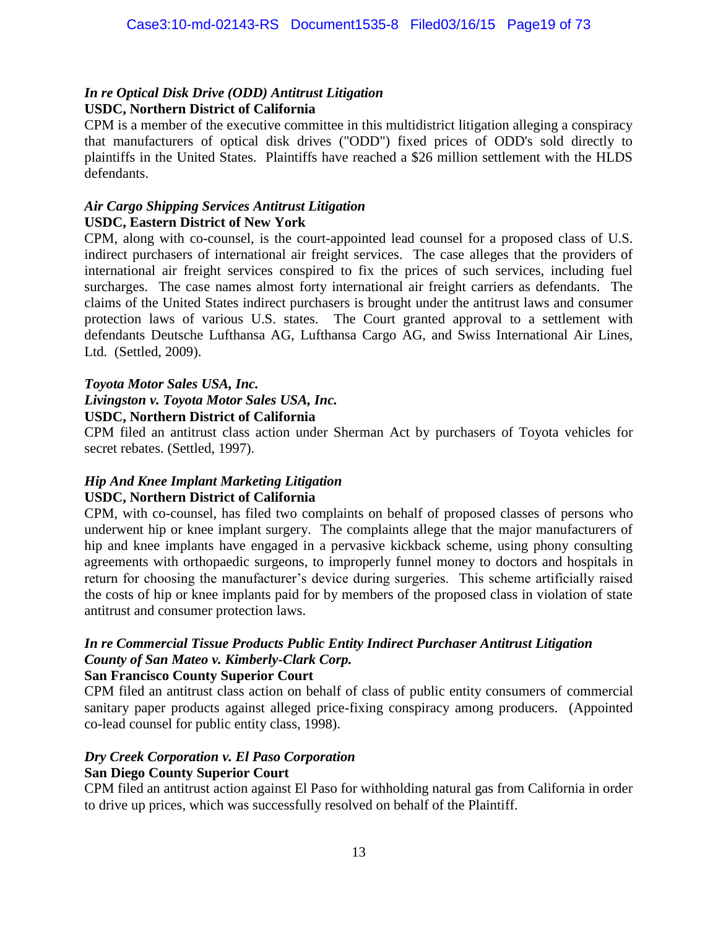#### *In re Optical Disk Drive (ODD) Antitrust Litigation* **USDC, Northern District of California**

CPM is a member of the executive committee in this multidistrict litigation alleging a conspiracy that manufacturers of optical disk drives ("ODD") fixed prices of ODD's sold directly to plaintiffs in the United States. Plaintiffs have reached a \$26 million settlement with the HLDS defendants.

#### *Air Cargo Shipping Services Antitrust Litigation* **USDC, Eastern District of New York**

CPM, along with co-counsel, is the court-appointed lead counsel for a proposed class of U.S. indirect purchasers of international air freight services. The case alleges that the providers of international air freight services conspired to fix the prices of such services, including fuel surcharges. The case names almost forty international air freight carriers as defendants. The claims of the United States indirect purchasers is brought under the antitrust laws and consumer protection laws of various U.S. states. The Court granted approval to a settlement with defendants Deutsche Lufthansa AG, Lufthansa Cargo AG, and Swiss International Air Lines, Ltd. (Settled, 2009).

#### *Toyota Motor Sales USA, Inc.*

*Livingston v. Toyota Motor Sales USA, Inc.*

#### **USDC, Northern District of California**

CPM filed an antitrust class action under Sherman Act by purchasers of Toyota vehicles for secret rebates. (Settled, 1997).

# *Hip And Knee Implant Marketing Litigation*

#### **USDC, Northern District of California**

CPM, with co-counsel, has filed two complaints on behalf of proposed classes of persons who underwent hip or knee implant surgery. The complaints allege that the major manufacturers of hip and knee implants have engaged in a pervasive kickback scheme, using phony consulting agreements with orthopaedic surgeons, to improperly funnel money to doctors and hospitals in return for choosing the manufacturer's device during surgeries. This scheme artificially raised the costs of hip or knee implants paid for by members of the proposed class in violation of state antitrust and consumer protection laws.

# *In re Commercial Tissue Products Public Entity Indirect Purchaser Antitrust Litigation County of San Mateo v. Kimberly-Clark Corp.*

#### **San Francisco County Superior Court**

CPM filed an antitrust class action on behalf of class of public entity consumers of commercial sanitary paper products against alleged price-fixing conspiracy among producers. (Appointed co-lead counsel for public entity class, 1998).

# *Dry Creek Corporation v. El Paso Corporation*

#### **San Diego County Superior Court**

CPM filed an antitrust action against El Paso for withholding natural gas from California in order to drive up prices, which was successfully resolved on behalf of the Plaintiff.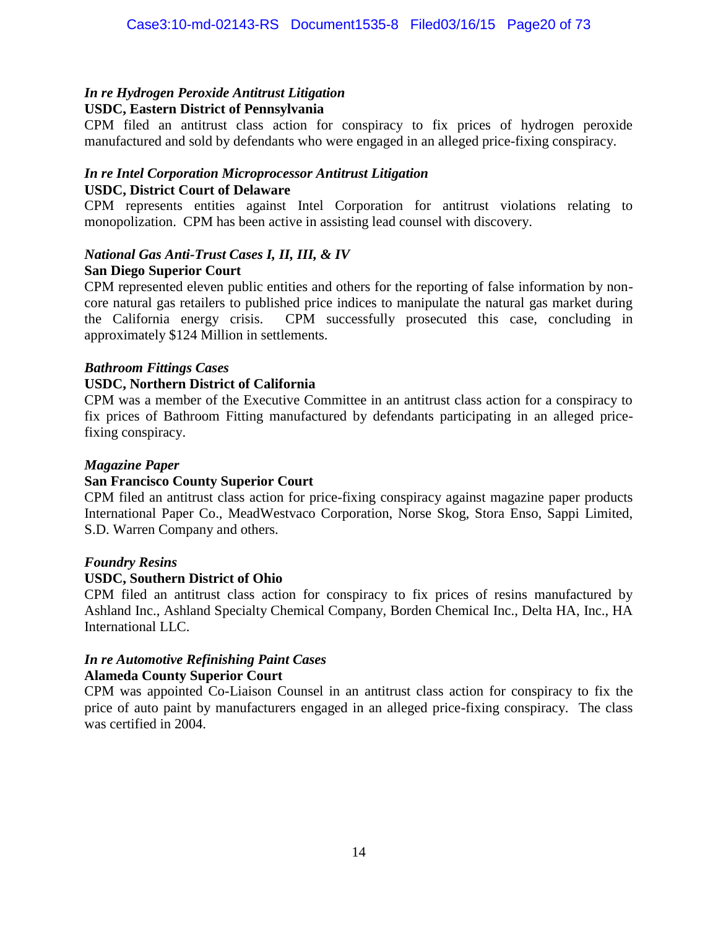## *In re Hydrogen Peroxide Antitrust Litigation*

#### **USDC, Eastern District of Pennsylvania**

CPM filed an antitrust class action for conspiracy to fix prices of hydrogen peroxide manufactured and sold by defendants who were engaged in an alleged price-fixing conspiracy.

#### *In re Intel Corporation Microprocessor Antitrust Litigation* **USDC, District Court of Delaware**

CPM represents entities against Intel Corporation for antitrust violations relating to monopolization. CPM has been active in assisting lead counsel with discovery.

#### *National Gas Anti-Trust Cases I, II, III, & IV* **San Diego Superior Court**

CPM represented eleven public entities and others for the reporting of false information by noncore natural gas retailers to published price indices to manipulate the natural gas market during the California energy crisis. CPM successfully prosecuted this case, concluding in approximately \$124 Million in settlements.

#### *Bathroom Fittings Cases*

#### **USDC, Northern District of California**

CPM was a member of the Executive Committee in an antitrust class action for a conspiracy to fix prices of Bathroom Fitting manufactured by defendants participating in an alleged pricefixing conspiracy.

#### *Magazine Paper*

#### **San Francisco County Superior Court**

CPM filed an antitrust class action for price-fixing conspiracy against magazine paper products International Paper Co., MeadWestvaco Corporation, Norse Skog, Stora Enso, Sappi Limited, S.D. Warren Company and others.

#### *Foundry Resins*

#### **USDC, Southern District of Ohio**

CPM filed an antitrust class action for conspiracy to fix prices of resins manufactured by Ashland Inc., Ashland Specialty Chemical Company, Borden Chemical Inc., Delta HA, Inc., HA International LLC.

#### *In re Automotive Refinishing Paint Cases* **Alameda County Superior Court**

CPM was appointed Co-Liaison Counsel in an antitrust class action for conspiracy to fix the price of auto paint by manufacturers engaged in an alleged price-fixing conspiracy. The class was certified in 2004.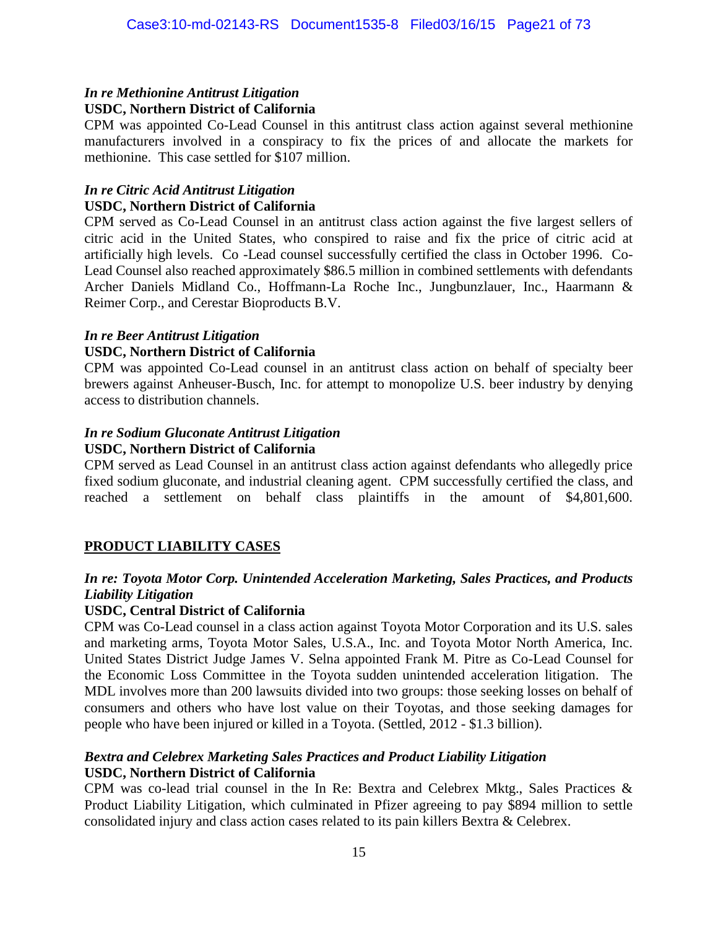#### *In re Methionine Antitrust Litigation* **USDC, Northern District of California**

CPM was appointed Co-Lead Counsel in this antitrust class action against several methionine manufacturers involved in a conspiracy to fix the prices of and allocate the markets for methionine. This case settled for \$107 million.

#### *In re Citric Acid Antitrust Litigation* **USDC, Northern District of California**

CPM served as Co-Lead Counsel in an antitrust class action against the five largest sellers of citric acid in the United States, who conspired to raise and fix the price of citric acid at artificially high levels. Co -Lead counsel successfully certified the class in October 1996. Co-Lead Counsel also reached approximately \$86.5 million in combined settlements with defendants Archer Daniels Midland Co., Hoffmann-La Roche Inc., Jungbunzlauer, Inc., Haarmann & Reimer Corp., and Cerestar Bioproducts B.V.

## *In re Beer Antitrust Litigation*

#### **USDC, Northern District of California**

CPM was appointed Co-Lead counsel in an antitrust class action on behalf of specialty beer brewers against Anheuser-Busch, Inc. for attempt to monopolize U.S. beer industry by denying access to distribution channels.

# *In re Sodium Gluconate Antitrust Litigation*

#### **USDC, Northern District of California**

CPM served as Lead Counsel in an antitrust class action against defendants who allegedly price fixed sodium gluconate, and industrial cleaning agent. CPM successfully certified the class, and reached a settlement on behalf class plaintiffs in the amount of \$4,801,600.

#### **PRODUCT LIABILITY CASES**

#### *In re: Toyota Motor Corp. Unintended Acceleration Marketing, Sales Practices, and Products Liability Litigation*

#### **USDC, Central District of California**

CPM was Co-Lead counsel in a class action against Toyota Motor Corporation and its U.S. sales and marketing arms, Toyota Motor Sales, U.S.A., Inc. and Toyota Motor North America, Inc. United States District Judge James V. Selna appointed Frank M. Pitre as Co-Lead Counsel for the Economic Loss Committee in the Toyota sudden unintended acceleration litigation. The MDL involves more than 200 lawsuits divided into two groups: those seeking losses on behalf of consumers and others who have lost value on their Toyotas, and those seeking damages for people who have been injured or killed in a Toyota. (Settled, 2012 - \$1.3 billion).

#### *Bextra and Celebrex Marketing Sales Practices and Product Liability Litigation* **USDC, Northern District of California**

CPM was co-lead trial counsel in the In Re: Bextra and Celebrex Mktg., Sales Practices & Product Liability Litigation, which culminated in Pfizer agreeing to pay \$894 million to settle consolidated injury and class action cases related to its pain killers Bextra & Celebrex.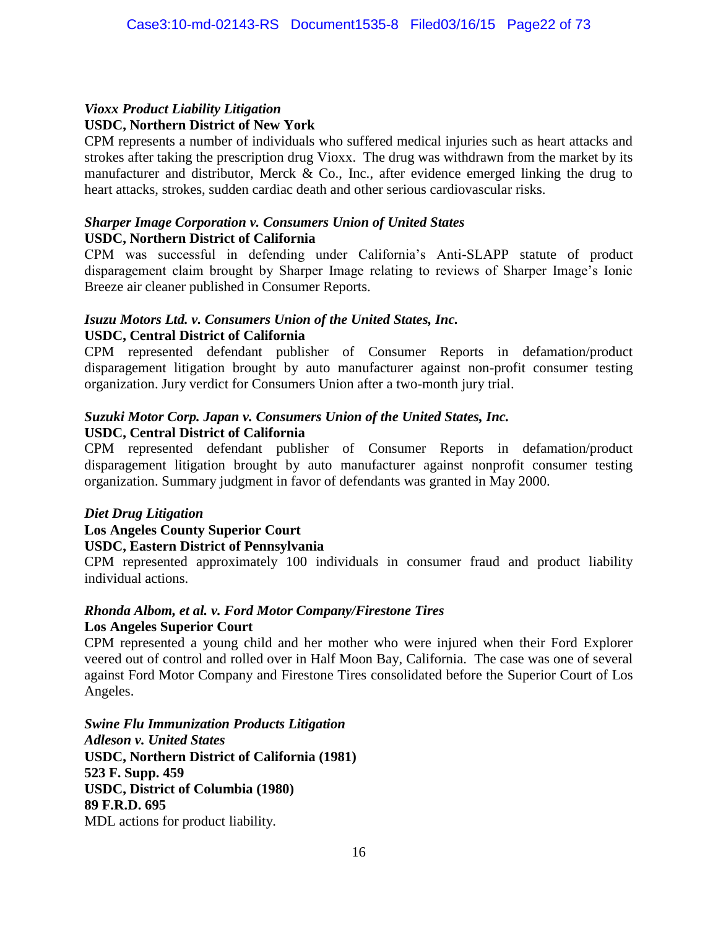#### *Vioxx Product Liability Litigation* **USDC, Northern District of New York**

CPM represents a number of individuals who suffered medical injuries such as heart attacks and strokes after taking the prescription drug Vioxx. The drug was withdrawn from the market by its manufacturer and distributor, Merck & Co., Inc., after evidence emerged linking the drug to heart attacks, strokes, sudden cardiac death and other serious cardiovascular risks.

#### *Sharper Image Corporation v. Consumers Union of United States* **USDC, Northern District of California**

CPM was successful in defending under California's Anti-SLAPP statute of product disparagement claim brought by Sharper Image relating to reviews of Sharper Image's Ionic Breeze air cleaner published in Consumer Reports.

## *Isuzu Motors Ltd. v. Consumers Union of the United States, Inc.*

#### **USDC, Central District of California**

CPM represented defendant publisher of Consumer Reports in defamation/product disparagement litigation brought by auto manufacturer against non-profit consumer testing organization. Jury verdict for Consumers Union after a two-month jury trial.

#### *Suzuki Motor Corp. Japan v. Consumers Union of the United States, Inc.* **USDC, Central District of California**

CPM represented defendant publisher of Consumer Reports in defamation/product disparagement litigation brought by auto manufacturer against nonprofit consumer testing organization. Summary judgment in favor of defendants was granted in May 2000.

#### *Diet Drug Litigation*

#### **Los Angeles County Superior Court**

#### **USDC, Eastern District of Pennsylvania**

CPM represented approximately 100 individuals in consumer fraud and product liability individual actions.

#### *Rhonda Albom, et al. v. Ford Motor Company/Firestone Tires* **Los Angeles Superior Court**

CPM represented a young child and her mother who were injured when their Ford Explorer veered out of control and rolled over in Half Moon Bay, California. The case was one of several against Ford Motor Company and Firestone Tires consolidated before the Superior Court of Los Angeles.

*Swine Flu Immunization Products Litigation Adleson v. United States* **USDC, Northern District of California (1981) 523 F. Supp. 459 USDC, District of Columbia (1980) 89 F.R.D. 695** MDL actions for product liability.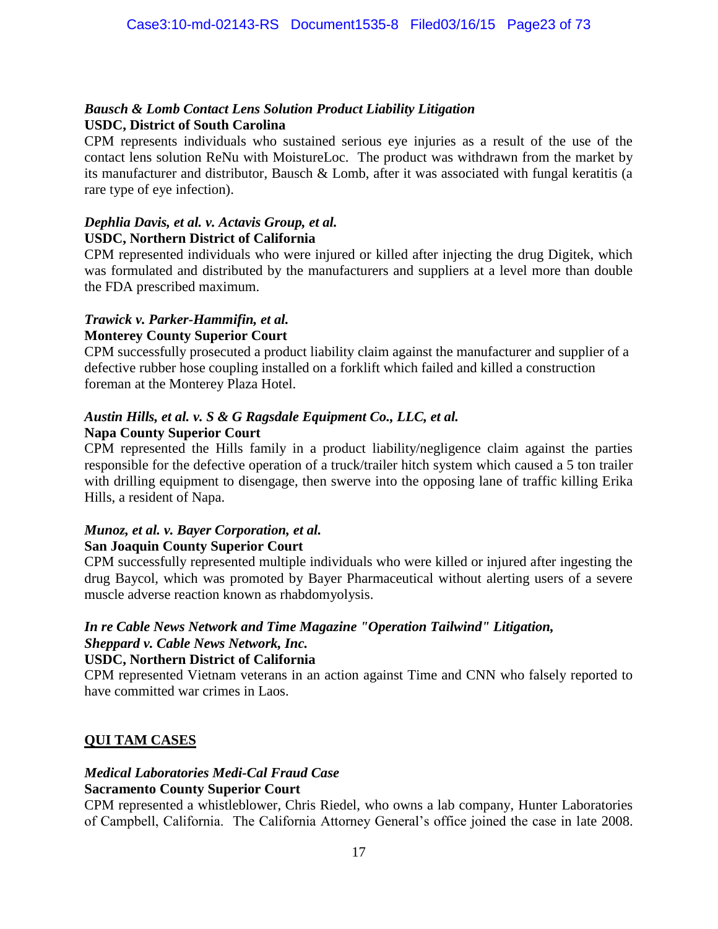#### *Bausch & Lomb Contact Lens Solution Product Liability Litigation* **USDC, District of South Carolina**

CPM represents individuals who sustained serious eye injuries as a result of the use of the contact lens solution ReNu with MoistureLoc. The product was withdrawn from the market by its manufacturer and distributor, Bausch & Lomb, after it was associated with fungal keratitis (a rare type of eye infection).

#### *Dephlia Davis, et al. v. Actavis Group, et al.* **USDC, Northern District of California**

CPM represented individuals who were injured or killed after injecting the drug Digitek, which was formulated and distributed by the manufacturers and suppliers at a level more than double the FDA prescribed maximum.

#### *Trawick v. Parker-Hammifin, et al.*

#### **Monterey County Superior Court**

CPM successfully prosecuted a product liability claim against the manufacturer and supplier of a defective rubber hose coupling installed on a forklift which failed and killed a construction foreman at the Monterey Plaza Hotel.

#### *Austin Hills, et al. v. S & G Ragsdale Equipment Co., LLC, et al.* **Napa County Superior Court**

CPM represented the Hills family in a product liability/negligence claim against the parties responsible for the defective operation of a truck/trailer hitch system which caused a 5 ton trailer with drilling equipment to disengage, then swerve into the opposing lane of traffic killing Erika Hills, a resident of Napa.

#### *Munoz, et al. v. Bayer Corporation, et al.* **San Joaquin County Superior Court**

CPM successfully represented multiple individuals who were killed or injured after ingesting the drug Baycol, which was promoted by Bayer Pharmaceutical without alerting users of a severe muscle adverse reaction known as rhabdomyolysis.

#### *In re Cable News Network and Time Magazine "Operation Tailwind" Litigation, Sheppard v. Cable News Network, Inc.*

#### **USDC, Northern District of California**

CPM represented Vietnam veterans in an action against Time and CNN who falsely reported to have committed war crimes in Laos.

#### **QUI TAM CASES**

#### *Medical Laboratories Medi-Cal Fraud Case*

#### **Sacramento County Superior Court**

CPM represented a whistleblower, Chris Riedel, who owns a lab company, Hunter Laboratories of Campbell, California. The California Attorney General's office joined the case in late 2008.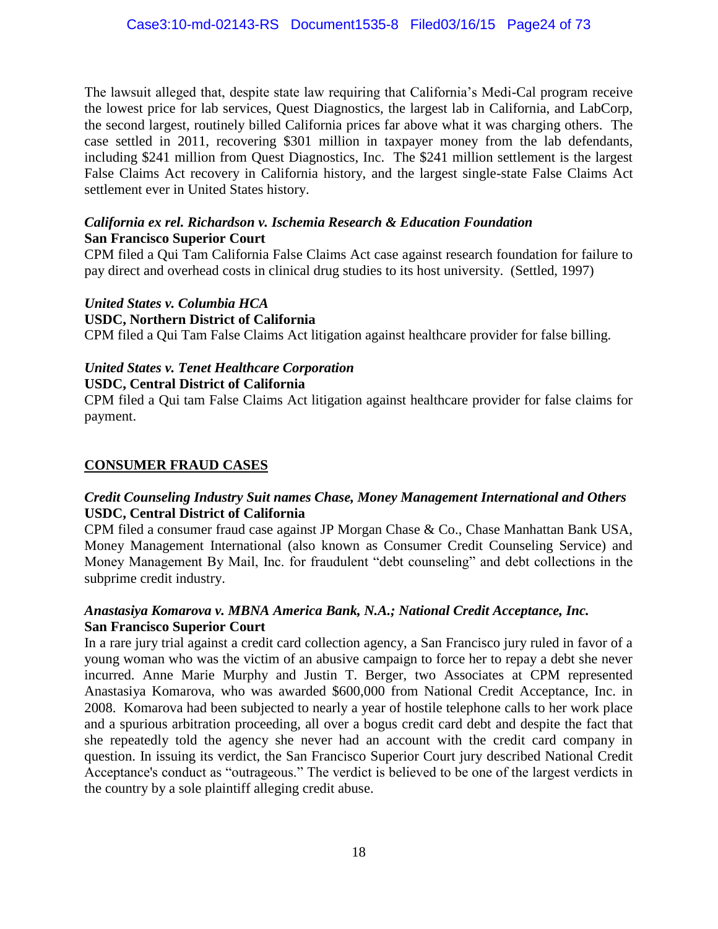The lawsuit alleged that, despite state law requiring that California's Medi-Cal program receive the lowest price for lab services, Quest Diagnostics, the largest lab in California, and LabCorp, the second largest, routinely billed California prices far above what it was charging others. The case settled in 2011, recovering \$301 million in taxpayer money from the lab defendants, including \$241 million from Quest Diagnostics, Inc. The \$241 million settlement is the largest False Claims Act recovery in California history, and the largest single-state False Claims Act settlement ever in United States history.

#### *California ex rel. Richardson v. Ischemia Research & Education Foundation* **San Francisco Superior Court**

CPM filed a Qui Tam California False Claims Act case against research foundation for failure to pay direct and overhead costs in clinical drug studies to its host university. (Settled, 1997)

*United States v. Columbia HCA*

#### **USDC, Northern District of California**

CPM filed a Qui Tam False Claims Act litigation against healthcare provider for false billing.

## *United States v. Tenet Healthcare Corporation*

#### **USDC, Central District of California**

CPM filed a Qui tam False Claims Act litigation against healthcare provider for false claims for payment.

#### **CONSUMER FRAUD CASES**

#### *Credit Counseling Industry Suit names Chase, Money Management International and Others* **USDC, Central District of California**

CPM filed a consumer fraud case against JP Morgan Chase & Co., Chase Manhattan Bank USA, Money Management International (also known as Consumer Credit Counseling Service) and Money Management By Mail, Inc. for fraudulent "debt counseling" and debt collections in the subprime credit industry.

#### *Anastasiya Komarova v. MBNA America Bank, N.A.; National Credit Acceptance, Inc.* **San Francisco Superior Court**

In a rare jury trial against a credit card collection agency, a San Francisco jury ruled in favor of a young woman who was the victim of an abusive campaign to force her to repay a debt she never incurred. Anne Marie Murphy and Justin T. Berger, two Associates at CPM represented Anastasiya Komarova, who was awarded \$600,000 from National Credit Acceptance, Inc. in 2008. Komarova had been subjected to nearly a year of hostile telephone calls to her work place and a spurious arbitration proceeding, all over a bogus credit card debt and despite the fact that she repeatedly told the agency she never had an account with the credit card company in question. In issuing its verdict, the San Francisco Superior Court jury described National Credit Acceptance's conduct as "outrageous." The verdict is believed to be one of the largest verdicts in the country by a sole plaintiff alleging credit abuse.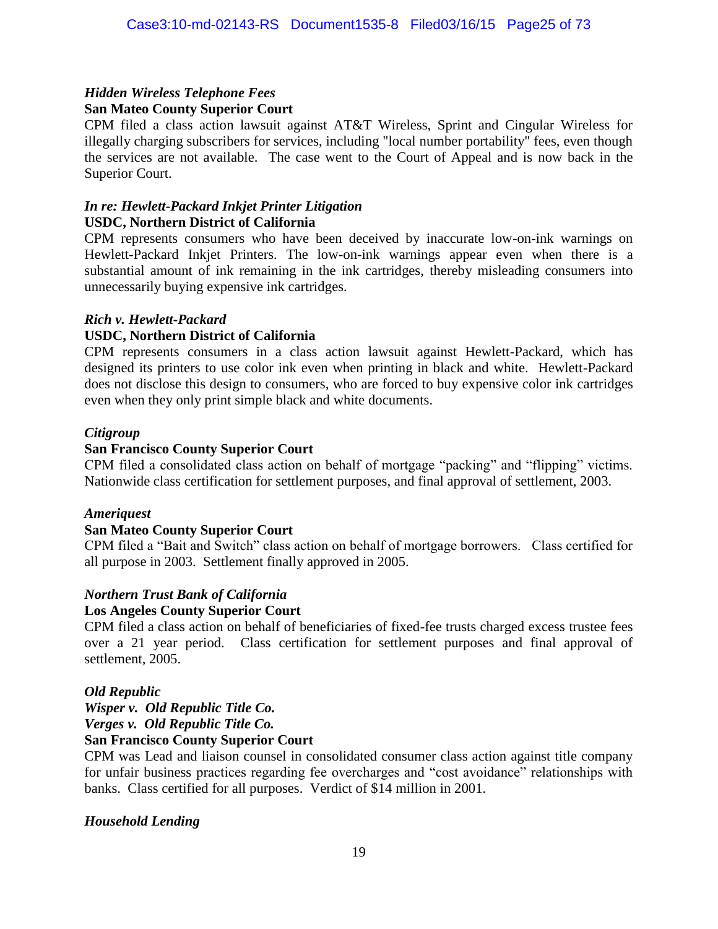#### *Hidden Wireless Telephone Fees* **San Mateo County Superior Court**

CPM filed a class action lawsuit against AT&T Wireless, Sprint and Cingular Wireless for illegally charging subscribers for services, including "local number portability" fees, even though the services are not available. The case went to the Court of Appeal and is now back in the Superior Court.

#### *In re: Hewlett-Packard Inkjet Printer Litigation* **USDC, Northern District of California**

CPM represents consumers who have been deceived by inaccurate low-on-ink warnings on Hewlett-Packard Inkjet Printers. The low-on-ink warnings appear even when there is a substantial amount of ink remaining in the ink cartridges, thereby misleading consumers into unnecessarily buying expensive ink cartridges.

#### *Rich v. Hewlett-Packard*

#### **USDC, Northern District of California**

CPM represents consumers in a class action lawsuit against Hewlett-Packard, which has designed its printers to use color ink even when printing in black and white. Hewlett-Packard does not disclose this design to consumers, who are forced to buy expensive color ink cartridges even when they only print simple black and white documents.

#### *Citigroup*

#### **San Francisco County Superior Court**

CPM filed a consolidated class action on behalf of mortgage "packing" and "flipping" victims. Nationwide class certification for settlement purposes, and final approval of settlement, 2003.

#### *Ameriquest*

#### **San Mateo County Superior Court**

CPM filed a "Bait and Switch" class action on behalf of mortgage borrowers. Class certified for all purpose in 2003. Settlement finally approved in 2005.

#### *Northern Trust Bank of California*

#### **Los Angeles County Superior Court**

CPM filed a class action on behalf of beneficiaries of fixed-fee trusts charged excess trustee fees over a 21 year period. Class certification for settlement purposes and final approval of settlement, 2005.

#### *Old Republic*

*Wisper v. Old Republic Title Co. Verges v. Old Republic Title Co.*

#### **San Francisco County Superior Court**

CPM was Lead and liaison counsel in consolidated consumer class action against title company for unfair business practices regarding fee overcharges and "cost avoidance" relationships with banks. Class certified for all purposes. Verdict of \$14 million in 2001.

#### *Household Lending*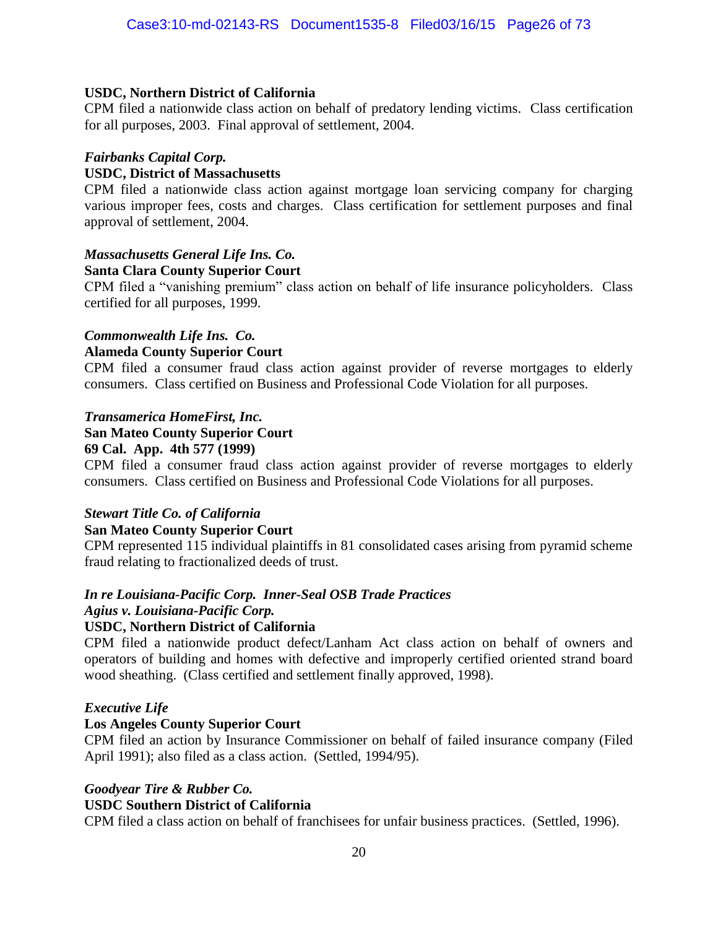#### **USDC, Northern District of California**

CPM filed a nationwide class action on behalf of predatory lending victims. Class certification for all purposes, 2003. Final approval of settlement, 2004.

#### *Fairbanks Capital Corp.*

#### **USDC, District of Massachusetts**

CPM filed a nationwide class action against mortgage loan servicing company for charging various improper fees, costs and charges. Class certification for settlement purposes and final approval of settlement, 2004.

#### *Massachusetts General Life Ins. Co.* **Santa Clara County Superior Court**

CPM filed a "vanishing premium" class action on behalf of life insurance policyholders. Class certified for all purposes, 1999.

#### *Commonwealth Life Ins. Co.*

#### **Alameda County Superior Court**

CPM filed a consumer fraud class action against provider of reverse mortgages to elderly consumers. Class certified on Business and Professional Code Violation for all purposes.

#### *Transamerica HomeFirst, Inc.*

#### **San Mateo County Superior Court**

#### **69 Cal. App. 4th 577 (1999)**

CPM filed a consumer fraud class action against provider of reverse mortgages to elderly consumers. Class certified on Business and Professional Code Violations for all purposes.

#### *Stewart Title Co. of California*

#### **San Mateo County Superior Court**

CPM represented 115 individual plaintiffs in 81 consolidated cases arising from pyramid scheme fraud relating to fractionalized deeds of trust.

#### *In re Louisiana-Pacific Corp. Inner-Seal OSB Trade Practices*

#### *Agius v. Louisiana-Pacific Corp.*

#### **USDC, Northern District of California**

CPM filed a nationwide product defect/Lanham Act class action on behalf of owners and operators of building and homes with defective and improperly certified oriented strand board wood sheathing. (Class certified and settlement finally approved, 1998).

#### *Executive Life*

#### **Los Angeles County Superior Court**

CPM filed an action by Insurance Commissioner on behalf of failed insurance company (Filed April 1991); also filed as a class action. (Settled, 1994/95).

# *Goodyear Tire & Rubber Co.*

#### **USDC Southern District of California**

CPM filed a class action on behalf of franchisees for unfair business practices. (Settled, 1996).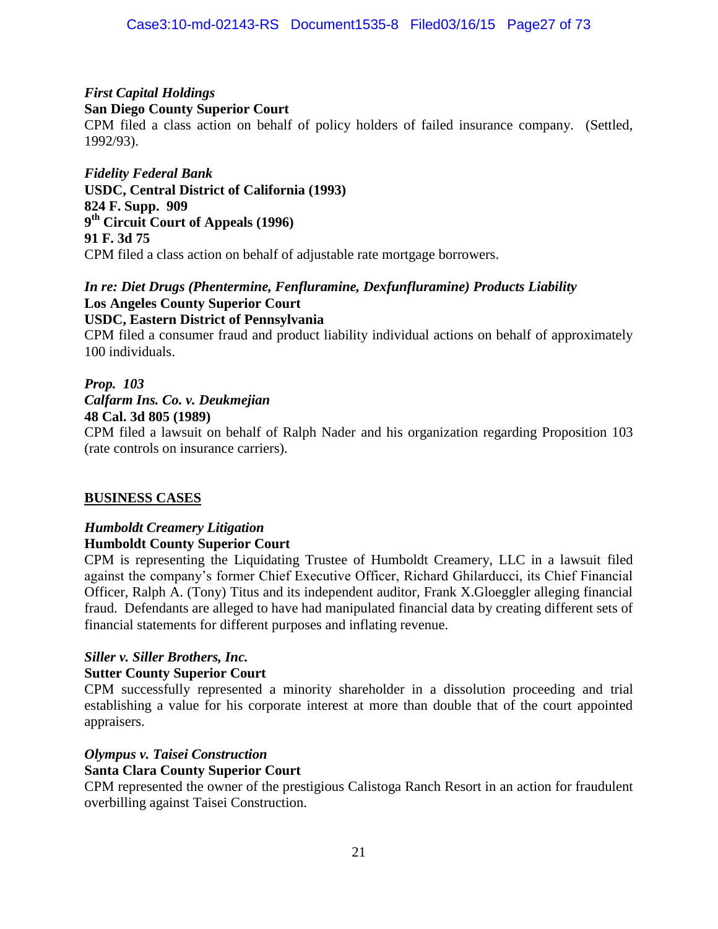#### *First Capital Holdings* **San Diego County Superior Court**

CPM filed a class action on behalf of policy holders of failed insurance company. (Settled, 1992/93).

*Fidelity Federal Bank* **USDC, Central District of California (1993) 824 F. Supp. 909 9 th Circuit Court of Appeals (1996) 91 F. 3d 75** CPM filed a class action on behalf of adjustable rate mortgage borrowers.

#### *In re: Diet Drugs (Phentermine, Fenfluramine, Dexfunfluramine) Products Liability* **Los Angeles County Superior Court USDC, Eastern District of Pennsylvania**

CPM filed a consumer fraud and product liability individual actions on behalf of approximately 100 individuals.

# *Prop. 103*

# *Calfarm Ins. Co. v. Deukmejian*

**48 Cal. 3d 805 (1989)**

CPM filed a lawsuit on behalf of Ralph Nader and his organization regarding Proposition 103 (rate controls on insurance carriers).

#### **BUSINESS CASES**

#### *Humboldt Creamery Litigation* **Humboldt County Superior Court**

CPM is representing the Liquidating Trustee of Humboldt Creamery, LLC in a lawsuit filed against the company's former Chief Executive Officer, Richard Ghilarducci, its Chief Financial Officer, Ralph A. (Tony) Titus and its independent auditor, Frank X.Gloeggler alleging financial fraud. Defendants are alleged to have had manipulated financial data by creating different sets of financial statements for different purposes and inflating revenue.

#### *Siller v. Siller Brothers, Inc.*

#### **Sutter County Superior Court**

CPM successfully represented a minority shareholder in a dissolution proceeding and trial establishing a value for his corporate interest at more than double that of the court appointed appraisers.

#### *Olympus v. Taisei Construction*

#### **Santa Clara County Superior Court**

CPM represented the owner of the prestigious Calistoga Ranch Resort in an action for fraudulent overbilling against Taisei Construction.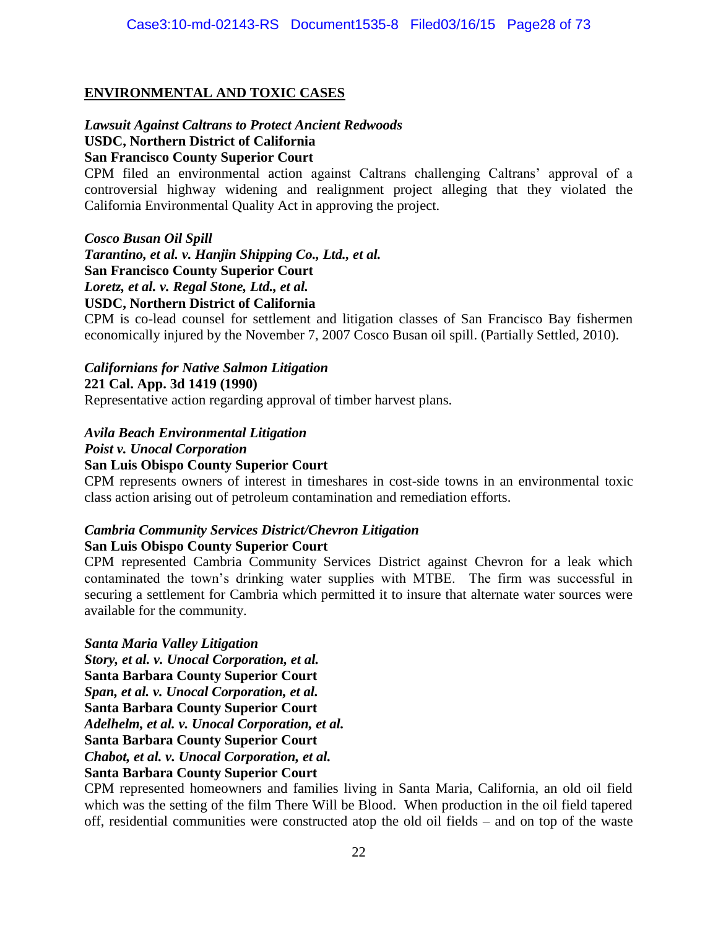#### **ENVIRONMENTAL AND TOXIC CASES**

#### *Lawsuit Against Caltrans to Protect Ancient Redwoods* **USDC, Northern District of California San Francisco County Superior Court**

CPM filed an environmental action against Caltrans challenging Caltrans' approval of a controversial highway widening and realignment project alleging that they violated the California Environmental Quality Act in approving the project.

*Cosco Busan Oil Spill Tarantino, et al. v. Hanjin Shipping Co., Ltd., et al.*  **San Francisco County Superior Court** *Loretz, et al. v. Regal Stone, Ltd., et al.*  **USDC, Northern District of California**

CPM is co-lead counsel for settlement and litigation classes of San Francisco Bay fishermen economically injured by the November 7, 2007 Cosco Busan oil spill. (Partially Settled, 2010).

# *Californians for Native Salmon Litigation* **221 Cal. App. 3d 1419 (1990)**

Representative action regarding approval of timber harvest plans.

#### *Avila Beach Environmental Litigation*

#### *Poist v. Unocal Corporation*

#### **San Luis Obispo County Superior Court**

CPM represents owners of interest in timeshares in cost-side towns in an environmental toxic class action arising out of petroleum contamination and remediation efforts.

#### *Cambria Community Services District/Chevron Litigation*

#### **San Luis Obispo County Superior Court**

CPM represented Cambria Community Services District against Chevron for a leak which contaminated the town's drinking water supplies with MTBE. The firm was successful in securing a settlement for Cambria which permitted it to insure that alternate water sources were available for the community.

#### *Santa Maria Valley Litigation*

*Story, et al. v. Unocal Corporation, et al.* 

**Santa Barbara County Superior Court**

*Span, et al. v. Unocal Corporation, et al.*

**Santa Barbara County Superior Court**

*Adelhelm, et al. v. Unocal Corporation, et al.*

**Santa Barbara County Superior Court**

*Chabot, et al. v. Unocal Corporation, et al.*

#### **Santa Barbara County Superior Court**

CPM represented homeowners and families living in Santa Maria, California, an old oil field which was the setting of the film There Will be Blood. When production in the oil field tapered off, residential communities were constructed atop the old oil fields – and on top of the waste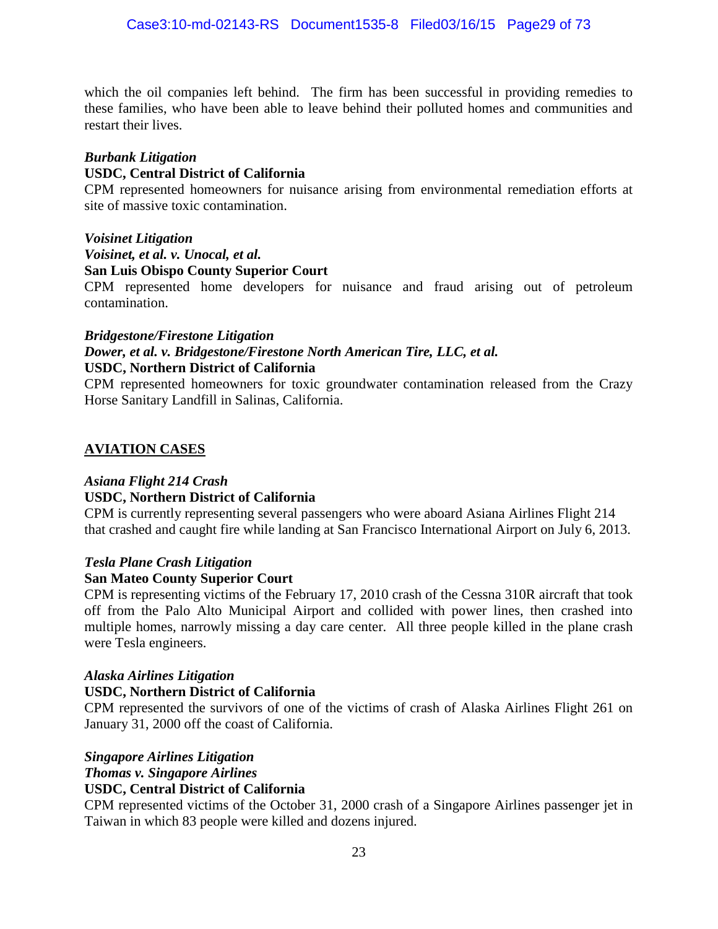which the oil companies left behind. The firm has been successful in providing remedies to these families, who have been able to leave behind their polluted homes and communities and restart their lives.

#### *Burbank Litigation*

#### **USDC, Central District of California**

CPM represented homeowners for nuisance arising from environmental remediation efforts at site of massive toxic contamination.

#### *Voisinet Litigation*

*Voisinet, et al. v. Unocal, et al.*

**San Luis Obispo County Superior Court**

CPM represented home developers for nuisance and fraud arising out of petroleum contamination.

#### *Bridgestone/Firestone Litigation Dower, et al. v. Bridgestone/Firestone North American Tire, LLC, et al.* **USDC, Northern District of California**

CPM represented homeowners for toxic groundwater contamination released from the Crazy Horse Sanitary Landfill in Salinas, California.

#### **AVIATION CASES**

#### *Asiana Flight 214 Crash*

#### **USDC, Northern District of California**

CPM is currently representing several passengers who were aboard Asiana Airlines Flight 214 that crashed and caught fire while landing at San Francisco International Airport on July 6, 2013.

#### *Tesla Plane Crash Litigation*

#### **San Mateo County Superior Court**

CPM is representing victims of the February 17, 2010 crash of the Cessna 310R aircraft that took off from the Palo Alto Municipal Airport and collided with power lines, then crashed into multiple homes, narrowly missing a day care center. All three people killed in the plane crash were Tesla engineers.

#### *Alaska Airlines Litigation*

#### **USDC, Northern District of California**

CPM represented the survivors of one of the victims of crash of Alaska Airlines Flight 261 on January 31, 2000 off the coast of California.

#### *Singapore Airlines Litigation*

#### *Thomas v. Singapore Airlines*

#### **USDC, Central District of California**

CPM represented victims of the October 31, 2000 crash of a Singapore Airlines passenger jet in Taiwan in which 83 people were killed and dozens injured.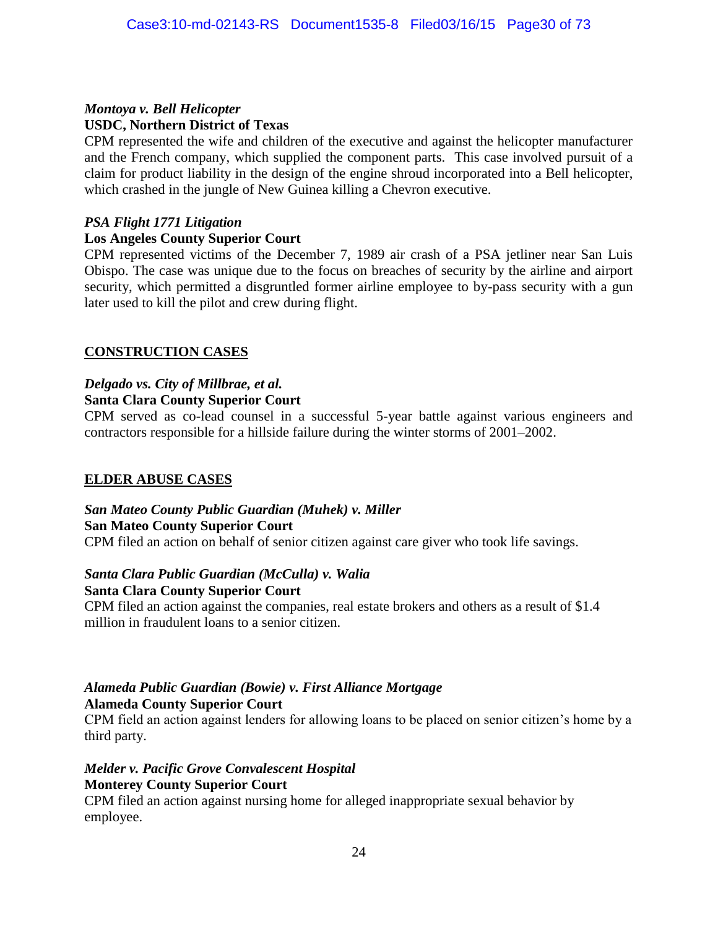#### *Montoya v. Bell Helicopter* **USDC, Northern District of Texas**

CPM represented the wife and children of the executive and against the helicopter manufacturer and the French company, which supplied the component parts. This case involved pursuit of a claim for product liability in the design of the engine shroud incorporated into a Bell helicopter, which crashed in the jungle of New Guinea killing a Chevron executive.

#### *PSA Flight 1771 Litigation*

#### **Los Angeles County Superior Court**

CPM represented victims of the December 7, 1989 air crash of a PSA jetliner near San Luis Obispo. The case was unique due to the focus on breaches of security by the airline and airport security, which permitted a disgruntled former airline employee to by-pass security with a gun later used to kill the pilot and crew during flight.

#### **CONSTRUCTION CASES**

# *Delgado vs. City of Millbrae, et al.*

# **Santa Clara County Superior Court**

CPM served as co-lead counsel in a successful 5-year battle against various engineers and contractors responsible for a hillside failure during the winter storms of 2001–2002.

#### **ELDER ABUSE CASES**

#### *San Mateo County Public Guardian (Muhek) v. Miller* **San Mateo County Superior Court**

CPM filed an action on behalf of senior citizen against care giver who took life savings.

#### *Santa Clara Public Guardian (McCulla) v. Walia* **Santa Clara County Superior Court**

CPM filed an action against the companies, real estate brokers and others as a result of \$1.4 million in fraudulent loans to a senior citizen.

#### *Alameda Public Guardian (Bowie) v. First Alliance Mortgage* **Alameda County Superior Court**

CPM field an action against lenders for allowing loans to be placed on senior citizen's home by a third party.

#### *Melder v. Pacific Grove Convalescent Hospital* **Monterey County Superior Court**

CPM filed an action against nursing home for alleged inappropriate sexual behavior by employee.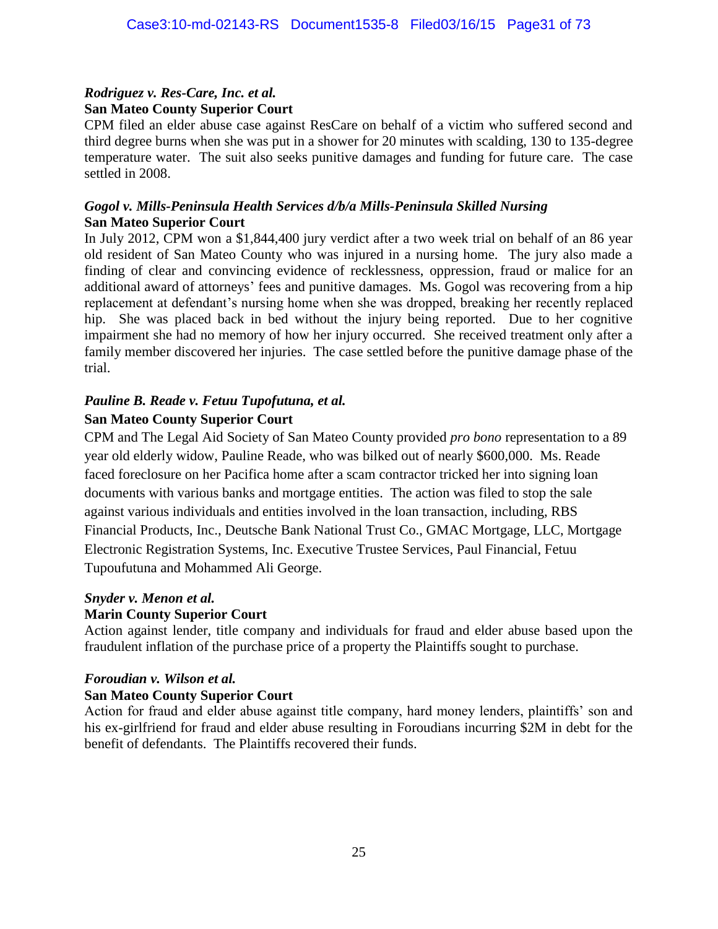#### *Rodriguez v. Res-Care, Inc. et al.* **San Mateo County Superior Court**

CPM filed an elder abuse case against ResCare on behalf of a victim who suffered second and third degree burns when she was put in a shower for 20 minutes with scalding, 130 to 135-degree temperature water. The suit also seeks punitive damages and funding for future care. The case settled in 2008.

#### *Gogol v. Mills-Peninsula Health Services d/b/a Mills-Peninsula Skilled Nursing* **San Mateo Superior Court**

In July 2012, CPM won a \$1,844,400 jury verdict after a two week trial on behalf of an 86 year old resident of San Mateo County who was injured in a nursing home. The jury also made a finding of clear and convincing evidence of recklessness, oppression, fraud or malice for an additional award of attorneys' fees and punitive damages. Ms. Gogol was recovering from a hip replacement at defendant's nursing home when she was dropped, breaking her recently replaced hip. She was placed back in bed without the injury being reported. Due to her cognitive impairment she had no memory of how her injury occurred. She received treatment only after a family member discovered her injuries. The case settled before the punitive damage phase of the trial.

#### *Pauline B. Reade v. Fetuu Tupofutuna, et al.* **San Mateo County Superior Court**

CPM and The Legal Aid Society of San Mateo County provided *pro bono* representation to a 89 year old elderly widow, Pauline Reade, who was bilked out of nearly \$600,000. Ms. Reade faced foreclosure on her Pacifica home after a scam contractor tricked her into signing loan documents with various banks and mortgage entities. The action was filed to stop the sale against various individuals and entities involved in the loan transaction, including, RBS Financial Products, Inc., Deutsche Bank National Trust Co., GMAC Mortgage, LLC, Mortgage Electronic Registration Systems, Inc. Executive Trustee Services, Paul Financial, Fetuu Tupoufutuna and Mohammed Ali George.

#### *Snyder v. Menon et al.*

#### **Marin County Superior Court**

Action against lender, title company and individuals for fraud and elder abuse based upon the fraudulent inflation of the purchase price of a property the Plaintiffs sought to purchase.

#### *Foroudian v. Wilson et al.*

#### **San Mateo County Superior Court**

Action for fraud and elder abuse against title company, hard money lenders, plaintiffs' son and his ex-girlfriend for fraud and elder abuse resulting in Foroudians incurring \$2M in debt for the benefit of defendants. The Plaintiffs recovered their funds.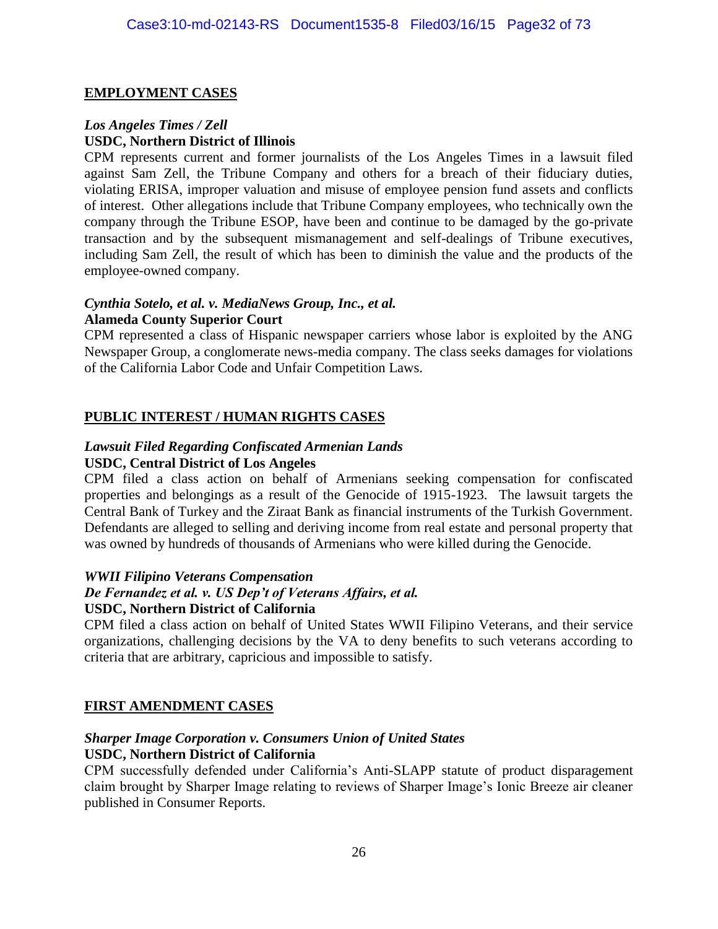#### **EMPLOYMENT CASES**

#### *Los Angeles Times / Zell* **USDC, Northern District of Illinois**

CPM represents current and former journalists of the Los Angeles Times in a lawsuit filed against Sam Zell, the Tribune Company and others for a breach of their fiduciary duties, violating ERISA, improper valuation and misuse of employee pension fund assets and conflicts of interest. Other allegations include that Tribune Company employees, who technically own the company through the Tribune ESOP, have been and continue to be damaged by the go-private transaction and by the subsequent mismanagement and self-dealings of Tribune executives, including Sam Zell, the result of which has been to diminish the value and the products of the employee-owned company.

#### *Cynthia Sotelo, et al. v. MediaNews Group, Inc., et al.* **Alameda County Superior Court**

CPM represented a class of Hispanic newspaper carriers whose labor is exploited by the ANG Newspaper Group, a conglomerate news-media company. The class seeks damages for violations of the California Labor Code and Unfair Competition Laws.

#### **PUBLIC INTEREST / HUMAN RIGHTS CASES**

# *Lawsuit Filed Regarding Confiscated Armenian Lands*

### **USDC, Central District of Los Angeles**

CPM filed a class action on behalf of Armenians seeking compensation for confiscated properties and belongings as a result of the Genocide of 1915-1923. The lawsuit targets the Central Bank of Turkey and the Ziraat Bank as financial instruments of the Turkish Government. Defendants are alleged to selling and deriving income from real estate and personal property that was owned by hundreds of thousands of Armenians who were killed during the Genocide.

#### *WWII Filipino Veterans Compensation*

#### *De Fernandez et al. v. US Dep't of Veterans Affairs, et al.* **USDC, Northern District of California**

CPM filed a class action on behalf of United States WWII Filipino Veterans, and their service organizations, challenging decisions by the VA to deny benefits to such veterans according to criteria that are arbitrary, capricious and impossible to satisfy.

#### **FIRST AMENDMENT CASES**

#### *Sharper Image Corporation v. Consumers Union of United States* **USDC, Northern District of California**

CPM successfully defended under California's Anti-SLAPP statute of product disparagement claim brought by Sharper Image relating to reviews of Sharper Image's Ionic Breeze air cleaner published in Consumer Reports.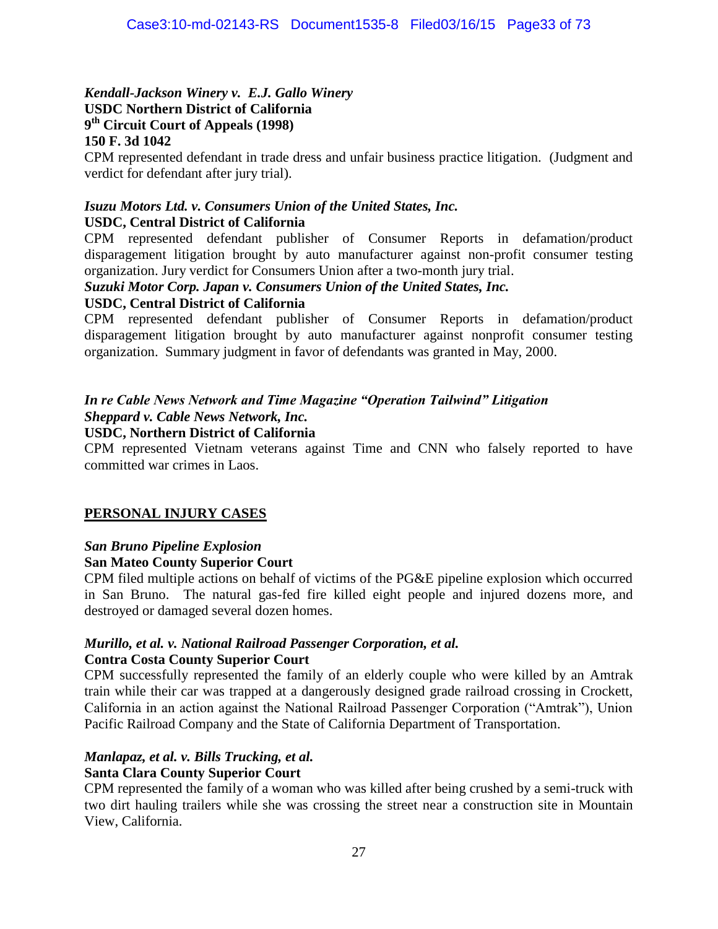#### *Kendall-Jackson Winery v. E.J. Gallo Winery* **USDC Northern District of California 9 th Circuit Court of Appeals (1998)**

#### **150 F. 3d 1042**

CPM represented defendant in trade dress and unfair business practice litigation. (Judgment and verdict for defendant after jury trial).

#### *Isuzu Motors Ltd. v. Consumers Union of the United States, Inc.*

#### **USDC, Central District of California**

CPM represented defendant publisher of Consumer Reports in defamation/product disparagement litigation brought by auto manufacturer against non-profit consumer testing organization. Jury verdict for Consumers Union after a two-month jury trial.

#### *Suzuki Motor Corp. Japan v. Consumers Union of the United States, Inc.*

#### **USDC, Central District of California**

CPM represented defendant publisher of Consumer Reports in defamation/product disparagement litigation brought by auto manufacturer against nonprofit consumer testing organization. Summary judgment in favor of defendants was granted in May, 2000.

# *In re Cable News Network and Time Magazine "Operation Tailwind" Litigation*

# *Sheppard v. Cable News Network, Inc.*

#### **USDC, Northern District of California**

CPM represented Vietnam veterans against Time and CNN who falsely reported to have committed war crimes in Laos.

#### **PERSONAL INJURY CASES**

#### *San Bruno Pipeline Explosion*

#### **San Mateo County Superior Court**

CPM filed multiple actions on behalf of victims of the PG&E pipeline explosion which occurred in San Bruno. The natural gas-fed fire killed eight people and injured dozens more, and destroyed or damaged several dozen homes.

#### *Murillo, et al. v. National Railroad Passenger Corporation, et al.* **Contra Costa County Superior Court**

CPM successfully represented the family of an elderly couple who were killed by an Amtrak train while their car was trapped at a dangerously designed grade railroad crossing in Crockett, California in an action against the National Railroad Passenger Corporation ("Amtrak"), Union Pacific Railroad Company and the State of California Department of Transportation.

#### *Manlapaz, et al. v. Bills Trucking, et al.*

#### **Santa Clara County Superior Court**

CPM represented the family of a woman who was killed after being crushed by a semi-truck with two dirt hauling trailers while she was crossing the street near a construction site in Mountain View, California.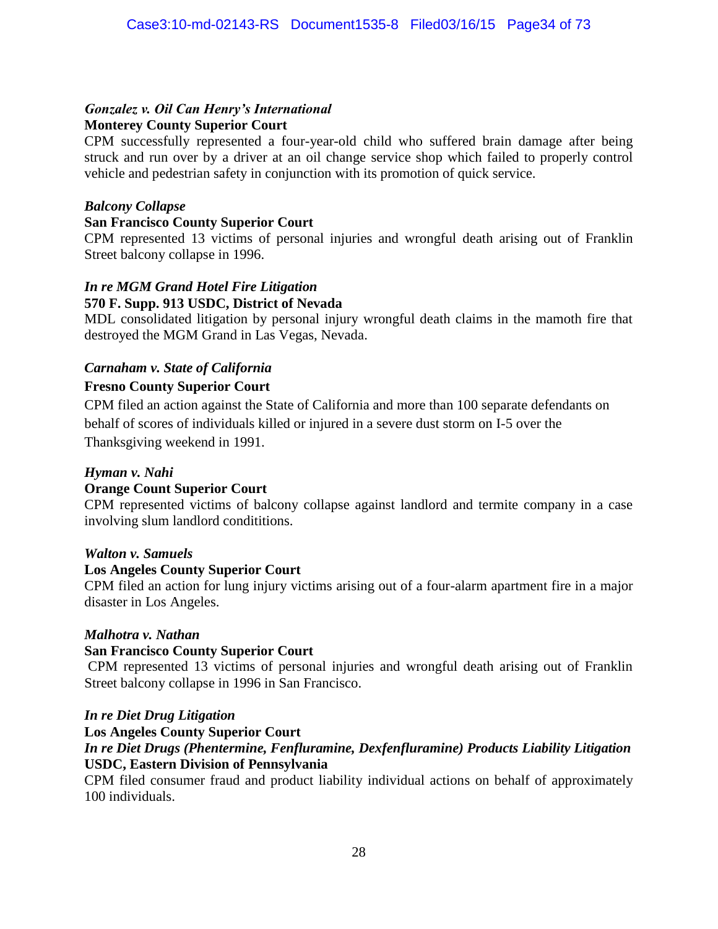#### *Gonzalez v. Oil Can Henry's International* **Monterey County Superior Court**

CPM successfully represented a four-year-old child who suffered brain damage after being struck and run over by a driver at an oil change service shop which failed to properly control vehicle and pedestrian safety in conjunction with its promotion of quick service.

#### *Balcony Collapse*

#### **San Francisco County Superior Court**

CPM represented 13 victims of personal injuries and wrongful death arising out of Franklin Street balcony collapse in 1996.

## *In re MGM Grand Hotel Fire Litigation*

#### **570 F. Supp. 913 USDC, District of Nevada**

MDL consolidated litigation by personal injury wrongful death claims in the mamoth fire that destroyed the MGM Grand in Las Vegas, Nevada.

#### *Carnaham v. State of California*

#### **Fresno County Superior Court**

CPM filed an action against the State of California and more than 100 separate defendants on behalf of scores of individuals killed or injured in a severe dust storm on I-5 over the Thanksgiving weekend in 1991.

#### *Hyman v. Nahi*

#### **Orange Count Superior Court**

CPM represented victims of balcony collapse against landlord and termite company in a case involving slum landlord condititions.

#### *Walton v. Samuels*

#### **Los Angeles County Superior Court**

CPM filed an action for lung injury victims arising out of a four-alarm apartment fire in a major disaster in Los Angeles.

#### *Malhotra v. Nathan*

#### **San Francisco County Superior Court**

CPM represented 13 victims of personal injuries and wrongful death arising out of Franklin Street balcony collapse in 1996 in San Francisco.

#### *In re Diet Drug Litigation*

#### **Los Angeles County Superior Court** *In re Diet Drugs (Phentermine, Fenfluramine, Dexfenfluramine) Products Liability Litigation* **USDC, Eastern Division of Pennsylvania**

CPM filed consumer fraud and product liability individual actions on behalf of approximately 100 individuals.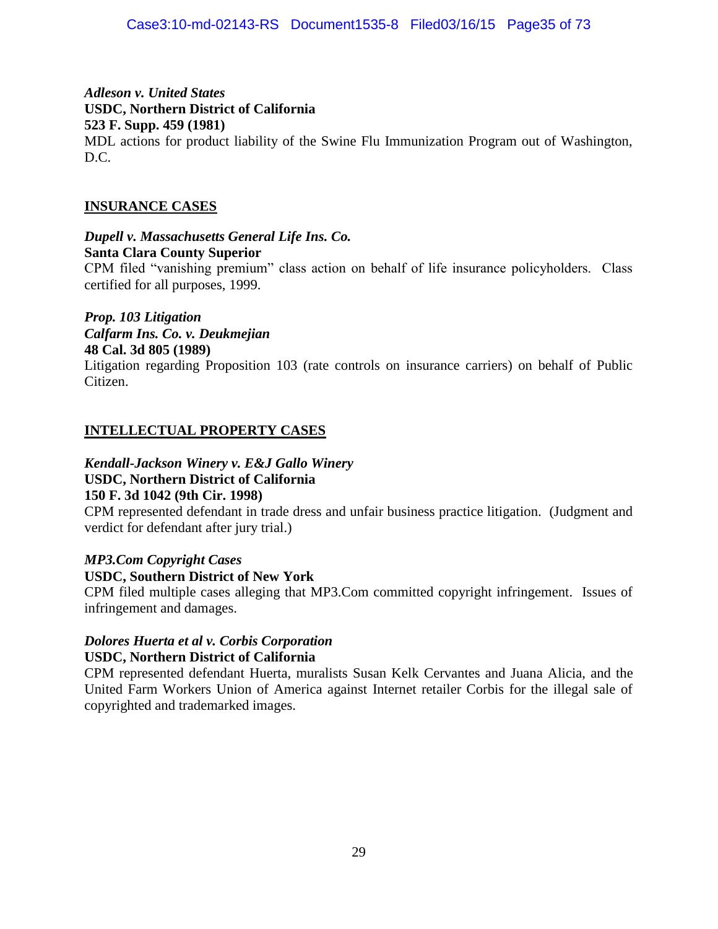*Adleson v. United States* **USDC, Northern District of California 523 F. Supp. 459 (1981)**

MDL actions for product liability of the Swine Flu Immunization Program out of Washington, D.C.

#### **INSURANCE CASES**

*Dupell v. Massachusetts General Life Ins. Co.* **Santa Clara County Superior** CPM filed "vanishing premium" class action on behalf of life insurance policyholders. Class certified for all purposes, 1999.

*Prop. 103 Litigation Calfarm Ins. Co. v. Deukmejian* **48 Cal. 3d 805 (1989)**

Litigation regarding Proposition 103 (rate controls on insurance carriers) on behalf of Public Citizen.

#### **INTELLECTUAL PROPERTY CASES**

*Kendall-Jackson Winery v. E&J Gallo Winery* **USDC, Northern District of California**

# **150 F. 3d 1042 (9th Cir. 1998)**

CPM represented defendant in trade dress and unfair business practice litigation. (Judgment and verdict for defendant after jury trial.)

## *MP3.Com Copyright Cases*

#### **USDC, Southern District of New York**

CPM filed multiple cases alleging that MP3.Com committed copyright infringement. Issues of infringement and damages.

#### *Dolores Huerta et al v. Corbis Corporation* **USDC, Northern District of California**

CPM represented defendant Huerta, muralists Susan Kelk Cervantes and Juana Alicia, and the United Farm Workers Union of America against Internet retailer Corbis for the illegal sale of copyrighted and trademarked images.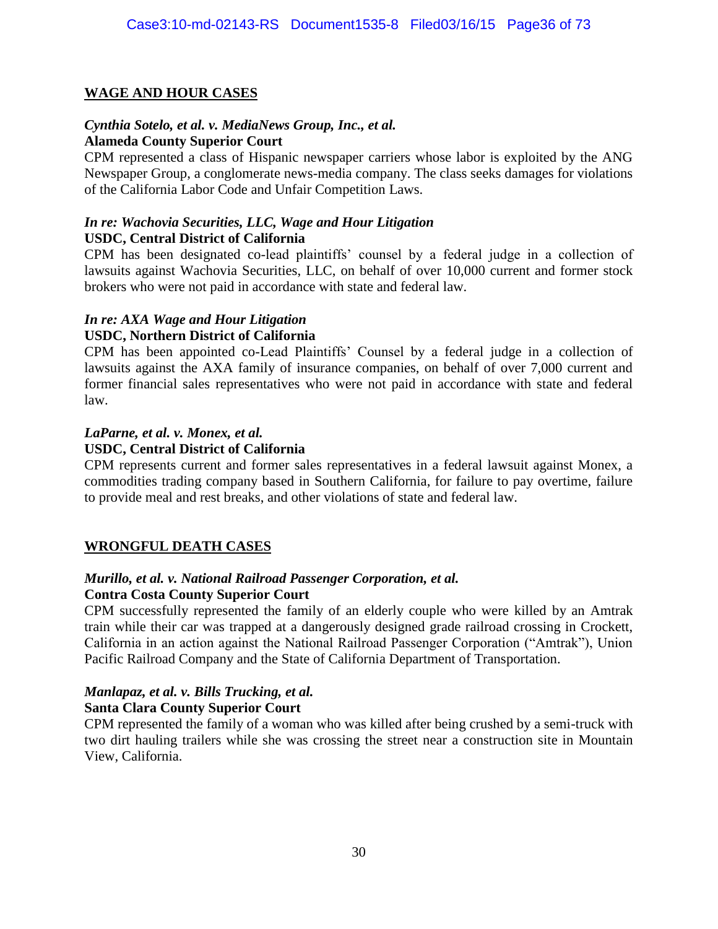#### **WAGE AND HOUR CASES**

#### *Cynthia Sotelo, et al. v. MediaNews Group, Inc., et al.* **Alameda County Superior Court**

CPM represented a class of Hispanic newspaper carriers whose labor is exploited by the ANG Newspaper Group, a conglomerate news-media company. The class seeks damages for violations of the California Labor Code and Unfair Competition Laws.

#### *In re: Wachovia Securities, LLC, Wage and Hour Litigation* **USDC, Central District of California**

CPM has been designated co-lead plaintiffs' counsel by a federal judge in a collection of lawsuits against Wachovia Securities, LLC, on behalf of over 10,000 current and former stock brokers who were not paid in accordance with state and federal law.

#### *In re: AXA Wage and Hour Litigation*

#### **USDC, Northern District of California**

CPM has been appointed co-Lead Plaintiffs' Counsel by a federal judge in a collection of lawsuits against the AXA family of insurance companies, on behalf of over 7,000 current and former financial sales representatives who were not paid in accordance with state and federal law.

#### *LaParne, et al. v. Monex, et al.*

#### **USDC, Central District of California**

CPM represents current and former sales representatives in a federal lawsuit against Monex, a commodities trading company based in Southern California, for failure to pay overtime, failure to provide meal and rest breaks, and other violations of state and federal law.

#### **WRONGFUL DEATH CASES**

#### *Murillo, et al. v. National Railroad Passenger Corporation, et al.*

#### **Contra Costa County Superior Court**

CPM successfully represented the family of an elderly couple who were killed by an Amtrak train while their car was trapped at a dangerously designed grade railroad crossing in Crockett, California in an action against the National Railroad Passenger Corporation ("Amtrak"), Union Pacific Railroad Company and the State of California Department of Transportation.

#### *Manlapaz, et al. v. Bills Trucking, et al.*

#### **Santa Clara County Superior Court**

CPM represented the family of a woman who was killed after being crushed by a semi-truck with two dirt hauling trailers while she was crossing the street near a construction site in Mountain View, California.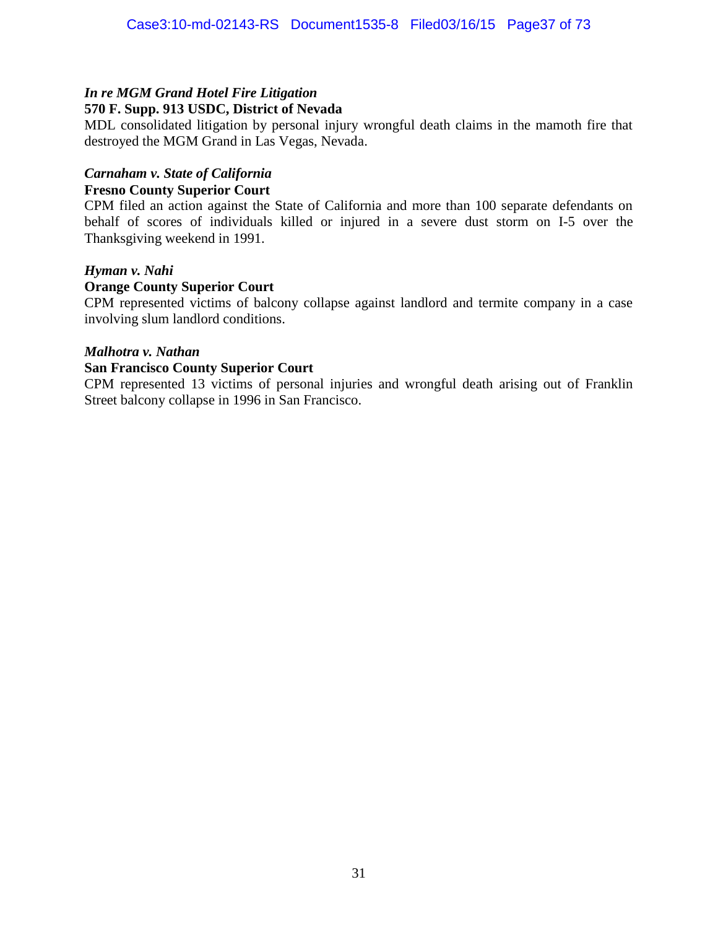#### *In re MGM Grand Hotel Fire Litigation* **570 F. Supp. 913 USDC, District of Nevada**

MDL consolidated litigation by personal injury wrongful death claims in the mamoth fire that destroyed the MGM Grand in Las Vegas, Nevada.

#### *Carnaham v. State of California* **Fresno County Superior Court**

CPM filed an action against the State of California and more than 100 separate defendants on behalf of scores of individuals killed or injured in a severe dust storm on I-5 over the Thanksgiving weekend in 1991.

#### *Hyman v. Nahi*

#### **Orange County Superior Court**

CPM represented victims of balcony collapse against landlord and termite company in a case involving slum landlord conditions.

#### *Malhotra v. Nathan*

#### **San Francisco County Superior Court**

CPM represented 13 victims of personal injuries and wrongful death arising out of Franklin Street balcony collapse in 1996 in San Francisco.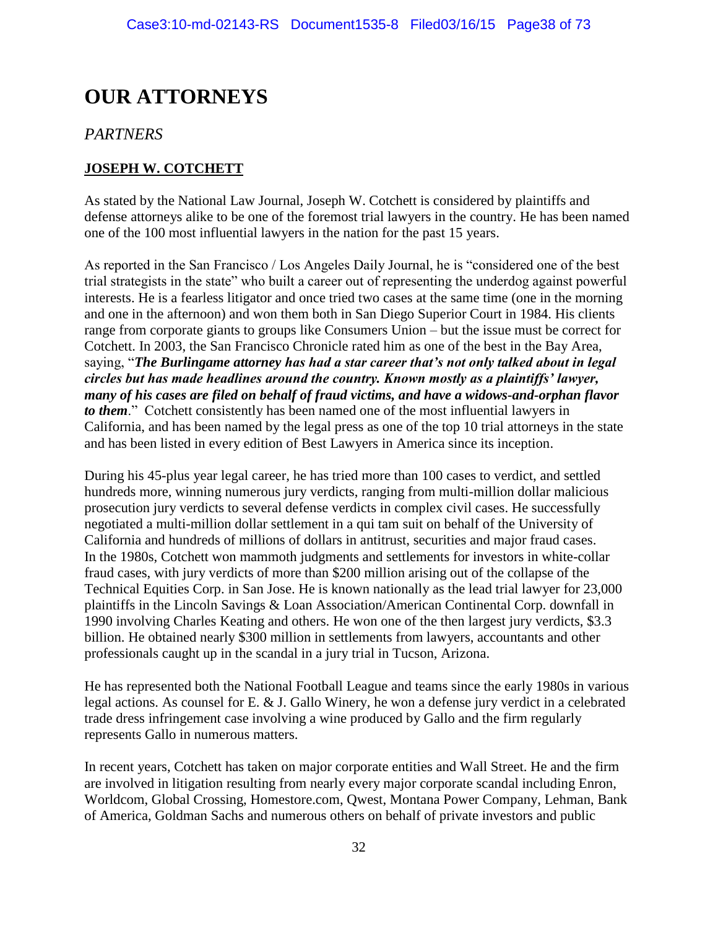# **OUR ATTORNEYS**

# *PARTNERS*

# **JOSEPH W. COTCHETT**

As stated by the National Law Journal, Joseph W. Cotchett is considered by plaintiffs and defense attorneys alike to be one of the foremost trial lawyers in the country. He has been named one of the 100 most influential lawyers in the nation for the past 15 years.

As reported in the San Francisco / Los Angeles Daily Journal, he is "considered one of the best trial strategists in the state" who built a career out of representing the underdog against powerful interests. He is a fearless litigator and once tried two cases at the same time (one in the morning and one in the afternoon) and won them both in San Diego Superior Court in 1984. His clients range from corporate giants to groups like Consumers Union – but the issue must be correct for Cotchett. In 2003, the San Francisco Chronicle rated him as one of the best in the Bay Area, saying, "*The Burlingame attorney has had a star career that's not only talked about in legal circles but has made headlines around the country. Known mostly as a plaintiffs' lawyer, many of his cases are filed on behalf of fraud victims, and have a widows-and-orphan flavor to them*." Cotchett consistently has been named one of the most influential lawyers in California, and has been named by the legal press as one of the top 10 trial attorneys in the state and has been listed in every edition of Best Lawyers in America since its inception.

During his 45-plus year legal career, he has tried more than 100 cases to verdict, and settled hundreds more, winning numerous jury verdicts, ranging from multi-million dollar malicious prosecution jury verdicts to several defense verdicts in complex civil cases. He successfully negotiated a multi-million dollar settlement in a qui tam suit on behalf of the University of California and hundreds of millions of dollars in antitrust, securities and major fraud cases. In the 1980s, Cotchett won mammoth judgments and settlements for investors in white-collar fraud cases, with jury verdicts of more than \$200 million arising out of the collapse of the Technical Equities Corp. in San Jose. He is known nationally as the lead trial lawyer for 23,000 plaintiffs in the Lincoln Savings & Loan Association/American Continental Corp. downfall in 1990 involving Charles Keating and others. He won one of the then largest jury verdicts, \$3.3 billion. He obtained nearly \$300 million in settlements from lawyers, accountants and other professionals caught up in the scandal in a jury trial in Tucson, Arizona.

He has represented both the National Football League and teams since the early 1980s in various legal actions. As counsel for E. & J. Gallo Winery, he won a defense jury verdict in a celebrated trade dress infringement case involving a wine produced by Gallo and the firm regularly represents Gallo in numerous matters.

In recent years, Cotchett has taken on major corporate entities and Wall Street. He and the firm are involved in litigation resulting from nearly every major corporate scandal including Enron, Worldcom, Global Crossing, Homestore.com, Qwest, Montana Power Company, Lehman, Bank of America, Goldman Sachs and numerous others on behalf of private investors and public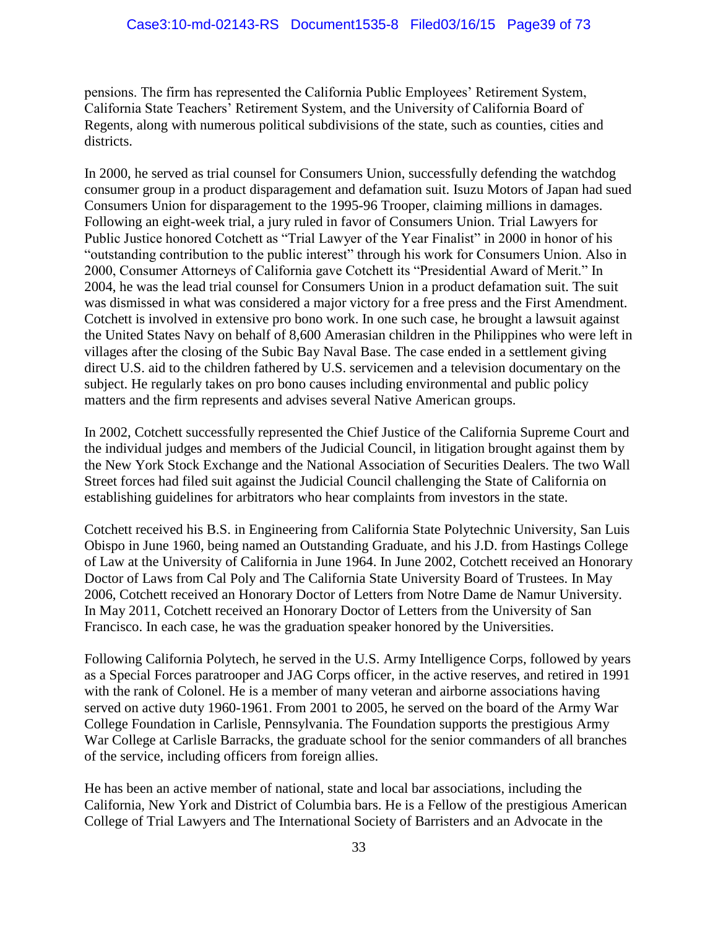pensions. The firm has represented the California Public Employees' Retirement System, California State Teachers' Retirement System, and the University of California Board of Regents, along with numerous political subdivisions of the state, such as counties, cities and districts.

In 2000, he served as trial counsel for Consumers Union, successfully defending the watchdog consumer group in a product disparagement and defamation suit. Isuzu Motors of Japan had sued Consumers Union for disparagement to the 1995-96 Trooper, claiming millions in damages. Following an eight-week trial, a jury ruled in favor of Consumers Union. Trial Lawyers for Public Justice honored Cotchett as "Trial Lawyer of the Year Finalist" in 2000 in honor of his "outstanding contribution to the public interest" through his work for Consumers Union. Also in 2000, Consumer Attorneys of California gave Cotchett its "Presidential Award of Merit." In 2004, he was the lead trial counsel for Consumers Union in a product defamation suit. The suit was dismissed in what was considered a major victory for a free press and the First Amendment. Cotchett is involved in extensive pro bono work. In one such case, he brought a lawsuit against the United States Navy on behalf of 8,600 Amerasian children in the Philippines who were left in villages after the closing of the Subic Bay Naval Base. The case ended in a settlement giving direct U.S. aid to the children fathered by U.S. servicemen and a television documentary on the subject. He regularly takes on pro bono causes including environmental and public policy matters and the firm represents and advises several Native American groups.

In 2002, Cotchett successfully represented the Chief Justice of the California Supreme Court and the individual judges and members of the Judicial Council, in litigation brought against them by the New York Stock Exchange and the National Association of Securities Dealers. The two Wall Street forces had filed suit against the Judicial Council challenging the State of California on establishing guidelines for arbitrators who hear complaints from investors in the state.

Cotchett received his B.S. in Engineering from California State Polytechnic University, San Luis Obispo in June 1960, being named an Outstanding Graduate, and his J.D. from Hastings College of Law at the University of California in June 1964. In June 2002, Cotchett received an Honorary Doctor of Laws from Cal Poly and The California State University Board of Trustees. In May 2006, Cotchett received an Honorary Doctor of Letters from Notre Dame de Namur University. In May 2011, Cotchett received an Honorary Doctor of Letters from the University of San Francisco. In each case, he was the graduation speaker honored by the Universities.

Following California Polytech, he served in the U.S. Army Intelligence Corps, followed by years as a Special Forces paratrooper and JAG Corps officer, in the active reserves, and retired in 1991 with the rank of Colonel. He is a member of many veteran and airborne associations having served on active duty 1960-1961. From 2001 to 2005, he served on the board of the Army War College Foundation in Carlisle, Pennsylvania. The Foundation supports the prestigious Army War College at Carlisle Barracks, the graduate school for the senior commanders of all branches of the service, including officers from foreign allies.

He has been an active member of national, state and local bar associations, including the California, New York and District of Columbia bars. He is a Fellow of the prestigious American College of Trial Lawyers and The International Society of Barristers and an Advocate in the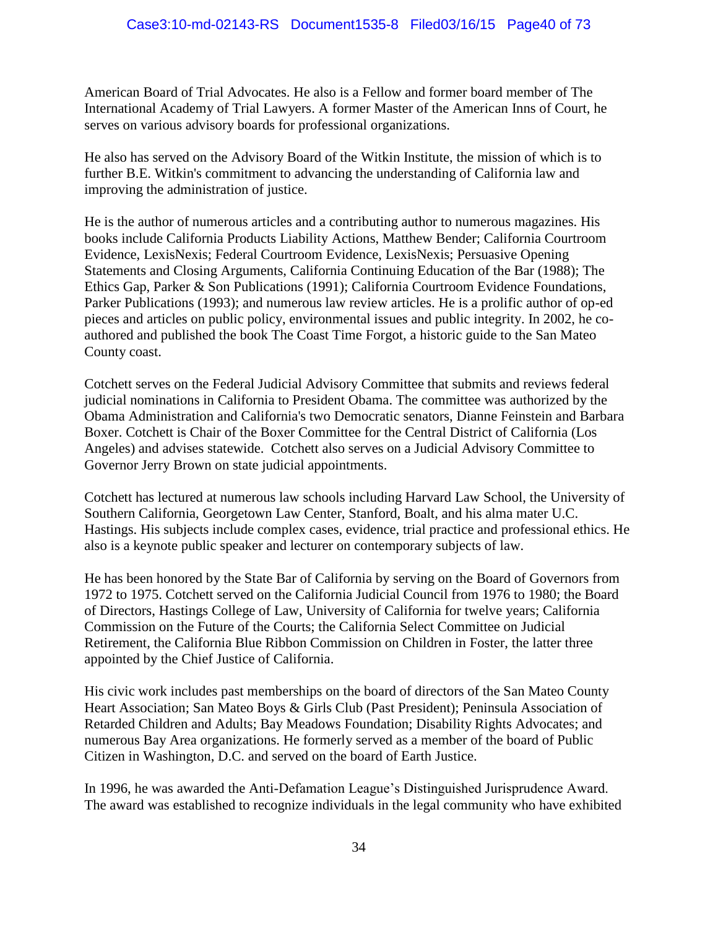American Board of Trial Advocates. He also is a Fellow and former board member of The International Academy of Trial Lawyers. A former Master of the American Inns of Court, he serves on various advisory boards for professional organizations.

He also has served on the Advisory Board of the Witkin Institute, the mission of which is to further B.E. Witkin's commitment to advancing the understanding of California law and improving the administration of justice.

He is the author of numerous articles and a contributing author to numerous magazines. His books include California Products Liability Actions, Matthew Bender; California Courtroom Evidence, LexisNexis; Federal Courtroom Evidence, LexisNexis; Persuasive Opening Statements and Closing Arguments, California Continuing Education of the Bar (1988); The Ethics Gap, Parker & Son Publications (1991); California Courtroom Evidence Foundations, Parker Publications (1993); and numerous law review articles. He is a prolific author of op-ed pieces and articles on public policy, environmental issues and public integrity. In 2002, he coauthored and published the book The Coast Time Forgot, a historic guide to the San Mateo County coast.

Cotchett serves on the Federal Judicial Advisory Committee that submits and reviews federal judicial nominations in California to President Obama. The committee was authorized by the Obama Administration and California's two Democratic senators, Dianne Feinstein and Barbara Boxer. Cotchett is Chair of the Boxer Committee for the Central District of California (Los Angeles) and advises statewide. Cotchett also serves on a Judicial Advisory Committee to Governor Jerry Brown on state judicial appointments.

Cotchett has lectured at numerous law schools including Harvard Law School, the University of Southern California, Georgetown Law Center, Stanford, Boalt, and his alma mater U.C. Hastings. His subjects include complex cases, evidence, trial practice and professional ethics. He also is a keynote public speaker and lecturer on contemporary subjects of law.

He has been honored by the State Bar of California by serving on the Board of Governors from 1972 to 1975. Cotchett served on the California Judicial Council from 1976 to 1980; the Board of Directors, Hastings College of Law, University of California for twelve years; California Commission on the Future of the Courts; the California Select Committee on Judicial Retirement, the California Blue Ribbon Commission on Children in Foster, the latter three appointed by the Chief Justice of California.

His civic work includes past memberships on the board of directors of the San Mateo County Heart Association; San Mateo Boys & Girls Club (Past President); Peninsula Association of Retarded Children and Adults; Bay Meadows Foundation; Disability Rights Advocates; and numerous Bay Area organizations. He formerly served as a member of the board of Public Citizen in Washington, D.C. and served on the board of Earth Justice.

In 1996, he was awarded the Anti-Defamation League's Distinguished Jurisprudence Award. The award was established to recognize individuals in the legal community who have exhibited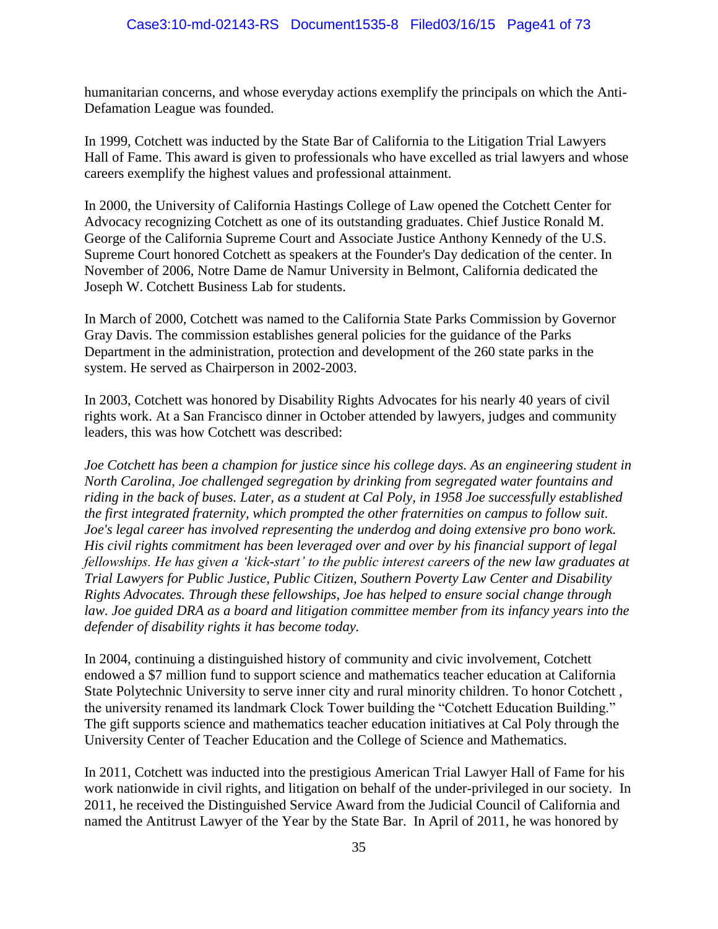humanitarian concerns, and whose everyday actions exemplify the principals on which the Anti-Defamation League was founded.

In 1999, Cotchett was inducted by the State Bar of California to the Litigation Trial Lawyers Hall of Fame. This award is given to professionals who have excelled as trial lawyers and whose careers exemplify the highest values and professional attainment.

In 2000, the University of California Hastings College of Law opened the Cotchett Center for Advocacy recognizing Cotchett as one of its outstanding graduates. Chief Justice Ronald M. George of the California Supreme Court and Associate Justice Anthony Kennedy of the U.S. Supreme Court honored Cotchett as speakers at the Founder's Day dedication of the center. In November of 2006, Notre Dame de Namur University in Belmont, California dedicated the Joseph W. Cotchett Business Lab for students.

In March of 2000, Cotchett was named to the California State Parks Commission by Governor Gray Davis. The commission establishes general policies for the guidance of the Parks Department in the administration, protection and development of the 260 state parks in the system. He served as Chairperson in 2002-2003.

In 2003, Cotchett was honored by Disability Rights Advocates for his nearly 40 years of civil rights work. At a San Francisco dinner in October attended by lawyers, judges and community leaders, this was how Cotchett was described:

*Joe Cotchett has been a champion for justice since his college days. As an engineering student in North Carolina, Joe challenged segregation by drinking from segregated water fountains and riding in the back of buses. Later, as a student at Cal Poly, in 1958 Joe successfully established the first integrated fraternity, which prompted the other fraternities on campus to follow suit. Joe's legal career has involved representing the underdog and doing extensive pro bono work. His civil rights commitment has been leveraged over and over by his financial support of legal fellowships. He has given a 'kick-start' to the public interest careers of the new law graduates at Trial Lawyers for Public Justice, Public Citizen, Southern Poverty Law Center and Disability Rights Advocates. Through these fellowships, Joe has helped to ensure social change through law. Joe guided DRA as a board and litigation committee member from its infancy years into the defender of disability rights it has become today.* 

In 2004, continuing a distinguished history of community and civic involvement, Cotchett endowed a \$7 million fund to support science and mathematics teacher education at California State Polytechnic University to serve inner city and rural minority children. To honor Cotchett , the university renamed its landmark Clock Tower building the "Cotchett Education Building." The gift supports science and mathematics teacher education initiatives at Cal Poly through the University Center of Teacher Education and the College of Science and Mathematics.

In 2011, Cotchett was inducted into the prestigious American Trial Lawyer Hall of Fame for his work nationwide in civil rights, and litigation on behalf of the under-privileged in our society. In 2011, he received the Distinguished Service Award from the Judicial Council of California and named the Antitrust Lawyer of the Year by the State Bar. In April of 2011, he was honored by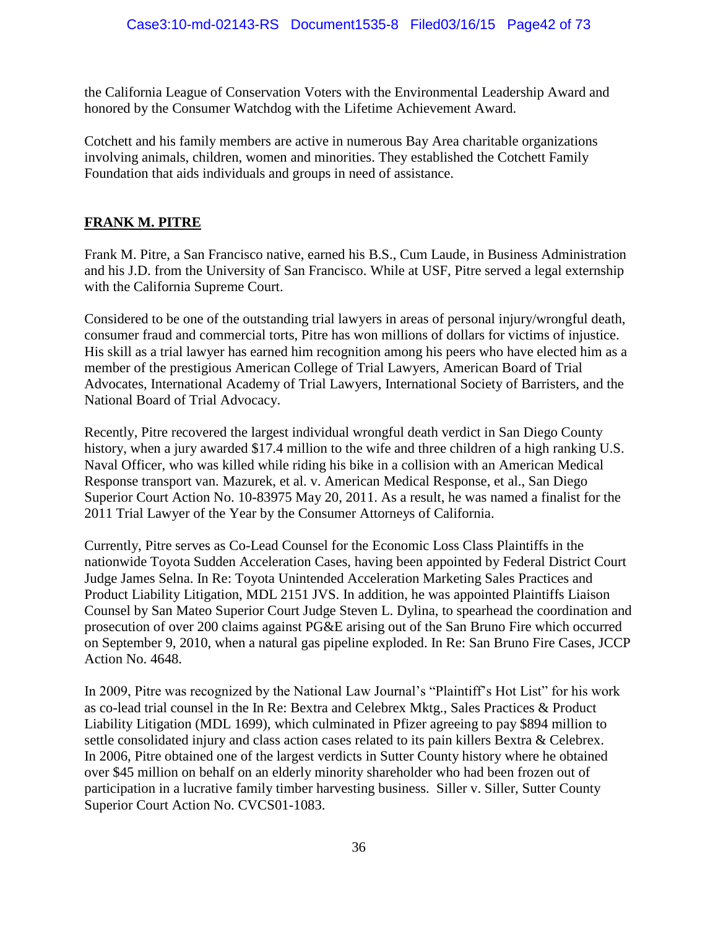the California League of Conservation Voters with the Environmental Leadership Award and honored by the Consumer Watchdog with the Lifetime Achievement Award.

Cotchett and his family members are active in numerous Bay Area charitable organizations involving animals, children, women and minorities. They established the Cotchett Family Foundation that aids individuals and groups in need of assistance.

#### **FRANK M. PITRE**

Frank M. Pitre, a San Francisco native, earned his B.S., Cum Laude, in Business Administration and his J.D. from the University of San Francisco. While at USF, Pitre served a legal externship with the California Supreme Court.

Considered to be one of the outstanding trial lawyers in areas of personal injury/wrongful death, consumer fraud and commercial torts, Pitre has won millions of dollars for victims of injustice. His skill as a trial lawyer has earned him recognition among his peers who have elected him as a member of the prestigious American College of Trial Lawyers, American Board of Trial Advocates, International Academy of Trial Lawyers, International Society of Barristers, and the National Board of Trial Advocacy.

Recently, Pitre recovered the largest individual wrongful death verdict in San Diego County history, when a jury awarded \$17.4 million to the wife and three children of a high ranking U.S. Naval Officer, who was killed while riding his bike in a collision with an American Medical Response transport van. Mazurek, et al. v. American Medical Response, et al., San Diego Superior Court Action No. 10-83975 May 20, 2011. As a result, he was named a finalist for the 2011 Trial Lawyer of the Year by the Consumer Attorneys of California.

Currently, Pitre serves as Co-Lead Counsel for the Economic Loss Class Plaintiffs in the nationwide Toyota Sudden Acceleration Cases, having been appointed by Federal District Court Judge James Selna. In Re: Toyota Unintended Acceleration Marketing Sales Practices and Product Liability Litigation, MDL 2151 JVS. In addition, he was appointed Plaintiffs Liaison Counsel by San Mateo Superior Court Judge Steven L. Dylina, to spearhead the coordination and prosecution of over 200 claims against PG&E arising out of the San Bruno Fire which occurred on September 9, 2010, when a natural gas pipeline exploded. In Re: San Bruno Fire Cases, JCCP Action No. 4648.

In 2009, Pitre was recognized by the National Law Journal's "Plaintiff's Hot List" for his work as co-lead trial counsel in the In Re: Bextra and Celebrex Mktg., Sales Practices & Product Liability Litigation (MDL 1699), which culminated in Pfizer agreeing to pay \$894 million to settle consolidated injury and class action cases related to its pain killers Bextra & Celebrex. In 2006, Pitre obtained one of the largest verdicts in Sutter County history where he obtained over \$45 million on behalf on an elderly minority shareholder who had been frozen out of participation in a lucrative family timber harvesting business. Siller v. Siller, Sutter County Superior Court Action No. CVCS01-1083.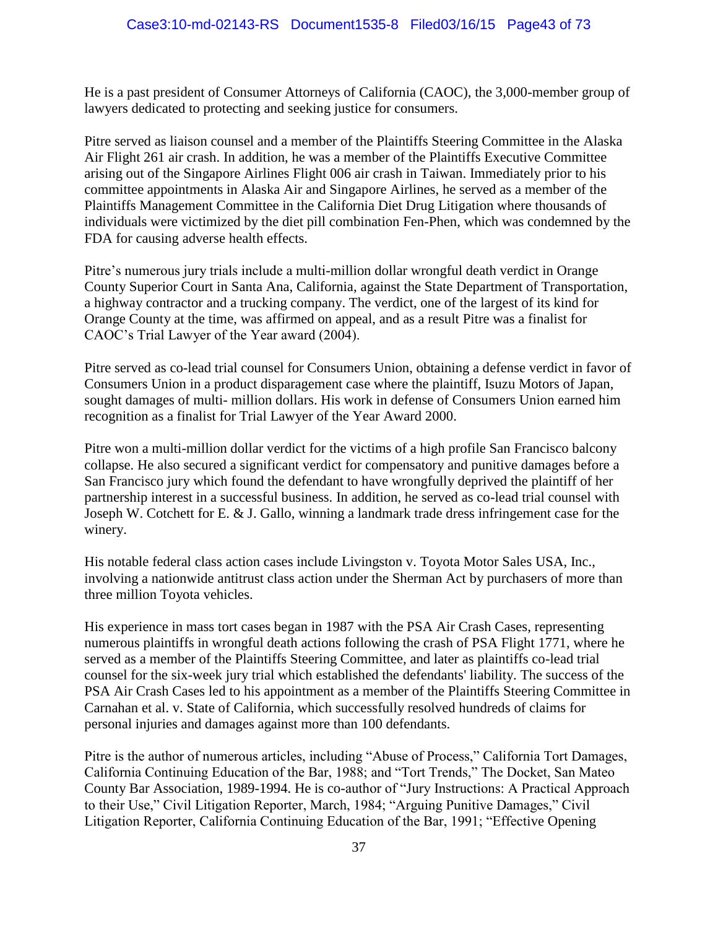He is a past president of Consumer Attorneys of California (CAOC), the 3,000-member group of lawyers dedicated to protecting and seeking justice for consumers.

Pitre served as liaison counsel and a member of the Plaintiffs Steering Committee in the Alaska Air Flight 261 air crash. In addition, he was a member of the Plaintiffs Executive Committee arising out of the Singapore Airlines Flight 006 air crash in Taiwan. Immediately prior to his committee appointments in Alaska Air and Singapore Airlines, he served as a member of the Plaintiffs Management Committee in the California Diet Drug Litigation where thousands of individuals were victimized by the diet pill combination Fen-Phen, which was condemned by the FDA for causing adverse health effects.

Pitre's numerous jury trials include a multi-million dollar wrongful death verdict in Orange County Superior Court in Santa Ana, California, against the State Department of Transportation, a highway contractor and a trucking company. The verdict, one of the largest of its kind for Orange County at the time, was affirmed on appeal, and as a result Pitre was a finalist for CAOC's Trial Lawyer of the Year award (2004).

Pitre served as co-lead trial counsel for Consumers Union, obtaining a defense verdict in favor of Consumers Union in a product disparagement case where the plaintiff, Isuzu Motors of Japan, sought damages of multi- million dollars. His work in defense of Consumers Union earned him recognition as a finalist for Trial Lawyer of the Year Award 2000.

Pitre won a multi-million dollar verdict for the victims of a high profile San Francisco balcony collapse. He also secured a significant verdict for compensatory and punitive damages before a San Francisco jury which found the defendant to have wrongfully deprived the plaintiff of her partnership interest in a successful business. In addition, he served as co-lead trial counsel with Joseph W. Cotchett for E. & J. Gallo, winning a landmark trade dress infringement case for the winery.

His notable federal class action cases include Livingston v. Toyota Motor Sales USA, Inc., involving a nationwide antitrust class action under the Sherman Act by purchasers of more than three million Toyota vehicles.

His experience in mass tort cases began in 1987 with the PSA Air Crash Cases, representing numerous plaintiffs in wrongful death actions following the crash of PSA Flight 1771, where he served as a member of the Plaintiffs Steering Committee, and later as plaintiffs co-lead trial counsel for the six-week jury trial which established the defendants' liability. The success of the PSA Air Crash Cases led to his appointment as a member of the Plaintiffs Steering Committee in Carnahan et al. v. State of California, which successfully resolved hundreds of claims for personal injuries and damages against more than 100 defendants.

Pitre is the author of numerous articles, including "Abuse of Process," California Tort Damages, California Continuing Education of the Bar, 1988; and "Tort Trends," The Docket, San Mateo County Bar Association, 1989-1994. He is co-author of "Jury Instructions: A Practical Approach to their Use," Civil Litigation Reporter, March, 1984; "Arguing Punitive Damages," Civil Litigation Reporter, California Continuing Education of the Bar, 1991; "Effective Opening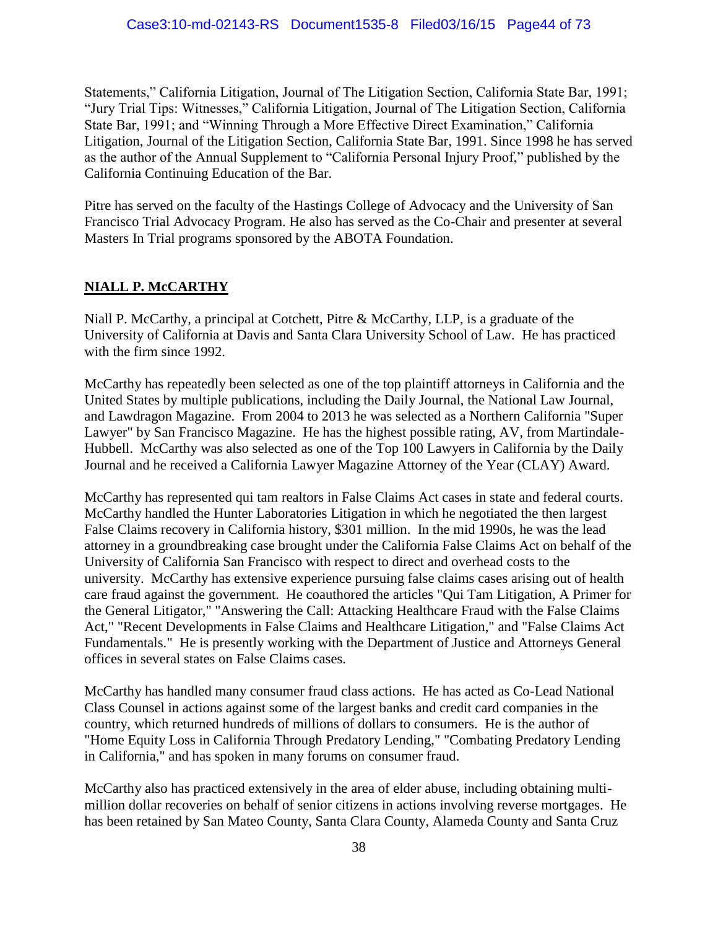Statements," California Litigation, Journal of The Litigation Section, California State Bar, 1991; "Jury Trial Tips: Witnesses," California Litigation, Journal of The Litigation Section, California State Bar, 1991; and "Winning Through a More Effective Direct Examination," California Litigation, Journal of the Litigation Section, California State Bar, 1991. Since 1998 he has served as the author of the Annual Supplement to "California Personal Injury Proof," published by the California Continuing Education of the Bar.

Pitre has served on the faculty of the Hastings College of Advocacy and the University of San Francisco Trial Advocacy Program. He also has served as the Co-Chair and presenter at several Masters In Trial programs sponsored by the ABOTA Foundation.

# **NIALL P. McCARTHY**

Niall P. McCarthy, a principal at Cotchett, Pitre & McCarthy, LLP, is a graduate of the University of California at Davis and Santa Clara University School of Law. He has practiced with the firm since 1992.

McCarthy has repeatedly been selected as one of the top plaintiff attorneys in California and the United States by multiple publications, including the Daily Journal, the National Law Journal, and Lawdragon Magazine. From 2004 to 2013 he was selected as a Northern California "Super Lawyer" by San Francisco Magazine. He has the highest possible rating, AV, from Martindale-Hubbell. McCarthy was also selected as one of the Top 100 Lawyers in California by the Daily Journal and he received a California Lawyer Magazine Attorney of the Year (CLAY) Award.

McCarthy has represented qui tam realtors in False Claims Act cases in state and federal courts. McCarthy handled the Hunter Laboratories Litigation in which he negotiated the then largest False Claims recovery in California history, \$301 million. In the mid 1990s, he was the lead attorney in a groundbreaking case brought under the California False Claims Act on behalf of the University of California San Francisco with respect to direct and overhead costs to the university. McCarthy has extensive experience pursuing false claims cases arising out of health care fraud against the government. He coauthored the articles "Qui Tam Litigation, A Primer for the General Litigator," "Answering the Call: Attacking Healthcare Fraud with the False Claims Act," "Recent Developments in False Claims and Healthcare Litigation," and "False Claims Act Fundamentals." He is presently working with the Department of Justice and Attorneys General offices in several states on False Claims cases.

McCarthy has handled many consumer fraud class actions. He has acted as Co-Lead National Class Counsel in actions against some of the largest banks and credit card companies in the country, which returned hundreds of millions of dollars to consumers. He is the author of "Home Equity Loss in California Through Predatory Lending," "Combating Predatory Lending in California," and has spoken in many forums on consumer fraud.

McCarthy also has practiced extensively in the area of elder abuse, including obtaining multimillion dollar recoveries on behalf of senior citizens in actions involving reverse mortgages. He has been retained by San Mateo County, Santa Clara County, Alameda County and Santa Cruz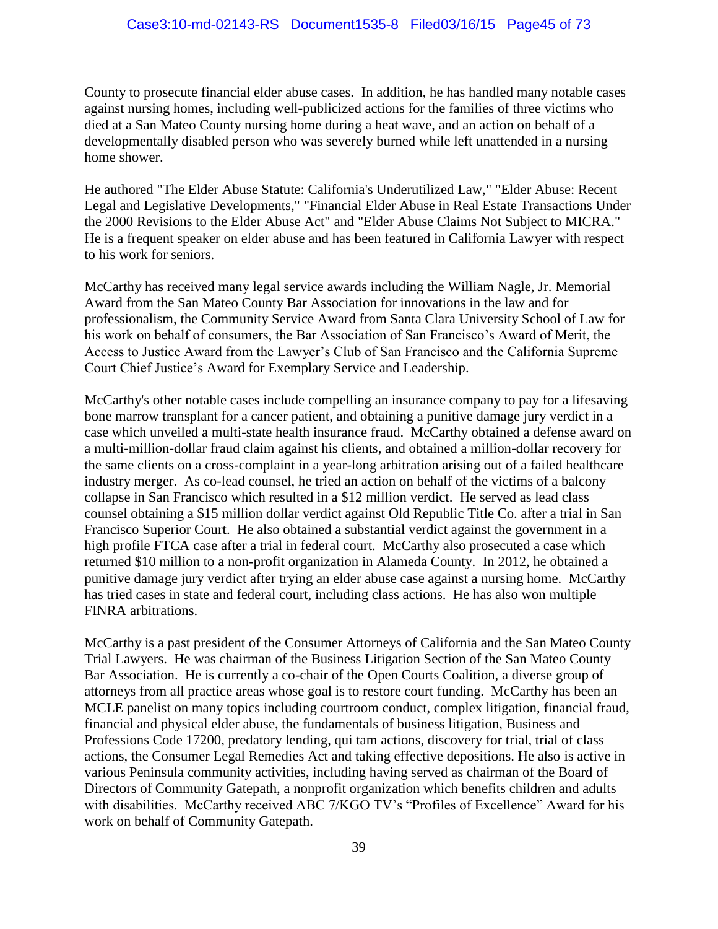County to prosecute financial elder abuse cases. In addition, he has handled many notable cases against nursing homes, including well-publicized actions for the families of three victims who died at a San Mateo County nursing home during a heat wave, and an action on behalf of a developmentally disabled person who was severely burned while left unattended in a nursing home shower.

He authored "The Elder Abuse Statute: California's Underutilized Law," "Elder Abuse: Recent Legal and Legislative Developments," "Financial Elder Abuse in Real Estate Transactions Under the 2000 Revisions to the Elder Abuse Act" and "Elder Abuse Claims Not Subject to MICRA." He is a frequent speaker on elder abuse and has been featured in California Lawyer with respect to his work for seniors.

McCarthy has received many legal service awards including the William Nagle, Jr. Memorial Award from the San Mateo County Bar Association for innovations in the law and for professionalism, the Community Service Award from Santa Clara University School of Law for his work on behalf of consumers, the Bar Association of San Francisco's Award of Merit, the Access to Justice Award from the Lawyer's Club of San Francisco and the California Supreme Court Chief Justice's Award for Exemplary Service and Leadership.

McCarthy's other notable cases include compelling an insurance company to pay for a lifesaving bone marrow transplant for a cancer patient, and obtaining a punitive damage jury verdict in a case which unveiled a multi-state health insurance fraud. McCarthy obtained a defense award on a multi-million-dollar fraud claim against his clients, and obtained a million-dollar recovery for the same clients on a cross-complaint in a year-long arbitration arising out of a failed healthcare industry merger. As co-lead counsel, he tried an action on behalf of the victims of a balcony collapse in San Francisco which resulted in a \$12 million verdict. He served as lead class counsel obtaining a \$15 million dollar verdict against Old Republic Title Co. after a trial in San Francisco Superior Court. He also obtained a substantial verdict against the government in a high profile FTCA case after a trial in federal court. McCarthy also prosecuted a case which returned \$10 million to a non-profit organization in Alameda County. In 2012, he obtained a punitive damage jury verdict after trying an elder abuse case against a nursing home. McCarthy has tried cases in state and federal court, including class actions. He has also won multiple FINRA arbitrations.

McCarthy is a past president of the Consumer Attorneys of California and the San Mateo County Trial Lawyers. He was chairman of the Business Litigation Section of the San Mateo County Bar Association. He is currently a co-chair of the Open Courts Coalition, a diverse group of attorneys from all practice areas whose goal is to restore court funding. McCarthy has been an MCLE panelist on many topics including courtroom conduct, complex litigation, financial fraud, financial and physical elder abuse, the fundamentals of business litigation, Business and Professions Code 17200, predatory lending, qui tam actions, discovery for trial, trial of class actions, the Consumer Legal Remedies Act and taking effective depositions. He also is active in various Peninsula community activities, including having served as chairman of the Board of Directors of Community Gatepath, a nonprofit organization which benefits children and adults with disabilities. McCarthy received ABC 7/KGO TV's "Profiles of Excellence" Award for his work on behalf of Community Gatepath.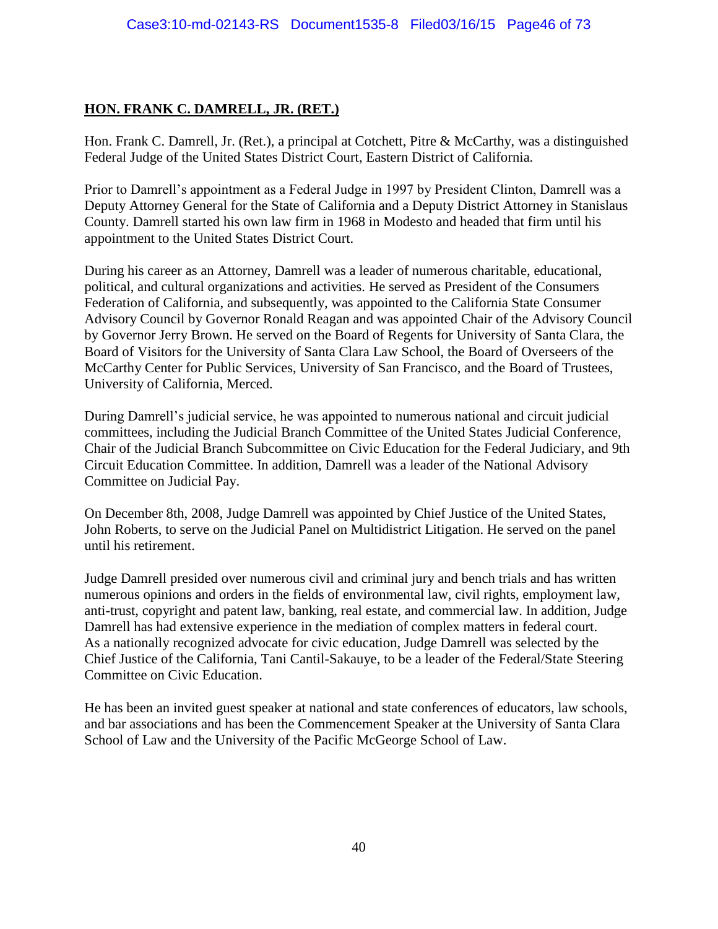# **HON. FRANK C. DAMRELL, JR. (RET.)**

Hon. Frank C. Damrell, Jr. (Ret.), a principal at Cotchett, Pitre & McCarthy, was a distinguished Federal Judge of the United States District Court, Eastern District of California.

Prior to Damrell's appointment as a Federal Judge in 1997 by President Clinton, Damrell was a Deputy Attorney General for the State of California and a Deputy District Attorney in Stanislaus County. Damrell started his own law firm in 1968 in Modesto and headed that firm until his appointment to the United States District Court.

During his career as an Attorney, Damrell was a leader of numerous charitable, educational, political, and cultural organizations and activities. He served as President of the Consumers Federation of California, and subsequently, was appointed to the California State Consumer Advisory Council by Governor Ronald Reagan and was appointed Chair of the Advisory Council by Governor Jerry Brown. He served on the Board of Regents for University of Santa Clara, the Board of Visitors for the University of Santa Clara Law School, the Board of Overseers of the McCarthy Center for Public Services, University of San Francisco, and the Board of Trustees, University of California, Merced.

During Damrell's judicial service, he was appointed to numerous national and circuit judicial committees, including the Judicial Branch Committee of the United States Judicial Conference, Chair of the Judicial Branch Subcommittee on Civic Education for the Federal Judiciary, and 9th Circuit Education Committee. In addition, Damrell was a leader of the National Advisory Committee on Judicial Pay.

On December 8th, 2008, Judge Damrell was appointed by Chief Justice of the United States, John Roberts, to serve on the Judicial Panel on Multidistrict Litigation. He served on the panel until his retirement.

Judge Damrell presided over numerous civil and criminal jury and bench trials and has written numerous opinions and orders in the fields of environmental law, civil rights, employment law, anti-trust, copyright and patent law, banking, real estate, and commercial law. In addition, Judge Damrell has had extensive experience in the mediation of complex matters in federal court. As a nationally recognized advocate for civic education, Judge Damrell was selected by the Chief Justice of the California, Tani Cantil-Sakauye, to be a leader of the Federal/State Steering Committee on Civic Education.

He has been an invited guest speaker at national and state conferences of educators, law schools, and bar associations and has been the Commencement Speaker at the University of Santa Clara School of Law and the University of the Pacific McGeorge School of Law.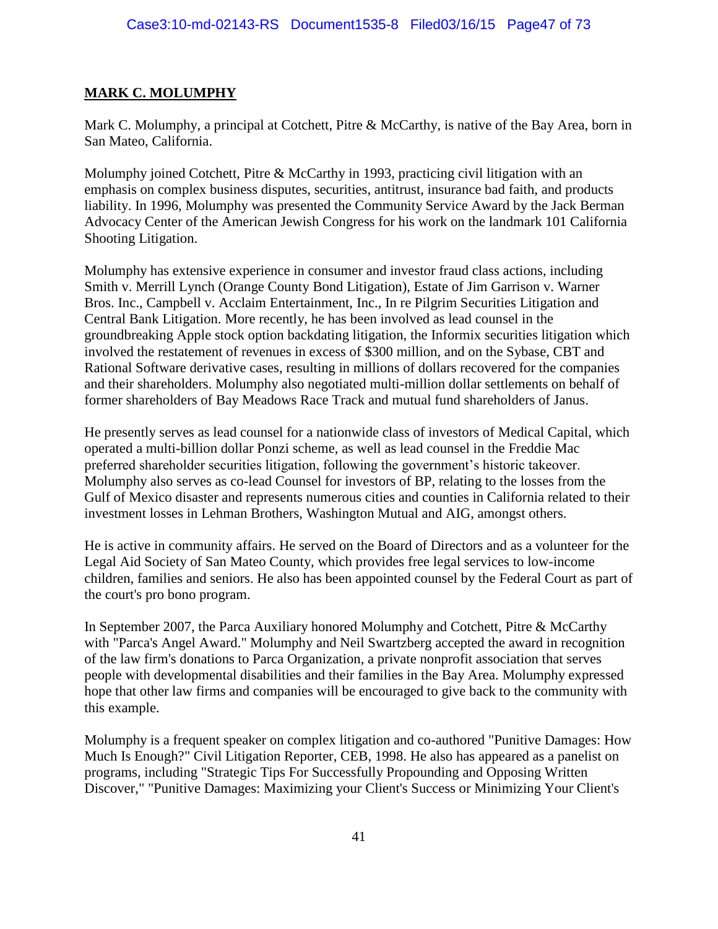#### **MARK C. MOLUMPHY**

Mark C. Molumphy, a principal at Cotchett, Pitre & McCarthy, is native of the Bay Area, born in San Mateo, California.

Molumphy joined Cotchett, Pitre & McCarthy in 1993, practicing civil litigation with an emphasis on complex business disputes, securities, antitrust, insurance bad faith, and products liability. In 1996, Molumphy was presented the Community Service Award by the Jack Berman Advocacy Center of the American Jewish Congress for his work on the landmark 101 California Shooting Litigation.

Molumphy has extensive experience in consumer and investor fraud class actions, including Smith v. Merrill Lynch (Orange County Bond Litigation), Estate of Jim Garrison v. Warner Bros. Inc., Campbell v. Acclaim Entertainment, Inc., In re Pilgrim Securities Litigation and Central Bank Litigation. More recently, he has been involved as lead counsel in the groundbreaking Apple stock option backdating litigation, the Informix securities litigation which involved the restatement of revenues in excess of \$300 million, and on the Sybase, CBT and Rational Software derivative cases, resulting in millions of dollars recovered for the companies and their shareholders. Molumphy also negotiated multi-million dollar settlements on behalf of former shareholders of Bay Meadows Race Track and mutual fund shareholders of Janus.

He presently serves as lead counsel for a nationwide class of investors of Medical Capital, which operated a multi-billion dollar Ponzi scheme, as well as lead counsel in the Freddie Mac preferred shareholder securities litigation, following the government's historic takeover. Molumphy also serves as co-lead Counsel for investors of BP, relating to the losses from the Gulf of Mexico disaster and represents numerous cities and counties in California related to their investment losses in Lehman Brothers, Washington Mutual and AIG, amongst others.

He is active in community affairs. He served on the Board of Directors and as a volunteer for the Legal Aid Society of San Mateo County, which provides free legal services to low-income children, families and seniors. He also has been appointed counsel by the Federal Court as part of the court's pro bono program.

In September 2007, the Parca Auxiliary honored Molumphy and Cotchett, Pitre & McCarthy with "Parca's Angel Award." Molumphy and Neil Swartzberg accepted the award in recognition of the law firm's donations to Parca Organization, a private nonprofit association that serves people with developmental disabilities and their families in the Bay Area. Molumphy expressed hope that other law firms and companies will be encouraged to give back to the community with this example.

Molumphy is a frequent speaker on complex litigation and co-authored "Punitive Damages: How Much Is Enough?" Civil Litigation Reporter, CEB, 1998. He also has appeared as a panelist on programs, including "Strategic Tips For Successfully Propounding and Opposing Written Discover," "Punitive Damages: Maximizing your Client's Success or Minimizing Your Client's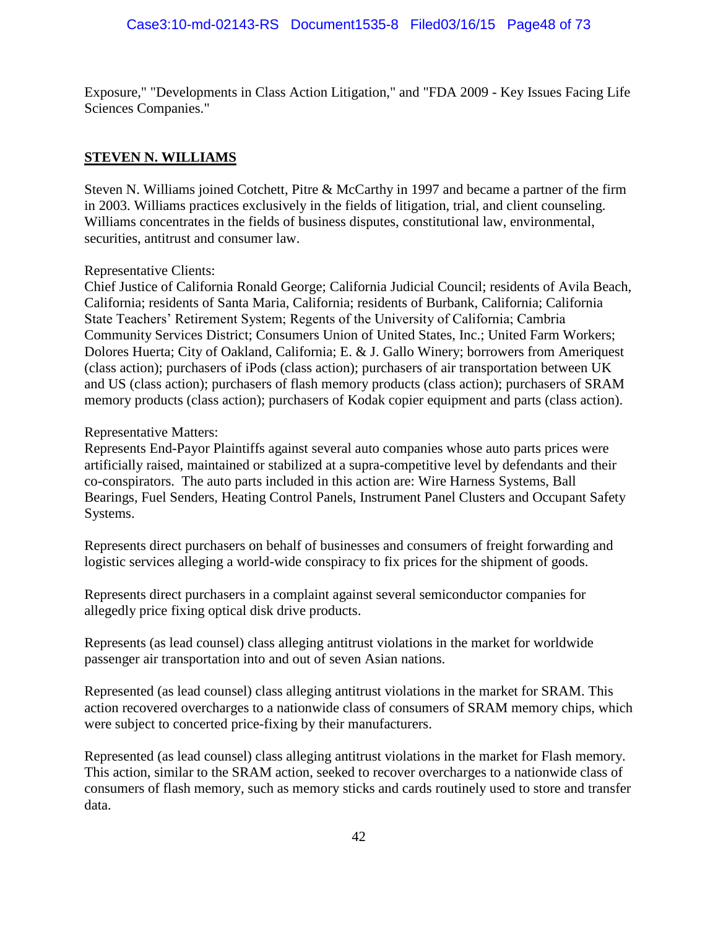Exposure," "Developments in Class Action Litigation," and "FDA 2009 - Key Issues Facing Life Sciences Companies."

#### **STEVEN N. WILLIAMS**

Steven N. Williams joined Cotchett, Pitre & McCarthy in 1997 and became a partner of the firm in 2003. Williams practices exclusively in the fields of litigation, trial, and client counseling. Williams concentrates in the fields of business disputes, constitutional law, environmental, securities, antitrust and consumer law.

#### Representative Clients:

Chief Justice of California Ronald George; California Judicial Council; residents of Avila Beach, California; residents of Santa Maria, California; residents of Burbank, California; California State Teachers' Retirement System; Regents of the University of California; Cambria Community Services District; Consumers Union of United States, Inc.; United Farm Workers; Dolores Huerta; City of Oakland, California; E. & J. Gallo Winery; borrowers from Ameriquest (class action); purchasers of iPods (class action); purchasers of air transportation between UK and US (class action); purchasers of flash memory products (class action); purchasers of SRAM memory products (class action); purchasers of Kodak copier equipment and parts (class action).

#### Representative Matters:

Represents End-Payor Plaintiffs against several auto companies whose auto parts prices were artificially raised, maintained or stabilized at a supra-competitive level by defendants and their co-conspirators. The auto parts included in this action are: Wire Harness Systems, Ball Bearings, Fuel Senders, Heating Control Panels, Instrument Panel Clusters and Occupant Safety Systems.

Represents direct purchasers on behalf of businesses and consumers of freight forwarding and logistic services alleging a world-wide conspiracy to fix prices for the shipment of goods.

Represents direct purchasers in a complaint against several semiconductor companies for allegedly price fixing optical disk drive products.

Represents (as lead counsel) class alleging antitrust violations in the market for worldwide passenger air transportation into and out of seven Asian nations.

Represented (as lead counsel) class alleging antitrust violations in the market for SRAM. This action recovered overcharges to a nationwide class of consumers of SRAM memory chips, which were subject to concerted price-fixing by their manufacturers.

Represented (as lead counsel) class alleging antitrust violations in the market for Flash memory. This action, similar to the SRAM action, seeked to recover overcharges to a nationwide class of consumers of flash memory, such as memory sticks and cards routinely used to store and transfer data.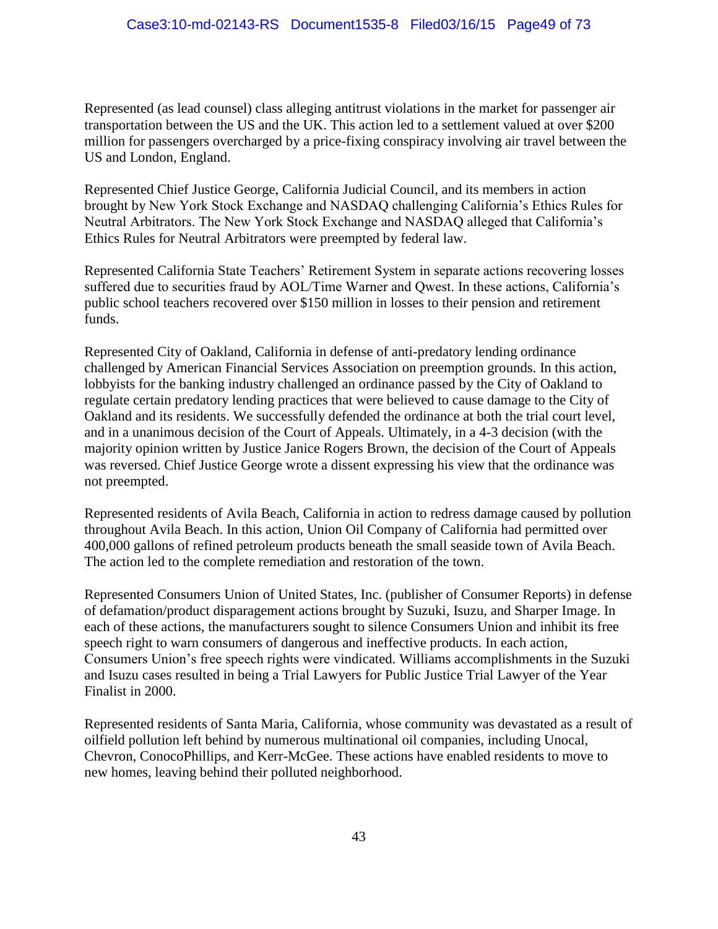Represented (as lead counsel) class alleging antitrust violations in the market for passenger air transportation between the US and the UK. This action led to a settlement valued at over \$200 million for passengers overcharged by a price-fixing conspiracy involving air travel between the US and London, England.

Represented Chief Justice George, California Judicial Council, and its members in action brought by New York Stock Exchange and NASDAQ challenging California's Ethics Rules for Neutral Arbitrators. The New York Stock Exchange and NASDAQ alleged that California's Ethics Rules for Neutral Arbitrators were preempted by federal law.

Represented California State Teachers' Retirement System in separate actions recovering losses suffered due to securities fraud by AOL/Time Warner and Qwest. In these actions, California's public school teachers recovered over \$150 million in losses to their pension and retirement funds.

Represented City of Oakland, California in defense of anti-predatory lending ordinance challenged by American Financial Services Association on preemption grounds. In this action, lobbyists for the banking industry challenged an ordinance passed by the City of Oakland to regulate certain predatory lending practices that were believed to cause damage to the City of Oakland and its residents. We successfully defended the ordinance at both the trial court level, and in a unanimous decision of the Court of Appeals. Ultimately, in a 4-3 decision (with the majority opinion written by Justice Janice Rogers Brown, the decision of the Court of Appeals was reversed. Chief Justice George wrote a dissent expressing his view that the ordinance was not preempted.

Represented residents of Avila Beach, California in action to redress damage caused by pollution throughout Avila Beach. In this action, Union Oil Company of California had permitted over 400,000 gallons of refined petroleum products beneath the small seaside town of Avila Beach. The action led to the complete remediation and restoration of the town.

Represented Consumers Union of United States, Inc. (publisher of Consumer Reports) in defense of defamation/product disparagement actions brought by Suzuki, Isuzu, and Sharper Image. In each of these actions, the manufacturers sought to silence Consumers Union and inhibit its free speech right to warn consumers of dangerous and ineffective products. In each action, Consumers Union's free speech rights were vindicated. Williams accomplishments in the Suzuki and Isuzu cases resulted in being a Trial Lawyers for Public Justice Trial Lawyer of the Year Finalist in 2000.

Represented residents of Santa Maria, California, whose community was devastated as a result of oilfield pollution left behind by numerous multinational oil companies, including Unocal, Chevron, ConocoPhillips, and Kerr-McGee. These actions have enabled residents to move to new homes, leaving behind their polluted neighborhood.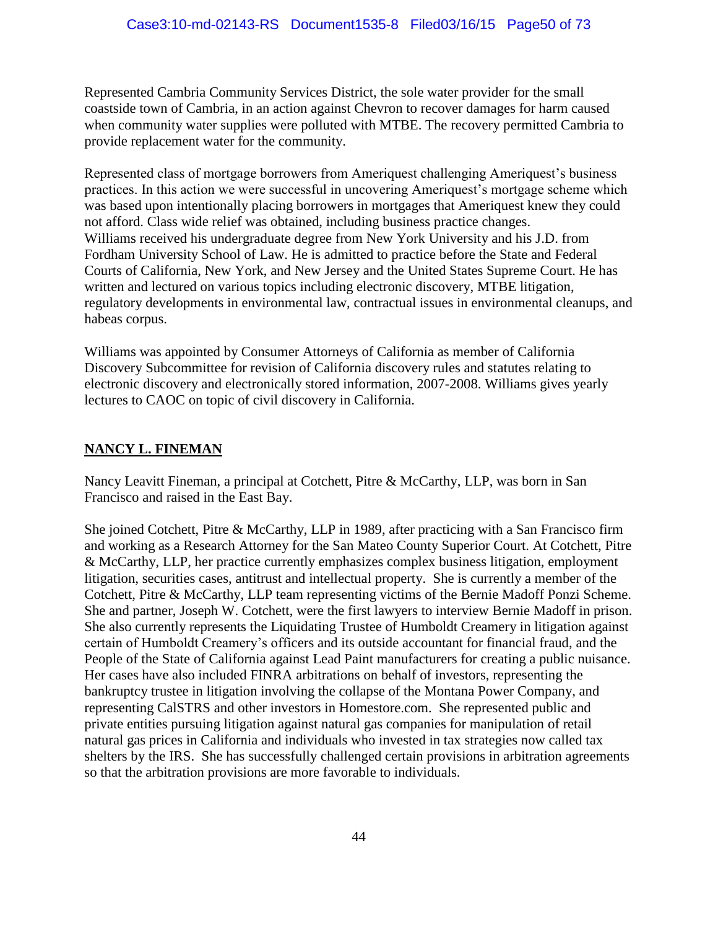Represented Cambria Community Services District, the sole water provider for the small coastside town of Cambria, in an action against Chevron to recover damages for harm caused when community water supplies were polluted with MTBE. The recovery permitted Cambria to provide replacement water for the community.

Represented class of mortgage borrowers from Ameriquest challenging Ameriquest's business practices. In this action we were successful in uncovering Ameriquest's mortgage scheme which was based upon intentionally placing borrowers in mortgages that Ameriquest knew they could not afford. Class wide relief was obtained, including business practice changes. Williams received his undergraduate degree from New York University and his J.D. from Fordham University School of Law. He is admitted to practice before the State and Federal Courts of California, New York, and New Jersey and the United States Supreme Court. He has written and lectured on various topics including electronic discovery, MTBE litigation, regulatory developments in environmental law, contractual issues in environmental cleanups, and habeas corpus.

Williams was appointed by Consumer Attorneys of California as member of California Discovery Subcommittee for revision of California discovery rules and statutes relating to electronic discovery and electronically stored information, 2007-2008. Williams gives yearly lectures to CAOC on topic of civil discovery in California.

# **NANCY L. FINEMAN**

Nancy Leavitt Fineman, a principal at Cotchett, Pitre & McCarthy, LLP, was born in San Francisco and raised in the East Bay.

She joined Cotchett, Pitre & McCarthy, LLP in 1989, after practicing with a San Francisco firm and working as a Research Attorney for the San Mateo County Superior Court. At Cotchett, Pitre & McCarthy, LLP, her practice currently emphasizes complex business litigation, employment litigation, securities cases, antitrust and intellectual property. She is currently a member of the Cotchett, Pitre & McCarthy, LLP team representing victims of the Bernie Madoff Ponzi Scheme. She and partner, Joseph W. Cotchett, were the first lawyers to interview Bernie Madoff in prison. She also currently represents the Liquidating Trustee of Humboldt Creamery in litigation against certain of Humboldt Creamery's officers and its outside accountant for financial fraud, and the People of the State of California against Lead Paint manufacturers for creating a public nuisance. Her cases have also included FINRA arbitrations on behalf of investors, representing the bankruptcy trustee in litigation involving the collapse of the Montana Power Company, and representing CalSTRS and other investors in Homestore.com. She represented public and private entities pursuing litigation against natural gas companies for manipulation of retail natural gas prices in California and individuals who invested in tax strategies now called tax shelters by the IRS. She has successfully challenged certain provisions in arbitration agreements so that the arbitration provisions are more favorable to individuals.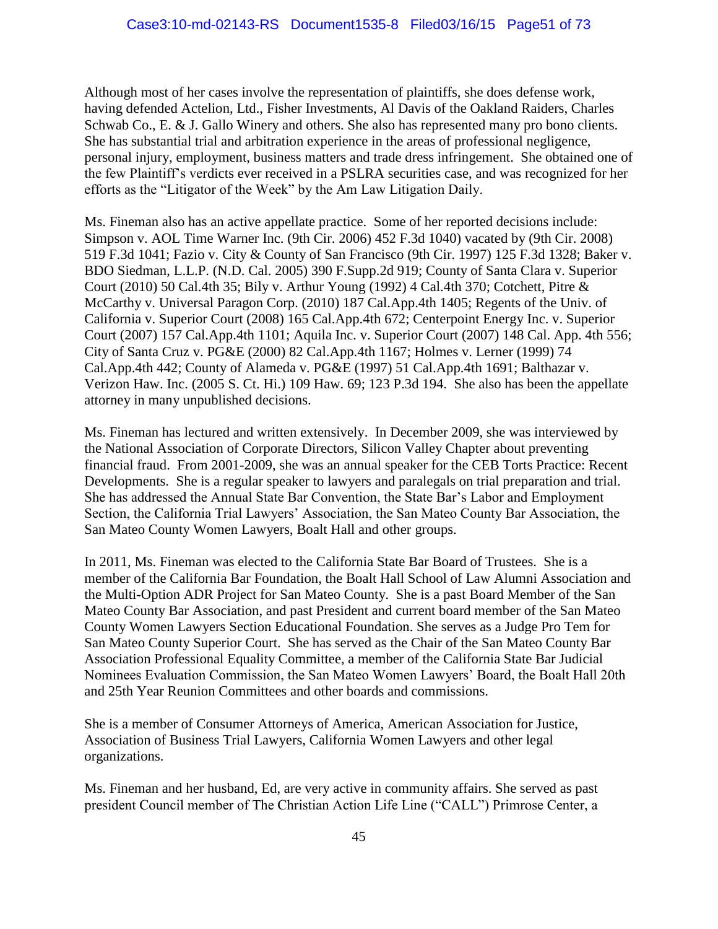Although most of her cases involve the representation of plaintiffs, she does defense work, having defended Actelion, Ltd., Fisher Investments, Al Davis of the Oakland Raiders, Charles Schwab Co., E. & J. Gallo Winery and others. She also has represented many pro bono clients. She has substantial trial and arbitration experience in the areas of professional negligence, personal injury, employment, business matters and trade dress infringement. She obtained one of the few Plaintiff's verdicts ever received in a PSLRA securities case, and was recognized for her efforts as the "Litigator of the Week" by the Am Law Litigation Daily.

Ms. Fineman also has an active appellate practice. Some of her reported decisions include: Simpson v. AOL Time Warner Inc. (9th Cir. 2006) 452 F.3d 1040) vacated by (9th Cir. 2008) 519 F.3d 1041; Fazio v. City & County of San Francisco (9th Cir. 1997) 125 F.3d 1328; Baker v. BDO Siedman, L.L.P. (N.D. Cal. 2005) 390 F.Supp.2d 919; County of Santa Clara v. Superior Court (2010) 50 Cal.4th 35; Bily v. Arthur Young (1992) 4 Cal.4th 370; Cotchett, Pitre & McCarthy v. Universal Paragon Corp. (2010) 187 Cal.App.4th 1405; Regents of the Univ. of California v. Superior Court (2008) 165 Cal.App.4th 672; Centerpoint Energy Inc. v. Superior Court (2007) 157 Cal.App.4th 1101; Aquila Inc. v. Superior Court (2007) 148 Cal. App. 4th 556; City of Santa Cruz v. PG&E (2000) 82 Cal.App.4th 1167; Holmes v. Lerner (1999) 74 Cal.App.4th 442; County of Alameda v. PG&E (1997) 51 Cal.App.4th 1691; Balthazar v. Verizon Haw. Inc. (2005 S. Ct. Hi.) 109 Haw. 69; 123 P.3d 194. She also has been the appellate attorney in many unpublished decisions.

Ms. Fineman has lectured and written extensively. In December 2009, she was interviewed by the National Association of Corporate Directors, Silicon Valley Chapter about preventing financial fraud. From 2001-2009, she was an annual speaker for the CEB Torts Practice: Recent Developments. She is a regular speaker to lawyers and paralegals on trial preparation and trial. She has addressed the Annual State Bar Convention, the State Bar's Labor and Employment Section, the California Trial Lawyers' Association, the San Mateo County Bar Association, the San Mateo County Women Lawyers, Boalt Hall and other groups.

In 2011, Ms. Fineman was elected to the California State Bar Board of Trustees. She is a member of the California Bar Foundation, the Boalt Hall School of Law Alumni Association and the Multi-Option ADR Project for San Mateo County. She is a past Board Member of the San Mateo County Bar Association, and past President and current board member of the San Mateo County Women Lawyers Section Educational Foundation. She serves as a Judge Pro Tem for San Mateo County Superior Court. She has served as the Chair of the San Mateo County Bar Association Professional Equality Committee, a member of the California State Bar Judicial Nominees Evaluation Commission, the San Mateo Women Lawyers' Board, the Boalt Hall 20th and 25th Year Reunion Committees and other boards and commissions.

She is a member of Consumer Attorneys of America, American Association for Justice, Association of Business Trial Lawyers, California Women Lawyers and other legal organizations.

Ms. Fineman and her husband, Ed, are very active in community affairs. She served as past president Council member of The Christian Action Life Line ("CALL") Primrose Center, a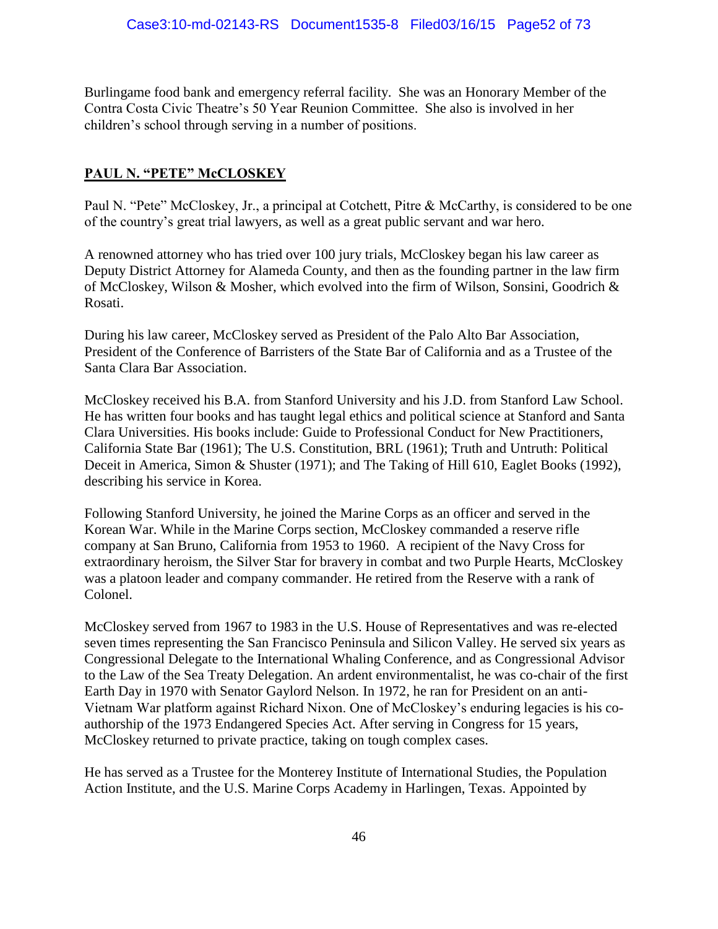Burlingame food bank and emergency referral facility. She was an Honorary Member of the Contra Costa Civic Theatre's 50 Year Reunion Committee. She also is involved in her children's school through serving in a number of positions.

# **PAUL N. "PETE" McCLOSKEY**

Paul N. "Pete" McCloskey, Jr., a principal at Cotchett, Pitre & McCarthy, is considered to be one of the country's great trial lawyers, as well as a great public servant and war hero.

A renowned attorney who has tried over 100 jury trials, McCloskey began his law career as Deputy District Attorney for Alameda County, and then as the founding partner in the law firm of McCloskey, Wilson & Mosher, which evolved into the firm of Wilson, Sonsini, Goodrich & Rosati.

During his law career, McCloskey served as President of the Palo Alto Bar Association, President of the Conference of Barristers of the State Bar of California and as a Trustee of the Santa Clara Bar Association.

McCloskey received his B.A. from Stanford University and his J.D. from Stanford Law School. He has written four books and has taught legal ethics and political science at Stanford and Santa Clara Universities. His books include: Guide to Professional Conduct for New Practitioners, California State Bar (1961); The U.S. Constitution, BRL (1961); Truth and Untruth: Political Deceit in America, Simon & Shuster (1971); and The Taking of Hill 610, Eaglet Books (1992), describing his service in Korea.

Following Stanford University, he joined the Marine Corps as an officer and served in the Korean War. While in the Marine Corps section, McCloskey commanded a reserve rifle company at San Bruno, California from 1953 to 1960. A recipient of the Navy Cross for extraordinary heroism, the Silver Star for bravery in combat and two Purple Hearts, McCloskey was a platoon leader and company commander. He retired from the Reserve with a rank of Colonel.

McCloskey served from 1967 to 1983 in the U.S. House of Representatives and was re-elected seven times representing the San Francisco Peninsula and Silicon Valley. He served six years as Congressional Delegate to the International Whaling Conference, and as Congressional Advisor to the Law of the Sea Treaty Delegation. An ardent environmentalist, he was co-chair of the first Earth Day in 1970 with Senator Gaylord Nelson. In 1972, he ran for President on an anti-Vietnam War platform against Richard Nixon. One of McCloskey's enduring legacies is his coauthorship of the 1973 Endangered Species Act. After serving in Congress for 15 years, McCloskey returned to private practice, taking on tough complex cases.

He has served as a Trustee for the Monterey Institute of International Studies, the Population Action Institute, and the U.S. Marine Corps Academy in Harlingen, Texas. Appointed by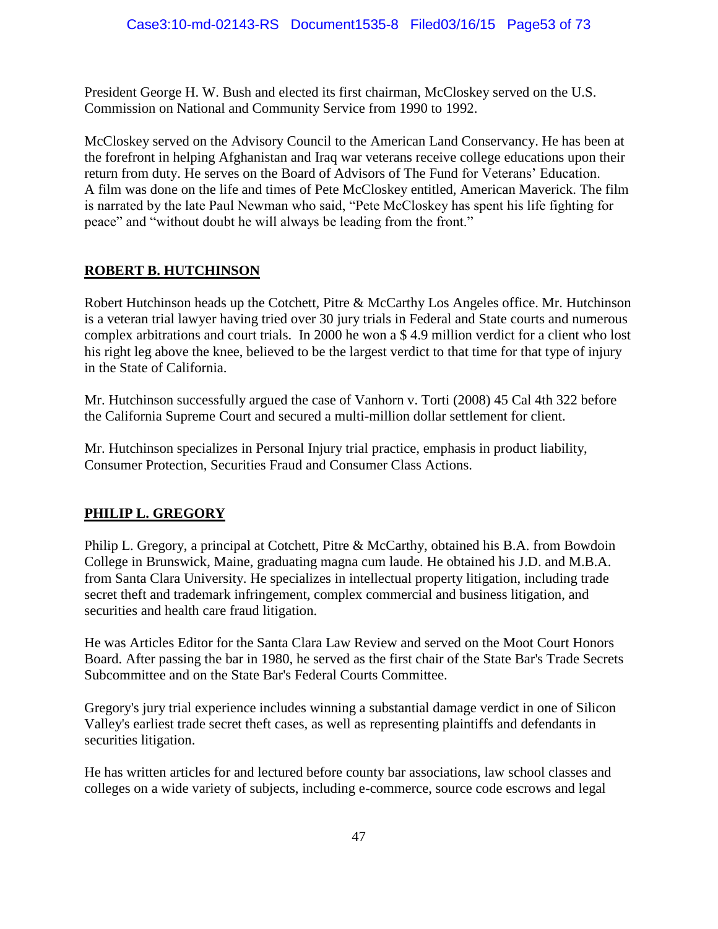President George H. W. Bush and elected its first chairman, McCloskey served on the U.S. Commission on National and Community Service from 1990 to 1992.

McCloskey served on the Advisory Council to the American Land Conservancy. He has been at the forefront in helping Afghanistan and Iraq war veterans receive college educations upon their return from duty. He serves on the Board of Advisors of The Fund for Veterans' Education. A film was done on the life and times of Pete McCloskey entitled, American Maverick. The film is narrated by the late Paul Newman who said, "Pete McCloskey has spent his life fighting for peace" and "without doubt he will always be leading from the front."

#### **ROBERT B. HUTCHINSON**

Robert Hutchinson heads up the Cotchett, Pitre & McCarthy Los Angeles office. Mr. Hutchinson is a veteran trial lawyer having tried over 30 jury trials in Federal and State courts and numerous complex arbitrations and court trials. In 2000 he won a \$ 4.9 million verdict for a client who lost his right leg above the knee, believed to be the largest verdict to that time for that type of injury in the State of California.

Mr. Hutchinson successfully argued the case of Vanhorn v. Torti (2008) 45 Cal 4th 322 before the California Supreme Court and secured a multi-million dollar settlement for client.

Mr. Hutchinson specializes in Personal Injury trial practice, emphasis in product liability, Consumer Protection, Securities Fraud and Consumer Class Actions.

#### **PHILIP L. GREGORY**

Philip L. Gregory, a principal at Cotchett, Pitre & McCarthy, obtained his B.A. from Bowdoin College in Brunswick, Maine, graduating magna cum laude. He obtained his J.D. and M.B.A. from Santa Clara University. He specializes in intellectual property litigation, including trade secret theft and trademark infringement, complex commercial and business litigation, and securities and health care fraud litigation.

He was Articles Editor for the Santa Clara Law Review and served on the Moot Court Honors Board. After passing the bar in 1980, he served as the first chair of the State Bar's Trade Secrets Subcommittee and on the State Bar's Federal Courts Committee.

Gregory's jury trial experience includes winning a substantial damage verdict in one of Silicon Valley's earliest trade secret theft cases, as well as representing plaintiffs and defendants in securities litigation.

He has written articles for and lectured before county bar associations, law school classes and colleges on a wide variety of subjects, including e-commerce, source code escrows and legal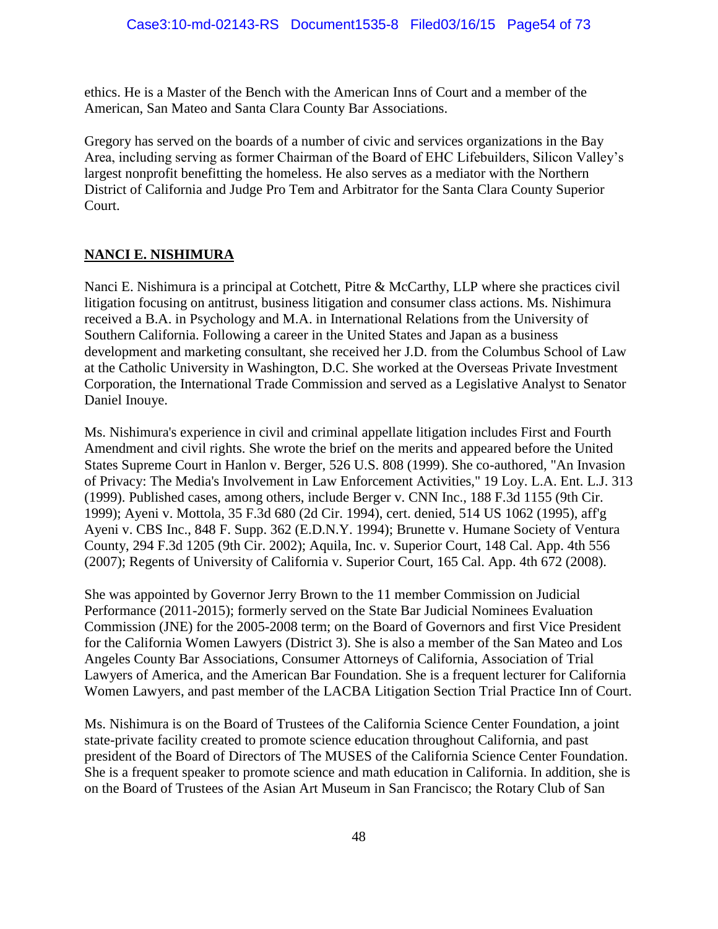ethics. He is a Master of the Bench with the American Inns of Court and a member of the American, San Mateo and Santa Clara County Bar Associations.

Gregory has served on the boards of a number of civic and services organizations in the Bay Area, including serving as former Chairman of the Board of EHC Lifebuilders, Silicon Valley's largest nonprofit benefitting the homeless. He also serves as a mediator with the Northern District of California and Judge Pro Tem and Arbitrator for the Santa Clara County Superior Court.

# **NANCI E. NISHIMURA**

Nanci E. Nishimura is a principal at Cotchett, Pitre & McCarthy, LLP where she practices civil litigation focusing on antitrust, business litigation and consumer class actions. Ms. Nishimura received a B.A. in Psychology and M.A. in International Relations from the University of Southern California. Following a career in the United States and Japan as a business development and marketing consultant, she received her J.D. from the Columbus School of Law at the Catholic University in Washington, D.C. She worked at the Overseas Private Investment Corporation, the International Trade Commission and served as a Legislative Analyst to Senator Daniel Inouye.

Ms. Nishimura's experience in civil and criminal appellate litigation includes First and Fourth Amendment and civil rights. She wrote the brief on the merits and appeared before the United States Supreme Court in Hanlon v. Berger, 526 U.S. 808 (1999). She co-authored, "An Invasion of Privacy: The Media's Involvement in Law Enforcement Activities," 19 Loy. L.A. Ent. L.J. 313 (1999). Published cases, among others, include Berger v. CNN Inc., 188 F.3d 1155 (9th Cir. 1999); Ayeni v. Mottola, 35 F.3d 680 (2d Cir. 1994), cert. denied, 514 US 1062 (1995), aff'g Ayeni v. CBS Inc., 848 F. Supp. 362 (E.D.N.Y. 1994); Brunette v. Humane Society of Ventura County, 294 F.3d 1205 (9th Cir. 2002); Aquila, Inc. v. Superior Court, 148 Cal. App. 4th 556 (2007); Regents of University of California v. Superior Court, 165 Cal. App. 4th 672 (2008).

She was appointed by Governor Jerry Brown to the 11 member Commission on Judicial Performance (2011-2015); formerly served on the State Bar Judicial Nominees Evaluation Commission (JNE) for the 2005-2008 term; on the Board of Governors and first Vice President for the California Women Lawyers (District 3). She is also a member of the San Mateo and Los Angeles County Bar Associations, Consumer Attorneys of California, Association of Trial Lawyers of America, and the American Bar Foundation. She is a frequent lecturer for California Women Lawyers, and past member of the LACBA Litigation Section Trial Practice Inn of Court.

Ms. Nishimura is on the Board of Trustees of the California Science Center Foundation, a joint state-private facility created to promote science education throughout California, and past president of the Board of Directors of The MUSES of the California Science Center Foundation. She is a frequent speaker to promote science and math education in California. In addition, she is on the Board of Trustees of the Asian Art Museum in San Francisco; the Rotary Club of San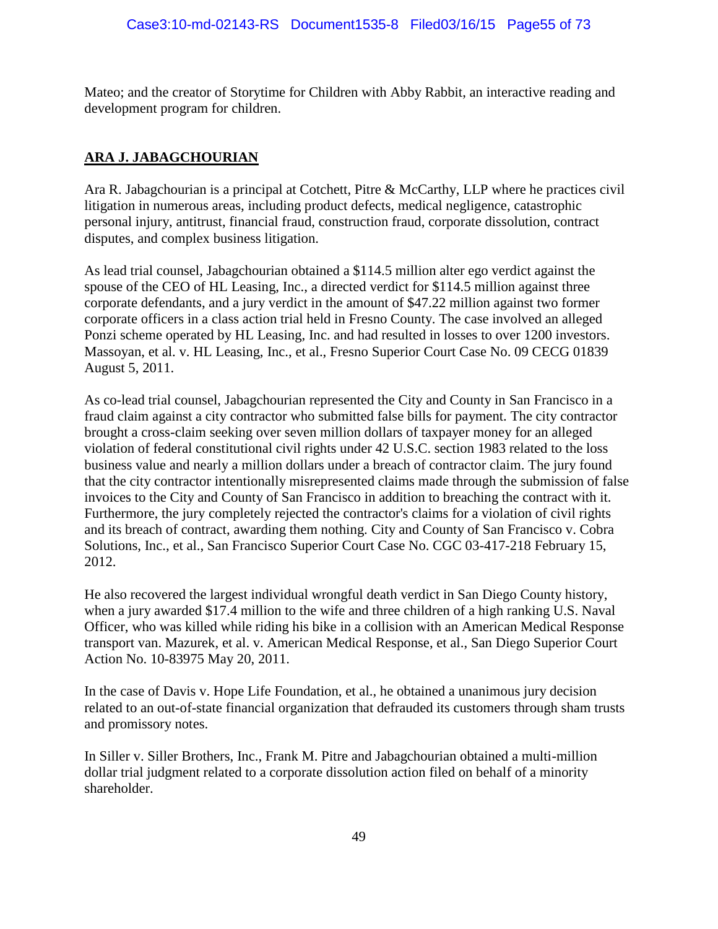Mateo; and the creator of Storytime for Children with Abby Rabbit, an interactive reading and development program for children.

# **ARA J. JABAGCHOURIAN**

Ara R. Jabagchourian is a principal at Cotchett, Pitre & McCarthy, LLP where he practices civil litigation in numerous areas, including product defects, medical negligence, catastrophic personal injury, antitrust, financial fraud, construction fraud, corporate dissolution, contract disputes, and complex business litigation.

As lead trial counsel, Jabagchourian obtained a \$114.5 million alter ego verdict against the spouse of the CEO of HL Leasing, Inc., a directed verdict for \$114.5 million against three corporate defendants, and a jury verdict in the amount of \$47.22 million against two former corporate officers in a class action trial held in Fresno County. The case involved an alleged Ponzi scheme operated by HL Leasing, Inc. and had resulted in losses to over 1200 investors. Massoyan, et al. v. HL Leasing, Inc., et al., Fresno Superior Court Case No. 09 CECG 01839 August 5, 2011.

As co-lead trial counsel, Jabagchourian represented the City and County in San Francisco in a fraud claim against a city contractor who submitted false bills for payment. The city contractor brought a cross-claim seeking over seven million dollars of taxpayer money for an alleged violation of federal constitutional civil rights under 42 U.S.C. section 1983 related to the loss business value and nearly a million dollars under a breach of contractor claim. The jury found that the city contractor intentionally misrepresented claims made through the submission of false invoices to the City and County of San Francisco in addition to breaching the contract with it. Furthermore, the jury completely rejected the contractor's claims for a violation of civil rights and its breach of contract, awarding them nothing. City and County of San Francisco v. Cobra Solutions, Inc., et al., San Francisco Superior Court Case No. CGC 03-417-218 February 15, 2012.

He also recovered the largest individual wrongful death verdict in San Diego County history, when a jury awarded \$17.4 million to the wife and three children of a high ranking U.S. Naval Officer, who was killed while riding his bike in a collision with an American Medical Response transport van. Mazurek, et al. v. American Medical Response, et al., San Diego Superior Court Action No. 10-83975 May 20, 2011.

In the case of Davis v. Hope Life Foundation, et al., he obtained a unanimous jury decision related to an out-of-state financial organization that defrauded its customers through sham trusts and promissory notes.

In Siller v. Siller Brothers, Inc., Frank M. Pitre and Jabagchourian obtained a multi-million dollar trial judgment related to a corporate dissolution action filed on behalf of a minority shareholder.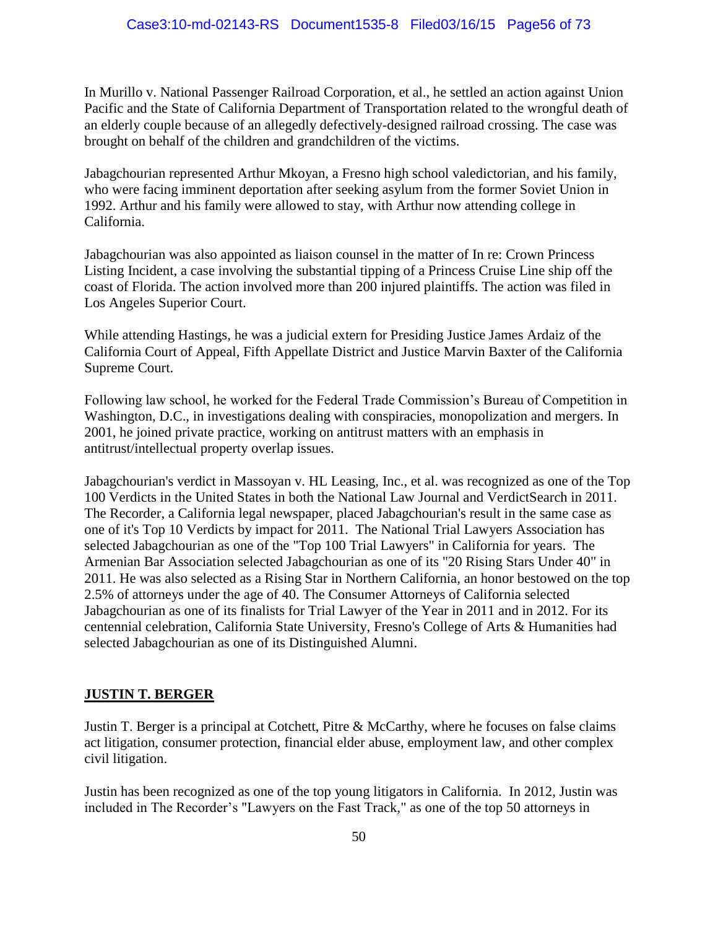In Murillo v. National Passenger Railroad Corporation, et al., he settled an action against Union Pacific and the State of California Department of Transportation related to the wrongful death of an elderly couple because of an allegedly defectively-designed railroad crossing. The case was brought on behalf of the children and grandchildren of the victims.

Jabagchourian represented Arthur Mkoyan, a Fresno high school valedictorian, and his family, who were facing imminent deportation after seeking asylum from the former Soviet Union in 1992. Arthur and his family were allowed to stay, with Arthur now attending college in California.

Jabagchourian was also appointed as liaison counsel in the matter of In re: Crown Princess Listing Incident, a case involving the substantial tipping of a Princess Cruise Line ship off the coast of Florida. The action involved more than 200 injured plaintiffs. The action was filed in Los Angeles Superior Court.

While attending Hastings, he was a judicial extern for Presiding Justice James Ardaiz of the California Court of Appeal, Fifth Appellate District and Justice Marvin Baxter of the California Supreme Court.

Following law school, he worked for the Federal Trade Commission's Bureau of Competition in Washington, D.C., in investigations dealing with conspiracies, monopolization and mergers. In 2001, he joined private practice, working on antitrust matters with an emphasis in antitrust/intellectual property overlap issues.

Jabagchourian's verdict in Massoyan v. HL Leasing, Inc., et al. was recognized as one of the Top 100 Verdicts in the United States in both the National Law Journal and VerdictSearch in 2011. The Recorder, a California legal newspaper, placed Jabagchourian's result in the same case as one of it's Top 10 Verdicts by impact for 2011. The National Trial Lawyers Association has selected Jabagchourian as one of the "Top 100 Trial Lawyers" in California for years. The Armenian Bar Association selected Jabagchourian as one of its "20 Rising Stars Under 40" in 2011. He was also selected as a Rising Star in Northern California, an honor bestowed on the top 2.5% of attorneys under the age of 40. The Consumer Attorneys of California selected Jabagchourian as one of its finalists for Trial Lawyer of the Year in 2011 and in 2012. For its centennial celebration, California State University, Fresno's College of Arts & Humanities had selected Jabagchourian as one of its Distinguished Alumni.

#### **JUSTIN T. BERGER**

Justin T. Berger is a principal at Cotchett, Pitre & McCarthy, where he focuses on false claims act litigation, consumer protection, financial elder abuse, employment law, and other complex civil litigation.

Justin has been recognized as one of the top young litigators in California. In 2012, Justin was included in The Recorder's "Lawyers on the Fast Track," as one of the top 50 attorneys in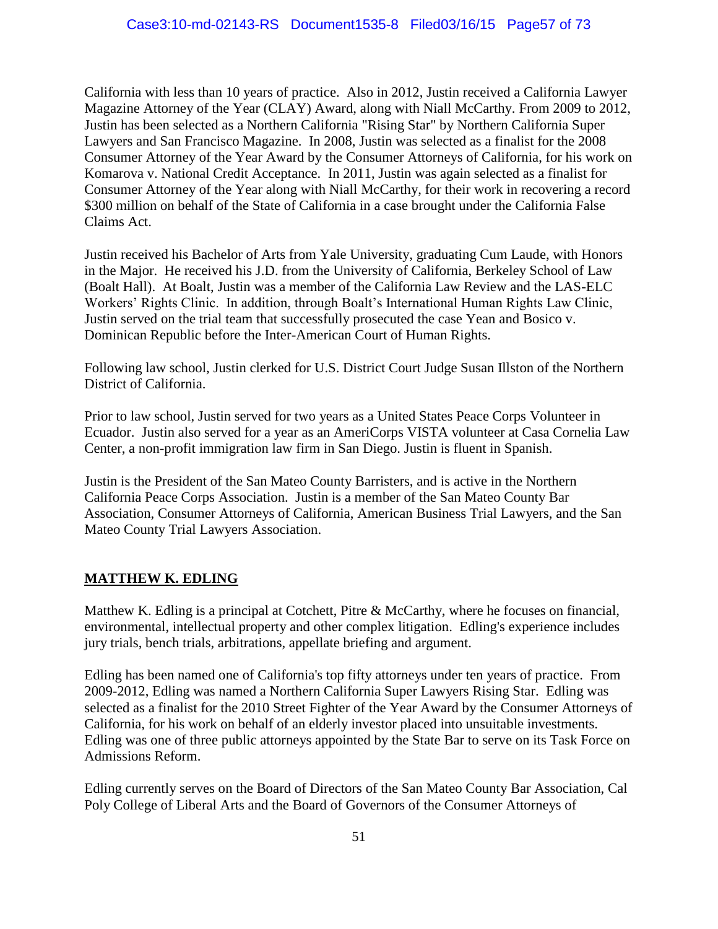California with less than 10 years of practice. Also in 2012, Justin received a California Lawyer Magazine Attorney of the Year (CLAY) Award, along with Niall McCarthy. From 2009 to 2012, Justin has been selected as a Northern California "Rising Star" by Northern California Super Lawyers and San Francisco Magazine. In 2008, Justin was selected as a finalist for the 2008 Consumer Attorney of the Year Award by the Consumer Attorneys of California, for his work on Komarova v. National Credit Acceptance. In 2011, Justin was again selected as a finalist for Consumer Attorney of the Year along with Niall McCarthy, for their work in recovering a record \$300 million on behalf of the State of California in a case brought under the California False Claims Act.

Justin received his Bachelor of Arts from Yale University, graduating Cum Laude, with Honors in the Major. He received his J.D. from the University of California, Berkeley School of Law (Boalt Hall). At Boalt, Justin was a member of the California Law Review and the LAS-ELC Workers' Rights Clinic. In addition, through Boalt's International Human Rights Law Clinic, Justin served on the trial team that successfully prosecuted the case Yean and Bosico v. Dominican Republic before the Inter-American Court of Human Rights.

Following law school, Justin clerked for U.S. District Court Judge Susan Illston of the Northern District of California.

Prior to law school, Justin served for two years as a United States Peace Corps Volunteer in Ecuador. Justin also served for a year as an AmeriCorps VISTA volunteer at Casa Cornelia Law Center, a non-profit immigration law firm in San Diego. Justin is fluent in Spanish.

Justin is the President of the San Mateo County Barristers, and is active in the Northern California Peace Corps Association. Justin is a member of the San Mateo County Bar Association, Consumer Attorneys of California, American Business Trial Lawyers, and the San Mateo County Trial Lawyers Association.

#### **MATTHEW K. EDLING**

Matthew K. Edling is a principal at Cotchett, Pitre & McCarthy, where he focuses on financial, environmental, intellectual property and other complex litigation. Edling's experience includes jury trials, bench trials, arbitrations, appellate briefing and argument.

Edling has been named one of California's top fifty attorneys under ten years of practice. From 2009-2012, Edling was named a Northern California Super Lawyers Rising Star. Edling was selected as a finalist for the 2010 Street Fighter of the Year Award by the Consumer Attorneys of California, for his work on behalf of an elderly investor placed into unsuitable investments. Edling was one of three public attorneys appointed by the State Bar to serve on its Task Force on Admissions Reform.

Edling currently serves on the Board of Directors of the San Mateo County Bar Association, Cal Poly College of Liberal Arts and the Board of Governors of the Consumer Attorneys of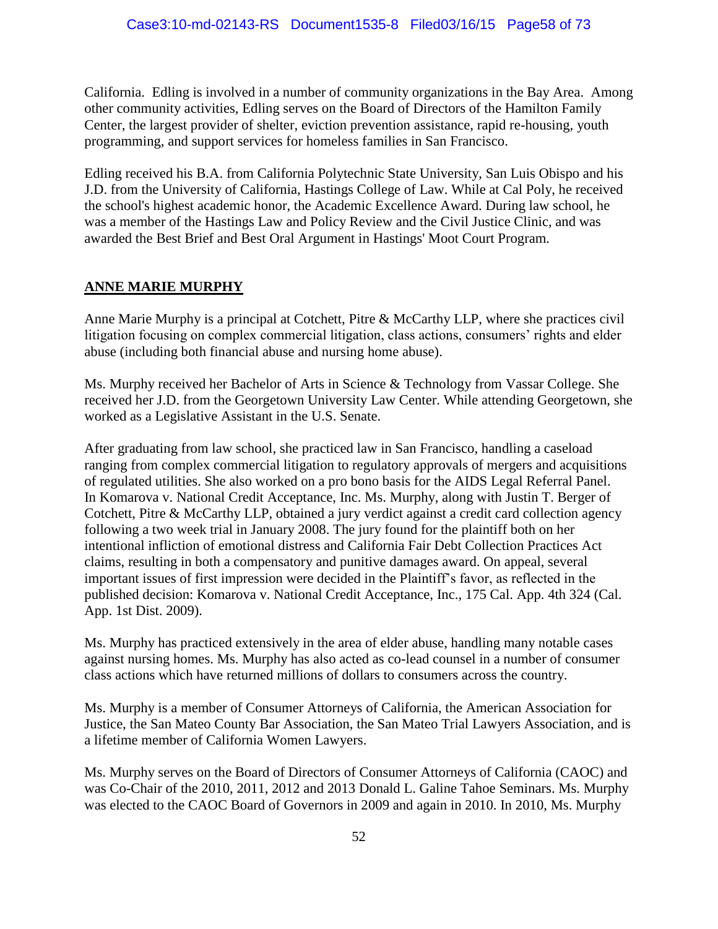California. Edling is involved in a number of community organizations in the Bay Area. Among other community activities, Edling serves on the Board of Directors of the Hamilton Family Center, the largest provider of shelter, eviction prevention assistance, rapid re-housing, youth programming, and support services for homeless families in San Francisco.

Edling received his B.A. from California Polytechnic State University, San Luis Obispo and his J.D. from the University of California, Hastings College of Law. While at Cal Poly, he received the school's highest academic honor, the Academic Excellence Award. During law school, he was a member of the Hastings Law and Policy Review and the Civil Justice Clinic, and was awarded the Best Brief and Best Oral Argument in Hastings' Moot Court Program.

# **ANNE MARIE MURPHY**

Anne Marie Murphy is a principal at Cotchett, Pitre & McCarthy LLP, where she practices civil litigation focusing on complex commercial litigation, class actions, consumers' rights and elder abuse (including both financial abuse and nursing home abuse).

Ms. Murphy received her Bachelor of Arts in Science & Technology from Vassar College. She received her J.D. from the Georgetown University Law Center. While attending Georgetown, she worked as a Legislative Assistant in the U.S. Senate.

After graduating from law school, she practiced law in San Francisco, handling a caseload ranging from complex commercial litigation to regulatory approvals of mergers and acquisitions of regulated utilities. She also worked on a pro bono basis for the AIDS Legal Referral Panel. In Komarova v. National Credit Acceptance, Inc. Ms. Murphy, along with Justin T. Berger of Cotchett, Pitre & McCarthy LLP, obtained a jury verdict against a credit card collection agency following a two week trial in January 2008. The jury found for the plaintiff both on her intentional infliction of emotional distress and California Fair Debt Collection Practices Act claims, resulting in both a compensatory and punitive damages award. On appeal, several important issues of first impression were decided in the Plaintiff's favor, as reflected in the published decision: Komarova v. National Credit Acceptance, Inc., 175 Cal. App. 4th 324 (Cal. App. 1st Dist. 2009).

Ms. Murphy has practiced extensively in the area of elder abuse, handling many notable cases against nursing homes. Ms. Murphy has also acted as co-lead counsel in a number of consumer class actions which have returned millions of dollars to consumers across the country.

Ms. Murphy is a member of Consumer Attorneys of California, the American Association for Justice, the San Mateo County Bar Association, the San Mateo Trial Lawyers Association, and is a lifetime member of California Women Lawyers.

Ms. Murphy serves on the Board of Directors of Consumer Attorneys of California (CAOC) and was Co-Chair of the 2010, 2011, 2012 and 2013 Donald L. Galine Tahoe Seminars. Ms. Murphy was elected to the CAOC Board of Governors in 2009 and again in 2010. In 2010, Ms. Murphy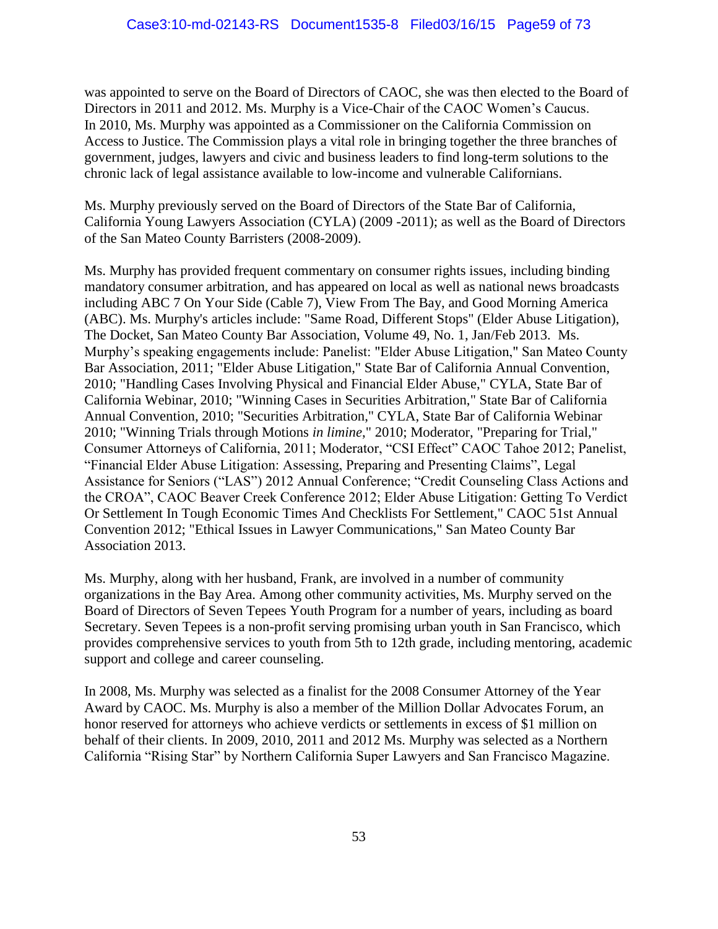was appointed to serve on the Board of Directors of CAOC, she was then elected to the Board of Directors in 2011 and 2012. Ms. Murphy is a Vice-Chair of the CAOC Women's Caucus. In 2010, Ms. Murphy was appointed as a Commissioner on the California Commission on Access to Justice. The Commission plays a vital role in bringing together the three branches of government, judges, lawyers and civic and business leaders to find long-term solutions to the chronic lack of legal assistance available to low-income and vulnerable Californians.

Ms. Murphy previously served on the Board of Directors of the State Bar of California, California Young Lawyers Association (CYLA) (2009 -2011); as well as the Board of Directors of the San Mateo County Barristers (2008-2009).

Ms. Murphy has provided frequent commentary on consumer rights issues, including binding mandatory consumer arbitration, and has appeared on local as well as national news broadcasts including ABC 7 On Your Side (Cable 7), View From The Bay, and Good Morning America (ABC). Ms. Murphy's articles include: "Same Road, Different Stops" (Elder Abuse Litigation), The Docket, San Mateo County Bar Association, Volume 49, No. 1, Jan/Feb 2013. Ms. Murphy's speaking engagements include: Panelist: "Elder Abuse Litigation," San Mateo County Bar Association, 2011; "Elder Abuse Litigation," State Bar of California Annual Convention, 2010; "Handling Cases Involving Physical and Financial Elder Abuse," CYLA, State Bar of California Webinar, 2010; "Winning Cases in Securities Arbitration," State Bar of California Annual Convention, 2010; "Securities Arbitration," CYLA, State Bar of California Webinar 2010; "Winning Trials through Motions *in limine*," 2010; Moderator, "Preparing for Trial," Consumer Attorneys of California, 2011; Moderator, "CSI Effect" CAOC Tahoe 2012; Panelist, "Financial Elder Abuse Litigation: Assessing, Preparing and Presenting Claims", Legal Assistance for Seniors ("LAS") 2012 Annual Conference; "Credit Counseling Class Actions and the CROA", CAOC Beaver Creek Conference 2012; Elder Abuse Litigation: Getting To Verdict Or Settlement In Tough Economic Times And Checklists For Settlement," CAOC 51st Annual Convention 2012; "Ethical Issues in Lawyer Communications," San Mateo County Bar Association 2013.

Ms. Murphy, along with her husband, Frank, are involved in a number of community organizations in the Bay Area. Among other community activities, Ms. Murphy served on the Board of Directors of Seven Tepees Youth Program for a number of years, including as board Secretary. Seven Tepees is a non-profit serving promising urban youth in San Francisco, which provides comprehensive services to youth from 5th to 12th grade, including mentoring, academic support and college and career counseling.

In 2008, Ms. Murphy was selected as a finalist for the 2008 Consumer Attorney of the Year Award by CAOC. Ms. Murphy is also a member of the Million Dollar Advocates Forum, an honor reserved for attorneys who achieve verdicts or settlements in excess of \$1 million on behalf of their clients. In 2009, 2010, 2011 and 2012 Ms. Murphy was selected as a Northern California "Rising Star" by Northern California Super Lawyers and San Francisco Magazine.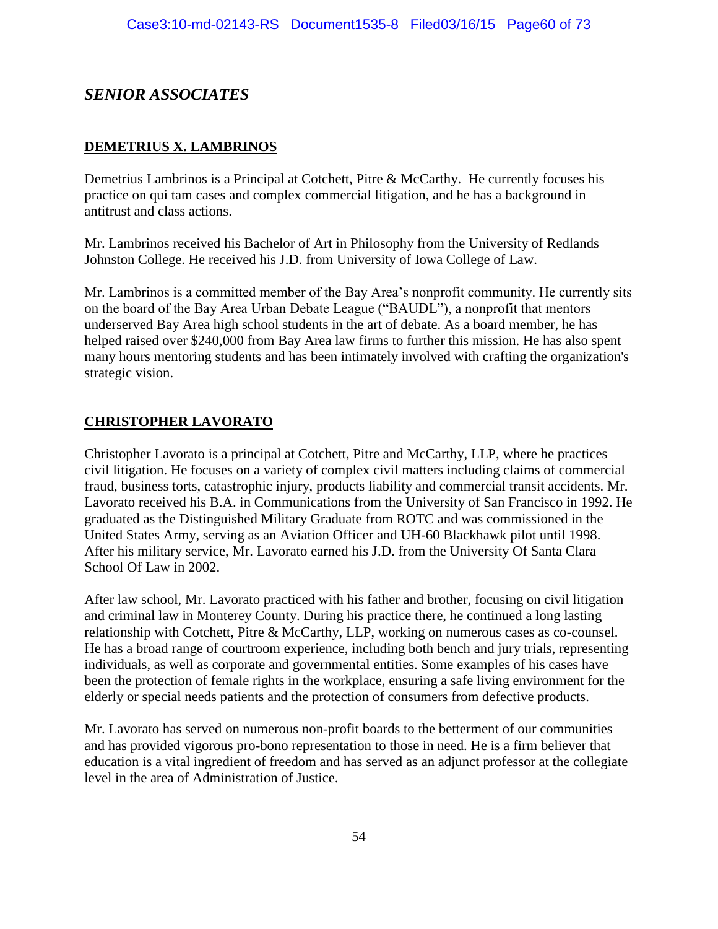# *SENIOR ASSOCIATES*

# **DEMETRIUS X. LAMBRINOS**

Demetrius Lambrinos is a Principal at Cotchett, Pitre & McCarthy. He currently focuses his practice on qui tam cases and complex commercial litigation, and he has a background in antitrust and class actions.

Mr. Lambrinos received his Bachelor of Art in Philosophy from the University of Redlands Johnston College. He received his J.D. from University of Iowa College of Law.

Mr. Lambrinos is a committed member of the Bay Area's nonprofit community. He currently sits on the board of the Bay Area Urban Debate League ("BAUDL"), a nonprofit that mentors underserved Bay Area high school students in the art of debate. As a board member, he has helped raised over \$240,000 from Bay Area law firms to further this mission. He has also spent many hours mentoring students and has been intimately involved with crafting the organization's strategic vision.

# **CHRISTOPHER LAVORATO**

Christopher Lavorato is a principal at Cotchett, Pitre and McCarthy, LLP, where he practices civil litigation. He focuses on a variety of complex civil matters including claims of commercial fraud, business torts, catastrophic injury, products liability and commercial transit accidents. Mr. Lavorato received his B.A. in Communications from the University of San Francisco in 1992. He graduated as the Distinguished Military Graduate from ROTC and was commissioned in the United States Army, serving as an Aviation Officer and UH-60 Blackhawk pilot until 1998. After his military service, Mr. Lavorato earned his J.D. from the University Of Santa Clara School Of Law in 2002.

After law school, Mr. Lavorato practiced with his father and brother, focusing on civil litigation and criminal law in Monterey County. During his practice there, he continued a long lasting relationship with Cotchett, Pitre & McCarthy, LLP, working on numerous cases as co-counsel. He has a broad range of courtroom experience, including both bench and jury trials, representing individuals, as well as corporate and governmental entities. Some examples of his cases have been the protection of female rights in the workplace, ensuring a safe living environment for the elderly or special needs patients and the protection of consumers from defective products.

Mr. Lavorato has served on numerous non-profit boards to the betterment of our communities and has provided vigorous pro-bono representation to those in need. He is a firm believer that education is a vital ingredient of freedom and has served as an adjunct professor at the collegiate level in the area of Administration of Justice.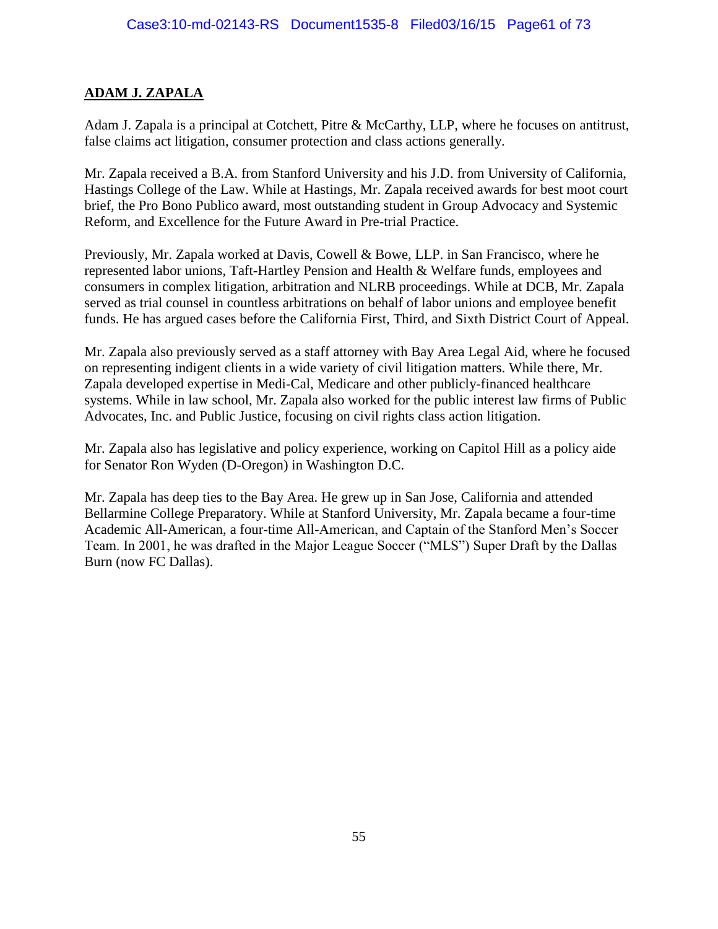# **ADAM J. ZAPALA**

Adam J. Zapala is a principal at Cotchett, Pitre & McCarthy, LLP, where he focuses on antitrust, false claims act litigation, consumer protection and class actions generally.

Mr. Zapala received a B.A. from Stanford University and his J.D. from University of California, Hastings College of the Law. While at Hastings, Mr. Zapala received awards for best moot court brief, the Pro Bono Publico award, most outstanding student in Group Advocacy and Systemic Reform, and Excellence for the Future Award in Pre-trial Practice.

Previously, Mr. Zapala worked at Davis, Cowell & Bowe, LLP. in San Francisco, where he represented labor unions, Taft-Hartley Pension and Health & Welfare funds, employees and consumers in complex litigation, arbitration and NLRB proceedings. While at DCB, Mr. Zapala served as trial counsel in countless arbitrations on behalf of labor unions and employee benefit funds. He has argued cases before the California First, Third, and Sixth District Court of Appeal.

Mr. Zapala also previously served as a staff attorney with Bay Area Legal Aid, where he focused on representing indigent clients in a wide variety of civil litigation matters. While there, Mr. Zapala developed expertise in Medi-Cal, Medicare and other publicly-financed healthcare systems. While in law school, Mr. Zapala also worked for the public interest law firms of Public Advocates, Inc. and Public Justice, focusing on civil rights class action litigation.

Mr. Zapala also has legislative and policy experience, working on Capitol Hill as a policy aide for Senator Ron Wyden (D-Oregon) in Washington D.C.

Mr. Zapala has deep ties to the Bay Area. He grew up in San Jose, California and attended Bellarmine College Preparatory. While at Stanford University, Mr. Zapala became a four-time Academic All-American, a four-time All-American, and Captain of the Stanford Men's Soccer Team. In 2001, he was drafted in the Major League Soccer ("MLS") Super Draft by the Dallas Burn (now FC Dallas).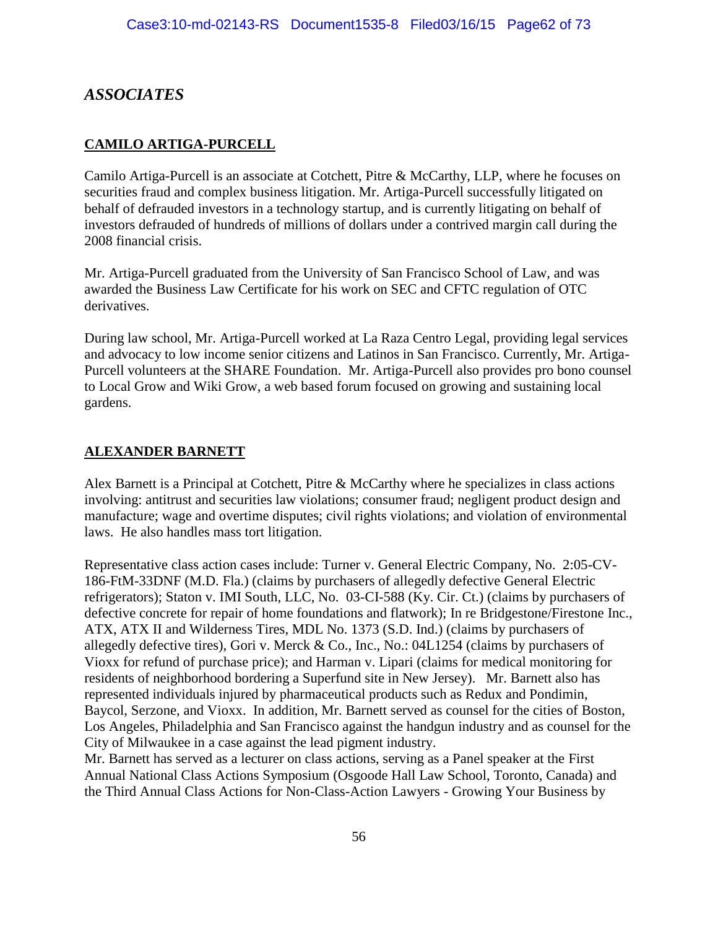# *ASSOCIATES*

# **CAMILO ARTIGA-PURCELL**

Camilo Artiga-Purcell is an associate at Cotchett, Pitre & McCarthy, LLP, where he focuses on securities fraud and complex business litigation. Mr. Artiga-Purcell successfully litigated on behalf of defrauded investors in a technology startup, and is currently litigating on behalf of investors defrauded of hundreds of millions of dollars under a contrived margin call during the 2008 financial crisis.

Mr. Artiga-Purcell graduated from the University of San Francisco School of Law, and was awarded the Business Law Certificate for his work on SEC and CFTC regulation of OTC derivatives.

During law school, Mr. Artiga-Purcell worked at La Raza Centro Legal, providing legal services and advocacy to low income senior citizens and Latinos in San Francisco. Currently, Mr. Artiga-Purcell volunteers at the SHARE Foundation. Mr. Artiga-Purcell also provides pro bono counsel to Local Grow and Wiki Grow, a web based forum focused on growing and sustaining local gardens.

# **ALEXANDER BARNETT**

Alex Barnett is a Principal at Cotchett, Pitre & McCarthy where he specializes in class actions involving: antitrust and securities law violations; consumer fraud; negligent product design and manufacture; wage and overtime disputes; civil rights violations; and violation of environmental laws. He also handles mass tort litigation.

Representative class action cases include: Turner v. General Electric Company, No. 2:05-CV-186-FtM-33DNF (M.D. Fla.) (claims by purchasers of allegedly defective General Electric refrigerators); Staton v. IMI South, LLC, No. 03-CI-588 (Ky. Cir. Ct.) (claims by purchasers of defective concrete for repair of home foundations and flatwork); In re Bridgestone/Firestone Inc., ATX, ATX II and Wilderness Tires, MDL No. 1373 (S.D. Ind.) (claims by purchasers of allegedly defective tires), Gori v. Merck & Co., Inc., No.: 04L1254 (claims by purchasers of Vioxx for refund of purchase price); and Harman v. Lipari (claims for medical monitoring for residents of neighborhood bordering a Superfund site in New Jersey). Mr. Barnett also has represented individuals injured by pharmaceutical products such as Redux and Pondimin, Baycol, Serzone, and Vioxx. In addition, Mr. Barnett served as counsel for the cities of Boston, Los Angeles, Philadelphia and San Francisco against the handgun industry and as counsel for the City of Milwaukee in a case against the lead pigment industry.

Mr. Barnett has served as a lecturer on class actions, serving as a Panel speaker at the First Annual National Class Actions Symposium (Osgoode Hall Law School, Toronto, Canada) and the Third Annual Class Actions for Non-Class-Action Lawyers - Growing Your Business by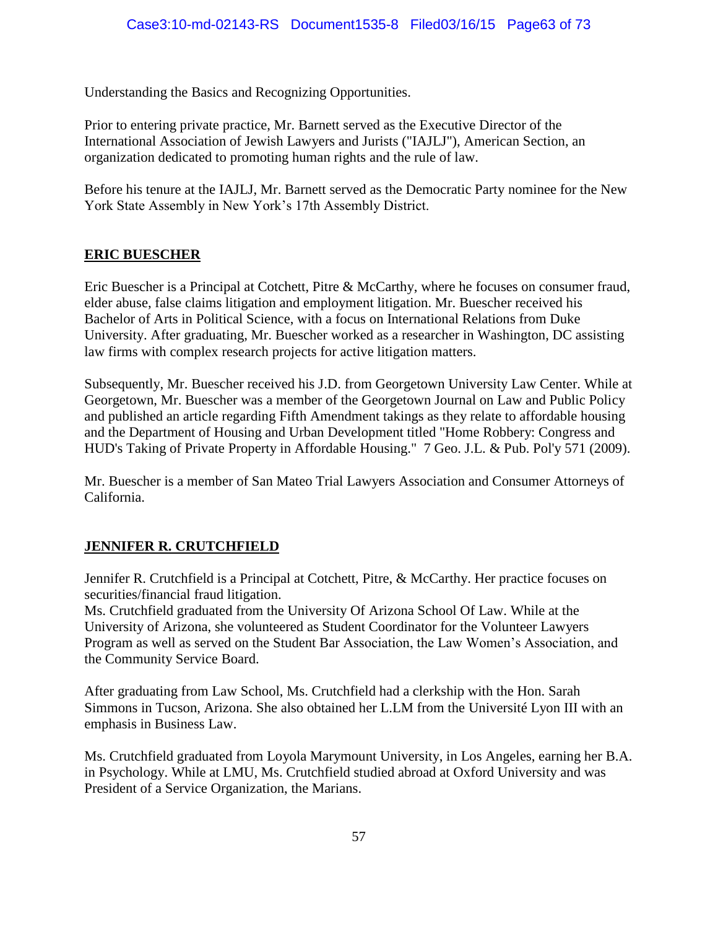Understanding the Basics and Recognizing Opportunities.

Prior to entering private practice, Mr. Barnett served as the Executive Director of the International Association of Jewish Lawyers and Jurists ("IAJLJ"), American Section, an organization dedicated to promoting human rights and the rule of law.

Before his tenure at the IAJLJ, Mr. Barnett served as the Democratic Party nominee for the New York State Assembly in New York's 17th Assembly District.

# **ERIC BUESCHER**

Eric Buescher is a Principal at Cotchett, Pitre & McCarthy, where he focuses on consumer fraud, elder abuse, false claims litigation and employment litigation. Mr. Buescher received his Bachelor of Arts in Political Science, with a focus on International Relations from Duke University. After graduating, Mr. Buescher worked as a researcher in Washington, DC assisting law firms with complex research projects for active litigation matters.

Subsequently, Mr. Buescher received his J.D. from Georgetown University Law Center. While at Georgetown, Mr. Buescher was a member of the Georgetown Journal on Law and Public Policy and published an article regarding Fifth Amendment takings as they relate to affordable housing and the Department of Housing and Urban Development titled "Home Robbery: Congress and HUD's Taking of Private Property in Affordable Housing." 7 Geo. J.L. & Pub. Pol'y 571 (2009).

Mr. Buescher is a member of San Mateo Trial Lawyers Association and Consumer Attorneys of California.

# **JENNIFER R. CRUTCHFIELD**

Jennifer R. Crutchfield is a Principal at Cotchett, Pitre, & McCarthy. Her practice focuses on securities/financial fraud litigation.

Ms. Crutchfield graduated from the University Of Arizona School Of Law. While at the University of Arizona, she volunteered as Student Coordinator for the Volunteer Lawyers Program as well as served on the Student Bar Association, the Law Women's Association, and the Community Service Board.

After graduating from Law School, Ms. Crutchfield had a clerkship with the Hon. Sarah Simmons in Tucson, Arizona. She also obtained her L.LM from the Université Lyon III with an emphasis in Business Law.

Ms. Crutchfield graduated from Loyola Marymount University, in Los Angeles, earning her B.A. in Psychology. While at LMU, Ms. Crutchfield studied abroad at Oxford University and was President of a Service Organization, the Marians.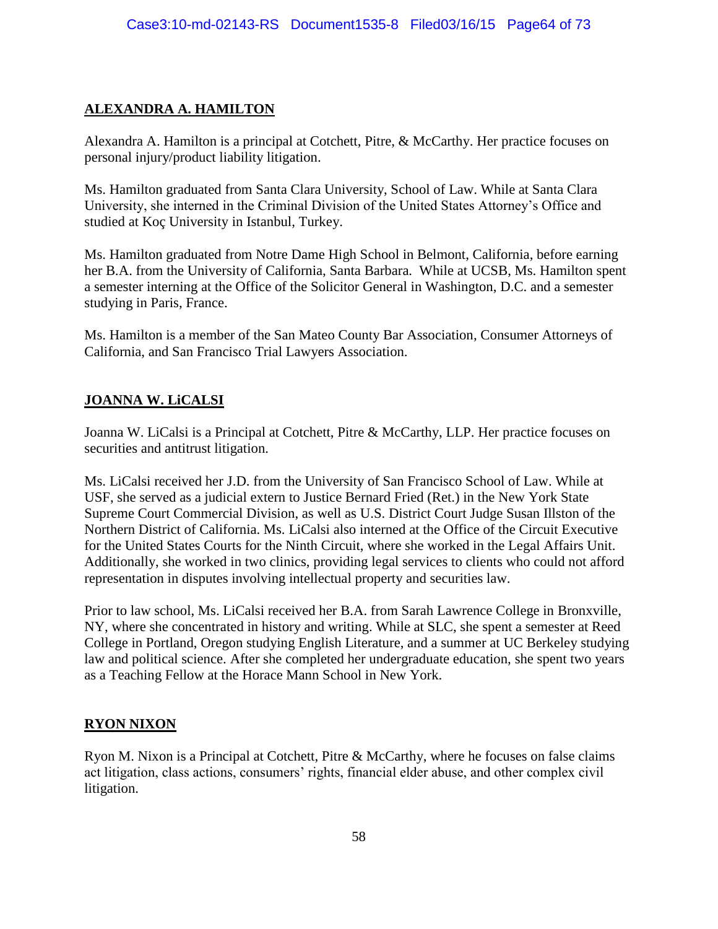# **ALEXANDRA A. HAMILTON**

Alexandra A. Hamilton is a principal at Cotchett, Pitre, & McCarthy. Her practice focuses on personal injury/product liability litigation.

Ms. Hamilton graduated from Santa Clara University, School of Law. While at Santa Clara University, she interned in the Criminal Division of the United States Attorney's Office and studied at Koç University in Istanbul, Turkey.

Ms. Hamilton graduated from Notre Dame High School in Belmont, California, before earning her B.A. from the University of California, Santa Barbara. While at UCSB, Ms. Hamilton spent a semester interning at the Office of the Solicitor General in Washington, D.C. and a semester studying in Paris, France.

Ms. Hamilton is a member of the San Mateo County Bar Association, Consumer Attorneys of California, and San Francisco Trial Lawyers Association.

#### **JOANNA W. LiCALSI**

Joanna W. LiCalsi is a Principal at Cotchett, Pitre & McCarthy, LLP. Her practice focuses on securities and antitrust litigation.

Ms. LiCalsi received her J.D. from the University of San Francisco School of Law. While at USF, she served as a judicial extern to Justice Bernard Fried (Ret.) in the New York State Supreme Court Commercial Division, as well as U.S. District Court Judge Susan Illston of the Northern District of California. Ms. LiCalsi also interned at the Office of the Circuit Executive for the United States Courts for the Ninth Circuit, where she worked in the Legal Affairs Unit. Additionally, she worked in two clinics, providing legal services to clients who could not afford representation in disputes involving intellectual property and securities law.

Prior to law school, Ms. LiCalsi received her B.A. from Sarah Lawrence College in Bronxville, NY, where she concentrated in history and writing. While at SLC, she spent a semester at Reed College in Portland, Oregon studying English Literature, and a summer at UC Berkeley studying law and political science. After she completed her undergraduate education, she spent two years as a Teaching Fellow at the Horace Mann School in New York.

# **RYON NIXON**

Ryon M. Nixon is a Principal at Cotchett, Pitre & McCarthy, where he focuses on false claims act litigation, class actions, consumers' rights, financial elder abuse, and other complex civil litigation.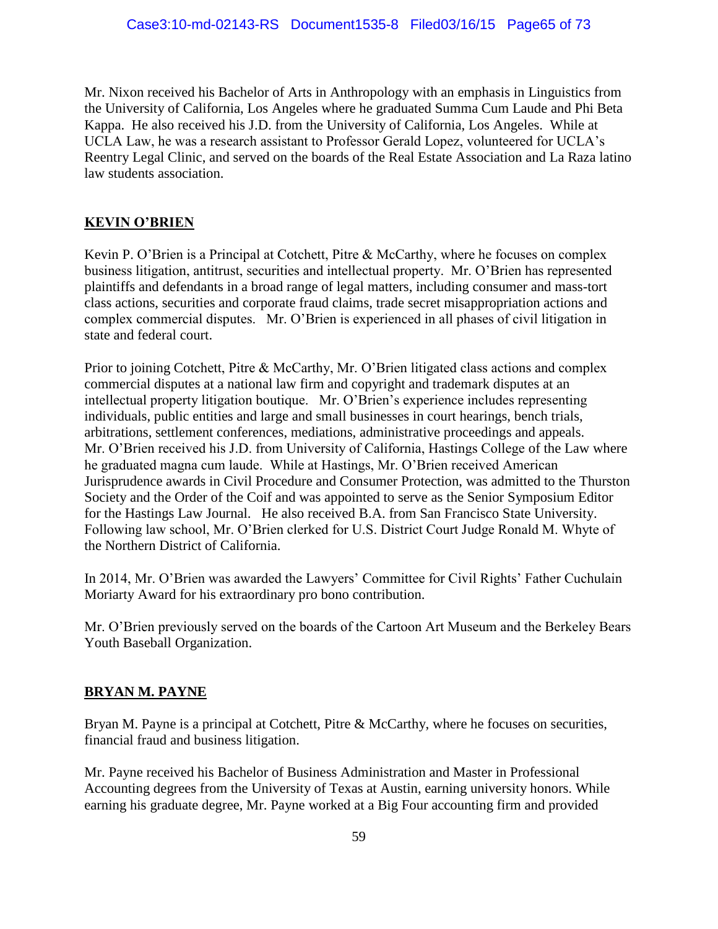Mr. Nixon received his Bachelor of Arts in Anthropology with an emphasis in Linguistics from the University of California, Los Angeles where he graduated Summa Cum Laude and Phi Beta Kappa. He also received his J.D. from the University of California, Los Angeles. While at UCLA Law, he was a research assistant to Professor Gerald Lopez, volunteered for UCLA's Reentry Legal Clinic, and served on the boards of the Real Estate Association and La Raza latino law students association.

# **KEVIN O'BRIEN**

Kevin P. O'Brien is a Principal at Cotchett, Pitre & McCarthy, where he focuses on complex business litigation, antitrust, securities and intellectual property. Mr. O'Brien has represented plaintiffs and defendants in a broad range of legal matters, including consumer and mass-tort class actions, securities and corporate fraud claims, trade secret misappropriation actions and complex commercial disputes. Mr. O'Brien is experienced in all phases of civil litigation in state and federal court.

Prior to joining Cotchett, Pitre & McCarthy, Mr. O'Brien litigated class actions and complex commercial disputes at a national law firm and copyright and trademark disputes at an intellectual property litigation boutique. Mr. O'Brien's experience includes representing individuals, public entities and large and small businesses in court hearings, bench trials, arbitrations, settlement conferences, mediations, administrative proceedings and appeals. Mr. O'Brien received his J.D. from University of California, Hastings College of the Law where he graduated magna cum laude. While at Hastings, Mr. O'Brien received American Jurisprudence awards in Civil Procedure and Consumer Protection, was admitted to the Thurston Society and the Order of the Coif and was appointed to serve as the Senior Symposium Editor for the Hastings Law Journal. He also received B.A. from San Francisco State University. Following law school, Mr. O'Brien clerked for U.S. District Court Judge Ronald M. Whyte of the Northern District of California.

In 2014, Mr. O'Brien was awarded the Lawyers' Committee for Civil Rights' Father Cuchulain Moriarty Award for his extraordinary pro bono contribution.

Mr. O'Brien previously served on the boards of the Cartoon Art Museum and the Berkeley Bears Youth Baseball Organization.

#### **BRYAN M. PAYNE**

Bryan M. Payne is a principal at Cotchett, Pitre & McCarthy, where he focuses on securities, financial fraud and business litigation.

Mr. Payne received his Bachelor of Business Administration and Master in Professional Accounting degrees from the University of Texas at Austin, earning university honors. While earning his graduate degree, Mr. Payne worked at a Big Four accounting firm and provided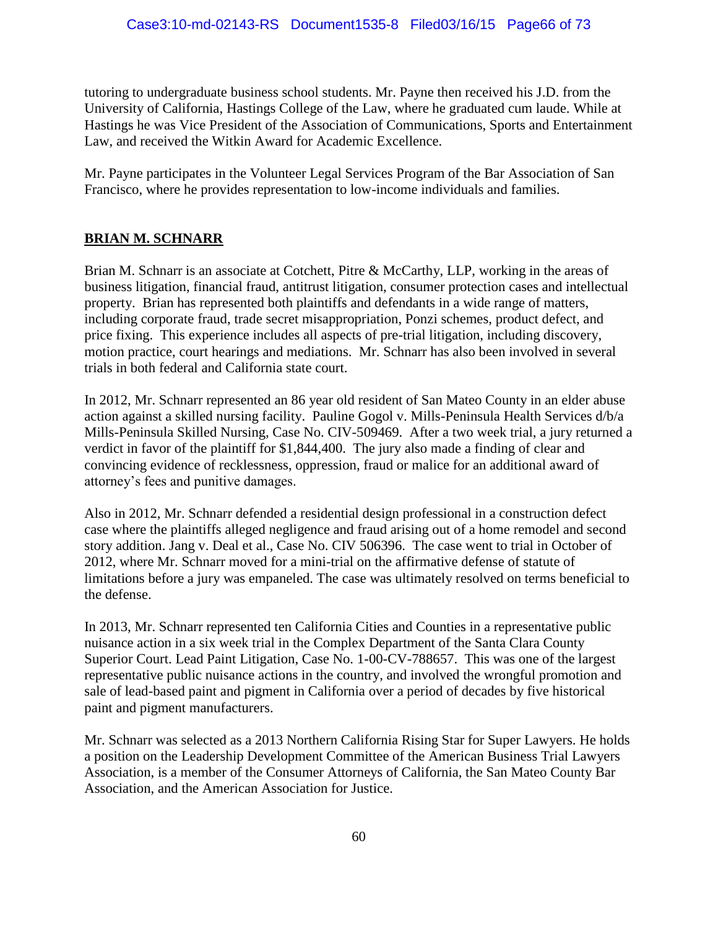tutoring to undergraduate business school students. Mr. Payne then received his J.D. from the University of California, Hastings College of the Law, where he graduated cum laude. While at Hastings he was Vice President of the Association of Communications, Sports and Entertainment Law, and received the Witkin Award for Academic Excellence.

Mr. Payne participates in the Volunteer Legal Services Program of the Bar Association of San Francisco, where he provides representation to low-income individuals and families.

# **BRIAN M. SCHNARR**

Brian M. Schnarr is an associate at Cotchett, Pitre & McCarthy, LLP, working in the areas of business litigation, financial fraud, antitrust litigation, consumer protection cases and intellectual property. Brian has represented both plaintiffs and defendants in a wide range of matters, including corporate fraud, trade secret misappropriation, Ponzi schemes, product defect, and price fixing. This experience includes all aspects of pre-trial litigation, including discovery, motion practice, court hearings and mediations. Mr. Schnarr has also been involved in several trials in both federal and California state court.

In 2012, Mr. Schnarr represented an 86 year old resident of San Mateo County in an elder abuse action against a skilled nursing facility. Pauline Gogol v. Mills-Peninsula Health Services d/b/a Mills-Peninsula Skilled Nursing, Case No. CIV-509469. After a two week trial, a jury returned a verdict in favor of the plaintiff for \$1,844,400. The jury also made a finding of clear and convincing evidence of recklessness, oppression, fraud or malice for an additional award of attorney's fees and punitive damages.

Also in 2012, Mr. Schnarr defended a residential design professional in a construction defect case where the plaintiffs alleged negligence and fraud arising out of a home remodel and second story addition. Jang v. Deal et al., Case No. CIV 506396. The case went to trial in October of 2012, where Mr. Schnarr moved for a mini-trial on the affirmative defense of statute of limitations before a jury was empaneled. The case was ultimately resolved on terms beneficial to the defense.

In 2013, Mr. Schnarr represented ten California Cities and Counties in a representative public nuisance action in a six week trial in the Complex Department of the Santa Clara County Superior Court. Lead Paint Litigation, Case No. 1-00-CV-788657. This was one of the largest representative public nuisance actions in the country, and involved the wrongful promotion and sale of lead-based paint and pigment in California over a period of decades by five historical paint and pigment manufacturers.

Mr. Schnarr was selected as a 2013 Northern California Rising Star for Super Lawyers. He holds a position on the Leadership Development Committee of the American Business Trial Lawyers Association, is a member of the Consumer Attorneys of California, the San Mateo County Bar Association, and the American Association for Justice.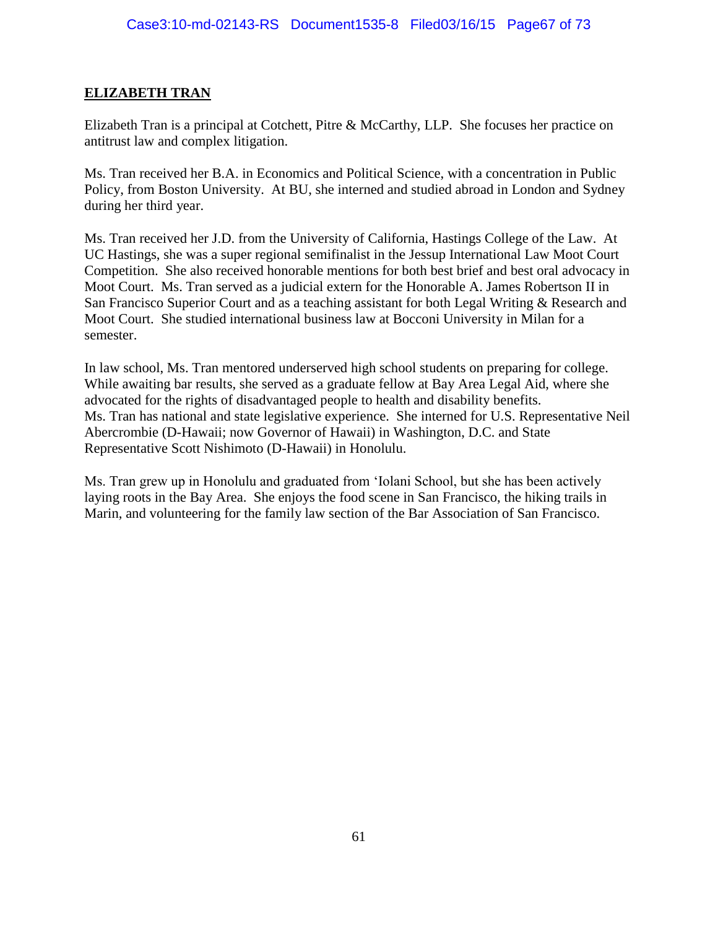#### **ELIZABETH TRAN**

Elizabeth Tran is a principal at Cotchett, Pitre & McCarthy, LLP. She focuses her practice on antitrust law and complex litigation.

Ms. Tran received her B.A. in Economics and Political Science, with a concentration in Public Policy, from Boston University. At BU, she interned and studied abroad in London and Sydney during her third year.

Ms. Tran received her J.D. from the University of California, Hastings College of the Law. At UC Hastings, she was a super regional semifinalist in the Jessup International Law Moot Court Competition. She also received honorable mentions for both best brief and best oral advocacy in Moot Court. Ms. Tran served as a judicial extern for the Honorable A. James Robertson II in San Francisco Superior Court and as a teaching assistant for both Legal Writing & Research and Moot Court. She studied international business law at Bocconi University in Milan for a semester.

In law school, Ms. Tran mentored underserved high school students on preparing for college. While awaiting bar results, she served as a graduate fellow at Bay Area Legal Aid, where she advocated for the rights of disadvantaged people to health and disability benefits. Ms. Tran has national and state legislative experience. She interned for U.S. Representative Neil Abercrombie (D-Hawaii; now Governor of Hawaii) in Washington, D.C. and State Representative Scott Nishimoto (D-Hawaii) in Honolulu.

Ms. Tran grew up in Honolulu and graduated from 'Iolani School, but she has been actively laying roots in the Bay Area. She enjoys the food scene in San Francisco, the hiking trails in Marin, and volunteering for the family law section of the Bar Association of San Francisco.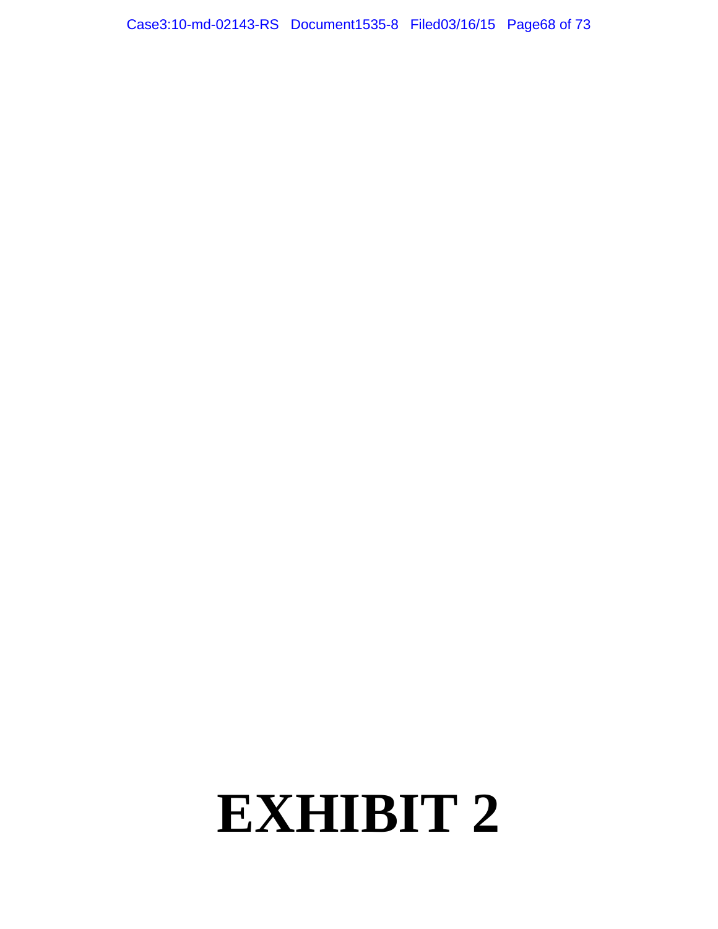Case3:10-md-02143-RS Document1535-8 Filed03/16/15 Page68 of 73

# **EXHIBIT 2**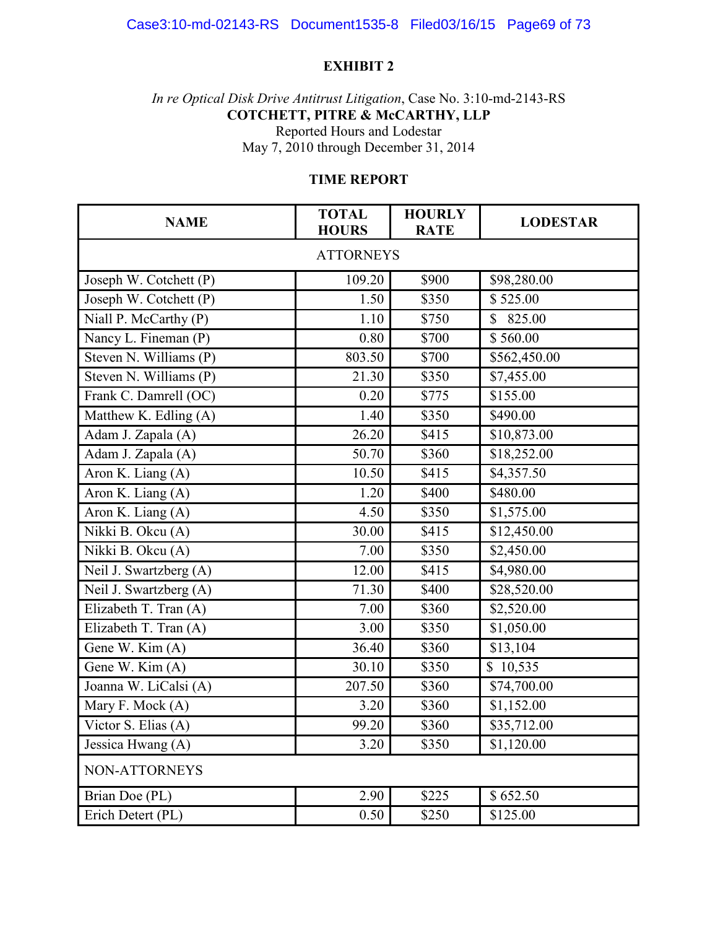# Case3:10-md-02143-RS Document1535-8 Filed03/16/15 Page69 of 73

#### **EXHIBIT 2**

*In re Optical Disk Drive Antitrust Litigation*, Case No. 3:10-md-2143-RS **COTCHETT, PITRE & McCARTHY, LLP**  Reported Hours and Lodestar May 7, 2010 through December 31, 2014

# **TIME REPORT**

| <b>NAME</b>            | <b>TOTAL</b><br><b>HOURS</b> | <b>HOURLY</b><br><b>RATE</b> | <b>LODESTAR</b> |  |  |
|------------------------|------------------------------|------------------------------|-----------------|--|--|
| <b>ATTORNEYS</b>       |                              |                              |                 |  |  |
| Joseph W. Cotchett (P) | 109.20                       | \$900                        | \$98,280.00     |  |  |
| Joseph W. Cotchett (P) | 1.50                         | \$350                        | \$525.00        |  |  |
| Niall P. McCarthy (P)  | 1.10                         | \$750                        | 825.00          |  |  |
| Nancy L. Fineman (P)   | 0.80                         | \$700                        | \$560.00        |  |  |
| Steven N. Williams (P) | 803.50                       | \$700                        | \$562,450.00    |  |  |
| Steven N. Williams (P) | 21.30                        | \$350                        | \$7,455.00      |  |  |
| Frank C. Damrell (OC)  | 0.20                         | \$775                        | \$155.00        |  |  |
| Matthew K. Edling (A)  | 1.40                         | \$350                        | \$490.00        |  |  |
| Adam J. Zapala (A)     | 26.20                        | \$415                        | \$10,873.00     |  |  |
| Adam J. Zapala (A)     | 50.70                        | \$360                        | \$18,252.00     |  |  |
| Aron K. Liang (A)      | 10.50                        | \$415                        | \$4,357.50      |  |  |
| Aron K. Liang (A)      | 1.20                         | \$400                        | \$480.00        |  |  |
| Aron K. Liang (A)      | 4.50                         | \$350                        | \$1,575.00      |  |  |
| Nikki B. Okcu (A)      | 30.00                        | \$415                        | \$12,450.00     |  |  |
| Nikki B. Okcu (A)      | 7.00                         | \$350                        | \$2,450.00      |  |  |
| Neil J. Swartzberg (A) | 12.00                        | \$415                        | \$4,980.00      |  |  |
| Neil J. Swartzberg (A) | 71.30                        | \$400                        | \$28,520.00     |  |  |
| Elizabeth T. Tran (A)  | 7.00                         | \$360                        | \$2,520.00      |  |  |
| Elizabeth T. Tran (A)  | 3.00                         | \$350                        | \$1,050.00      |  |  |
| Gene W. Kim (A)        | 36.40                        | \$360                        | \$13,104        |  |  |
| Gene W. Kim (A)        | 30.10                        | \$350                        | \$10,535        |  |  |
| Joanna W. LiCalsi (A)  | 207.50                       | \$360                        | \$74,700.00     |  |  |
| Mary F. Mock (A)       | 3.20                         | \$360                        | \$1,152.00      |  |  |
| Victor S. Elias (A)    | 99.20                        | \$360                        | \$35,712.00     |  |  |
| Jessica Hwang (A)      | 3.20                         | \$350                        | \$1,120.00      |  |  |
| NON-ATTORNEYS          |                              |                              |                 |  |  |
| Brian Doe (PL)         | 2.90                         | \$225                        | \$652.50        |  |  |
| Erich Detert (PL)      | 0.50                         | \$250                        | \$125.00        |  |  |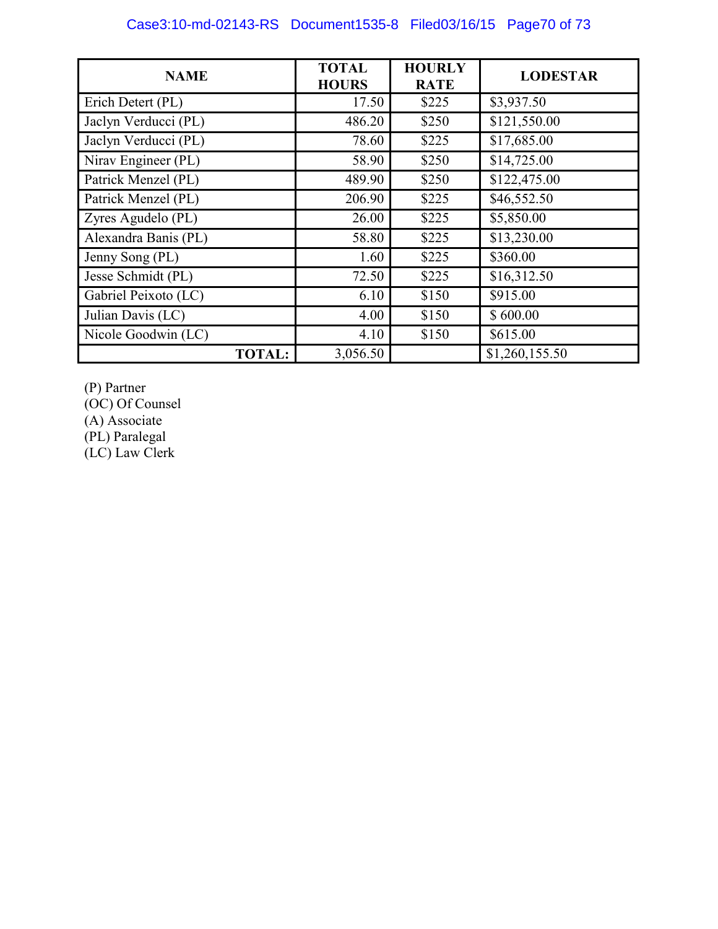| <b>NAME</b>          | <b>TOTAL</b><br><b>HOURS</b> | <b>HOURLY</b><br><b>RATE</b> | <b>LODESTAR</b> |
|----------------------|------------------------------|------------------------------|-----------------|
| Erich Detert (PL)    | 17.50                        | \$225                        | \$3,937.50      |
| Jaclyn Verducci (PL) | 486.20                       | \$250                        | \$121,550.00    |
| Jaclyn Verducci (PL) | 78.60                        | \$225                        | \$17,685.00     |
| Nirav Engineer (PL)  | 58.90                        | \$250                        | \$14,725.00     |
| Patrick Menzel (PL)  | 489.90                       | \$250                        | \$122,475.00    |
| Patrick Menzel (PL)  | 206.90                       | \$225                        | \$46,552.50     |
| Zyres Agudelo (PL)   | 26.00                        | \$225                        | \$5,850.00      |
| Alexandra Banis (PL) | 58.80                        | \$225                        | \$13,230.00     |
| Jenny Song (PL)      | 1.60                         | \$225                        | \$360.00        |
| Jesse Schmidt (PL)   | 72.50                        | \$225                        | \$16,312.50     |
| Gabriel Peixoto (LC) | 6.10                         | \$150                        | \$915.00        |
| Julian Davis (LC)    | 4.00                         | \$150                        | \$600.00        |
| Nicole Goodwin (LC)  | 4.10                         | \$150                        | \$615.00        |
| <b>TOTAL:</b>        | 3,056.50                     |                              | \$1,260,155.50  |

(P) Partner

(OC) Of Counsel

(A) Associate

(PL) Paralegal (LC) Law Clerk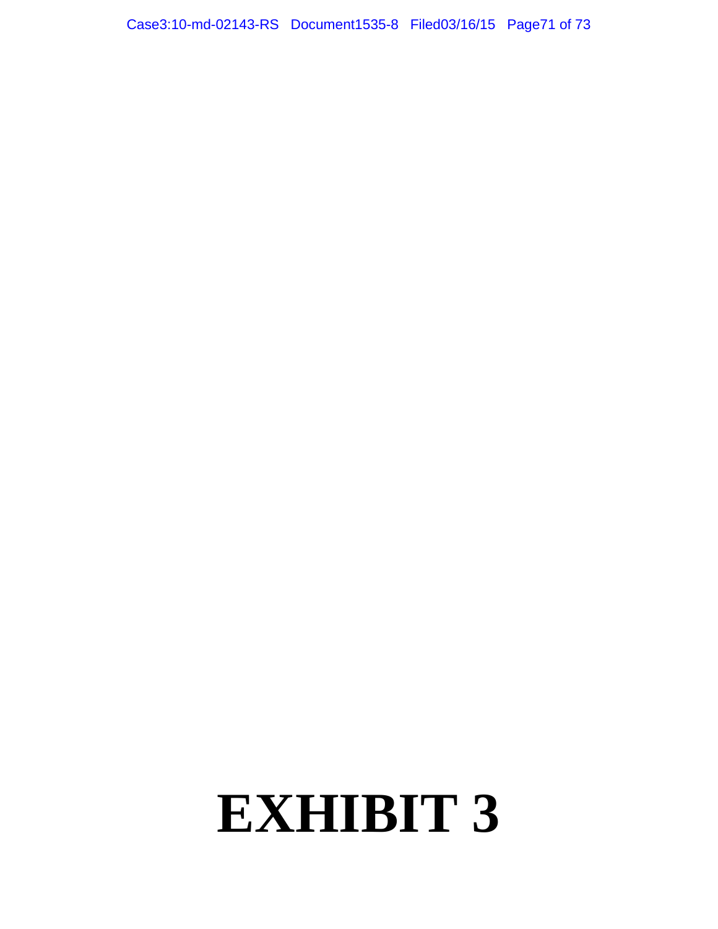Case3:10-md-02143-RS Document1535-8 Filed03/16/15 Page71 of 73

# **EXHIBIT 3**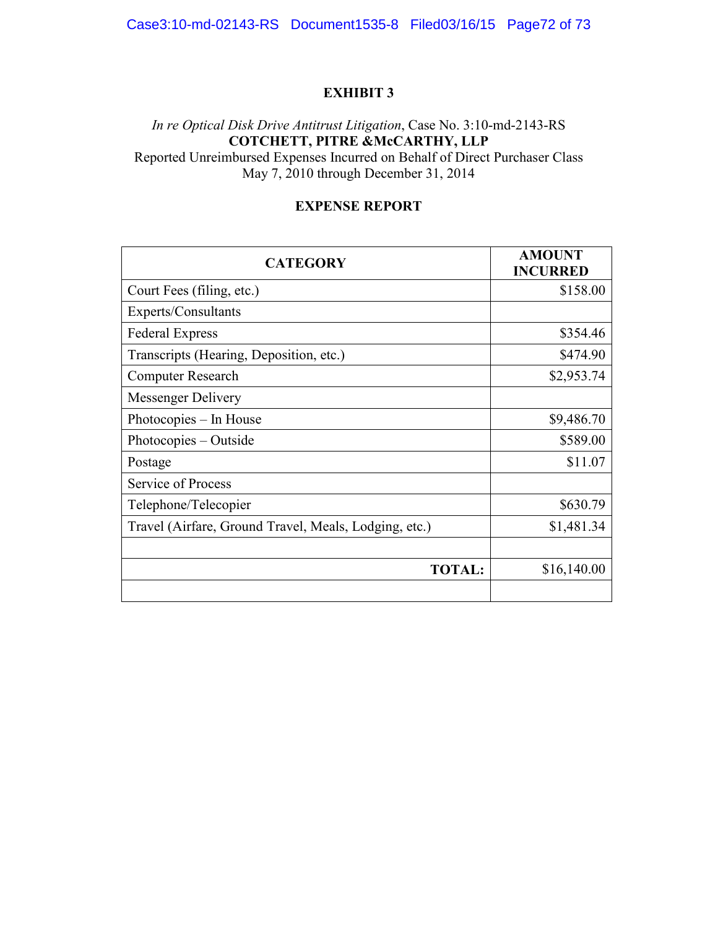# **EXHIBIT 3**

# *In re Optical Disk Drive Antitrust Litigation*, Case No. 3:10-md-2143-RS **COTCHETT, PITRE &McCARTHY, LLP**

Reported Unreimbursed Expenses Incurred on Behalf of Direct Purchaser Class May 7, 2010 through December 31, 2014

#### **EXPENSE REPORT**

| <b>CATEGORY</b>                                       | <b>AMOUNT</b><br><b>INCURRED</b> |
|-------------------------------------------------------|----------------------------------|
| Court Fees (filing, etc.)                             | \$158.00                         |
| Experts/Consultants                                   |                                  |
| <b>Federal Express</b>                                | \$354.46                         |
| Transcripts (Hearing, Deposition, etc.)               | \$474.90                         |
| <b>Computer Research</b>                              | \$2,953.74                       |
| <b>Messenger Delivery</b>                             |                                  |
| Photocopies – In House                                | \$9,486.70                       |
| Photocopies – Outside                                 | \$589.00                         |
| Postage                                               | \$11.07                          |
| Service of Process                                    |                                  |
| Telephone/Telecopier                                  | \$630.79                         |
| Travel (Airfare, Ground Travel, Meals, Lodging, etc.) | \$1,481.34                       |
|                                                       |                                  |
| <b>TOTAL:</b>                                         | \$16,140.00                      |
|                                                       |                                  |